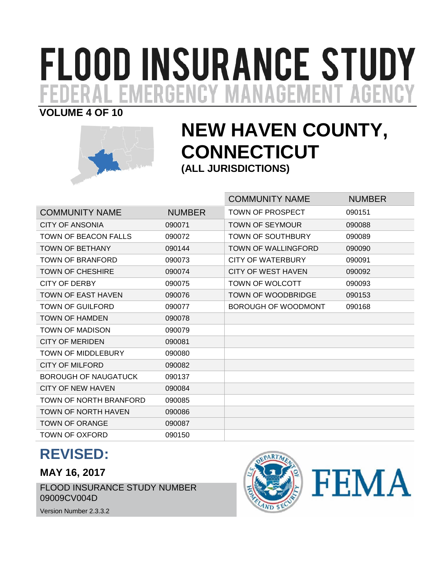# **FLOOD INSURANCE STUDY** . EMERGENCY MANAGEMENT AGENC

# **VOLUME 4 OF 10**



# **NEW HAVEN COUNTY, CONNECTICUT (ALL JURISDICTIONS)**

|                             |               | <b>COMMUNITY NAME</b>      | <b>NUMBER</b> |
|-----------------------------|---------------|----------------------------|---------------|
| <b>COMMUNITY NAME</b>       | <b>NUMBER</b> | <b>TOWN OF PROSPECT</b>    | 090151        |
| <b>CITY OF ANSONIA</b>      | 090071        | <b>TOWN OF SEYMOUR</b>     | 090088        |
| <b>TOWN OF BEACON FALLS</b> | 090072        | <b>TOWN OF SOUTHBURY</b>   | 090089        |
| <b>TOWN OF BETHANY</b>      | 090144        | <b>TOWN OF WALLINGFORD</b> | 090090        |
| TOWN OF BRANFORD            | 090073        | CITY OF WATERBURY          | 090091        |
| <b>TOWN OF CHESHIRE</b>     | 090074        | CITY OF WEST HAVEN         | 090092        |
| CITY OF DERBY               | 090075        | <b>TOWN OF WOLCOTT</b>     | 090093        |
| <b>TOWN OF EAST HAVEN</b>   | 090076        | <b>TOWN OF WOODBRIDGE</b>  | 090153        |
| TOWN OF GUILFORD            | 090077        | BOROUGH OF WOODMONT        | 090168        |
| <b>TOWN OF HAMDEN</b>       | 090078        |                            |               |
| <b>TOWN OF MADISON</b>      | 090079        |                            |               |
| <b>CITY OF MERIDEN</b>      | 090081        |                            |               |
| <b>TOWN OF MIDDLEBURY</b>   | 090080        |                            |               |
| <b>CITY OF MILFORD</b>      | 090082        |                            |               |
| <b>BOROUGH OF NAUGATUCK</b> | 090137        |                            |               |
| <b>CITY OF NEW HAVEN</b>    | 090084        |                            |               |
| TOWN OF NORTH BRANFORD      | 090085        |                            |               |
| <b>TOWN OF NORTH HAVEN</b>  | 090086        |                            |               |
| <b>TOWN OF ORANGE</b>       | 090087        |                            |               |
| TOWN OF OXFORD              | 090150        |                            |               |

# **REVISED:**

# **MAY 16, 2017**

FLOOD INSURANCE STUDY NUMBER 09009CV004D



Version Number 2.3.3.2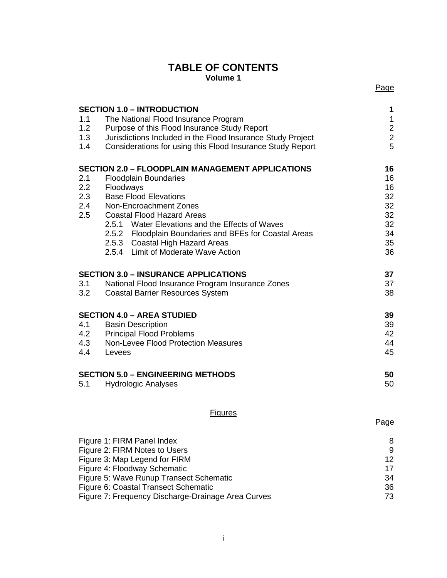#### **TABLE OF CONTENTS Volume 1**

|     | <b>SECTION 1.0 - INTRODUCTION</b>                           | 1             |
|-----|-------------------------------------------------------------|---------------|
| 1.1 | The National Flood Insurance Program                        | $\mathbf{1}$  |
| 1.2 | Purpose of this Flood Insurance Study Report                | $\frac{2}{2}$ |
| 1.3 | Jurisdictions Included in the Flood Insurance Study Project |               |
| 1.4 | Considerations for using this Flood Insurance Study Report  | 5             |
|     | <b>SECTION 2.0 - FLOODPLAIN MANAGEMENT APPLICATIONS</b>     | 16            |
| 2.1 | <b>Floodplain Boundaries</b>                                | 16            |
| 2.2 | Floodways                                                   | 16            |
| 2.3 | <b>Base Flood Elevations</b>                                | 32            |
| 2.4 | Non-Encroachment Zones                                      | 32            |
| 2.5 | <b>Coastal Flood Hazard Areas</b>                           | 32            |
|     | 2.5.1 Water Elevations and the Effects of Waves             | 32            |
|     | 2.5.2 Floodplain Boundaries and BFEs for Coastal Areas      | 34            |
|     | 2.5.3 Coastal High Hazard Areas                             | 35            |
|     | 2.5.4 Limit of Moderate Wave Action                         | 36            |
|     | <b>SECTION 3.0 - INSURANCE APPLICATIONS</b>                 | 37            |
| 3.1 | National Flood Insurance Program Insurance Zones            | 37            |
| 3.2 | <b>Coastal Barrier Resources System</b>                     | 38            |
|     | <b>SECTION 4.0 - AREA STUDIED</b>                           | 39            |
| 4.1 | <b>Basin Description</b>                                    | 39            |
| 4.2 | <b>Principal Flood Problems</b>                             | 42            |
| 4.3 | Non-Levee Flood Protection Measures                         | 44            |
| 4.4 | Levees                                                      | 45            |
|     | <b>SECTION 5.0 - ENGINEERING METHODS</b>                    | 50            |
| 5.1 | <b>Hydrologic Analyses</b>                                  | 50            |
|     |                                                             |               |

#### **Figures**

| Figure 1: FIRM Panel Index                         | 8  |
|----------------------------------------------------|----|
| Figure 2: FIRM Notes to Users                      | 9  |
| Figure 3: Map Legend for FIRM                      | 12 |
| Figure 4: Floodway Schematic                       | 17 |
| Figure 5: Wave Runup Transect Schematic            | 34 |
| Figure 6: Coastal Transect Schematic               | 36 |
| Figure 7: Frequency Discharge-Drainage Area Curves | 73 |
|                                                    |    |

Page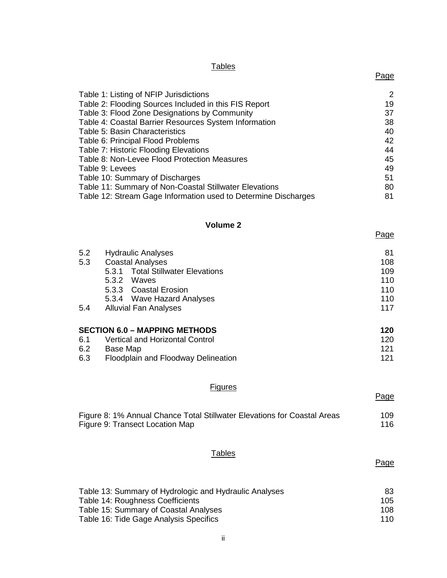# ii

#### Table 13: Summary of Hydrologic and Hydraulic Analyses 83 Table 14: Roughness Coefficients 105 Table 15: Summary of Coastal Analyses<br>
Table 16: Tide Gage Analysis Specifics<br>
110 Table 16: Tide Gage Analysis Specifics

# Table 12: Stream Gage Information used to Determine Discharges 81

Tables

Table 6: Principal Flood Problems

Table 9: Levees

Table 1: Listing of NFIP Jurisdictions 2 Table 2: Flooding Sources Included in this FIS Report 19

Table 8: Non-Levee Flood Protection Measures 45<br>Table 9: Levees 49

Table 10: Summary of Discharges 51 Table 11: Summary of Non-Coastal Stillwater Elevations 60

### **Volume 2**

| 5.2           | <b>Hydraulic Analyses</b>              | 81  |
|---------------|----------------------------------------|-----|
| 5.3           | <b>Coastal Analyses</b>                | 108 |
|               | 5.3.1 Total Stillwater Elevations      | 109 |
|               | 5.3.2<br>Waves                         | 110 |
|               | 5.3.3 Coastal Erosion                  | 110 |
|               | 5.3.4 Wave Hazard Analyses             | 110 |
| 5.4           | <b>Alluvial Fan Analyses</b>           | 117 |
|               | <b>SECTION 6.0 - MAPPING METHODS</b>   | 120 |
| 6.1           | <b>Vertical and Horizontal Control</b> | 120 |
| $\sim$ $\sim$ |                                        | .   |

| 0.1 | vertical and Horizonial Control     | ⊺∠∪ |
|-----|-------------------------------------|-----|
| 6.2 | Base Map                            | 121 |
| 6.3 | Floodplain and Floodway Delineation | 121 |

#### **Figures**

Figure 8: 1% Annual Chance Total Stillwater Elevations for Coastal Areas 109 Figure 9: Transect Location Map 116

#### **Tables**

# Table 7: Historic Flooding Elevations 44

Table 3: Flood Zone Designations by Community 37 Table 4: Coastal Barrier Resources System Information 38 Table 5: Basin Characteristics 40<br>
Table 6: Principal Flood Problems 42

Page

Page

Page

Page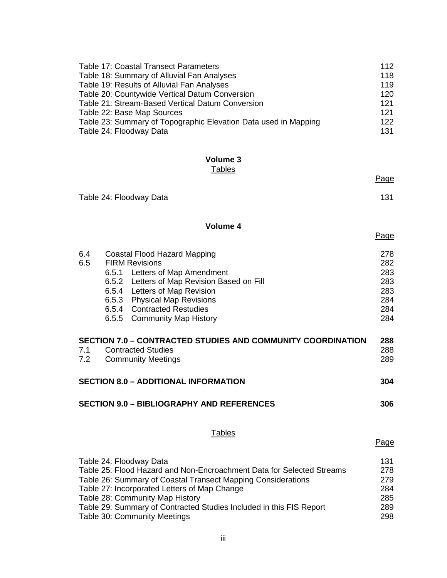| <b>Table 17: Coastal Transect Parameters</b>                    | 112 |
|-----------------------------------------------------------------|-----|
| Table 18: Summary of Alluvial Fan Analyses                      | 118 |
| Table 19: Results of Alluvial Fan Analyses                      | 119 |
| Table 20: Countywide Vertical Datum Conversion                  | 120 |
| Table 21: Stream-Based Vertical Datum Conversion                | 121 |
| Table 22: Base Map Sources                                      | 121 |
| Table 23: Summary of Topographic Elevation Data used in Mapping | 122 |
| Table 24: Floodway Data                                         | 131 |

#### **Volume 3 Tables**

|            |                                                                                                                                                                                                                                                                             | Page                                                 |
|------------|-----------------------------------------------------------------------------------------------------------------------------------------------------------------------------------------------------------------------------------------------------------------------------|------------------------------------------------------|
|            | Table 24: Floodway Data                                                                                                                                                                                                                                                     | 131                                                  |
|            | Volume 4                                                                                                                                                                                                                                                                    | Page                                                 |
| 6.4<br>6.5 | <b>Coastal Flood Hazard Mapping</b><br><b>FIRM Revisions</b><br>6.5.1 Letters of Map Amendment<br>6.5.2 Letters of Map Revision Based on Fill<br>6.5.4 Letters of Map Revision<br>6.5.3 Physical Map Revisions<br>6.5.4 Contracted Restudies<br>6.5.5 Community Map History | 278<br>282<br>283<br>283<br>283<br>284<br>284<br>284 |
|            | <b>SECTION 7.0 - CONTRACTED STUDIES AND COMMUNITY COORDINATION</b>                                                                                                                                                                                                          | 288                                                  |
| 7.1<br>7.2 | <b>Contracted Studies</b><br><b>Community Meetings</b>                                                                                                                                                                                                                      | 288<br>289                                           |
|            | <b>SECTION 8.0 - ADDITIONAL INFORMATION</b>                                                                                                                                                                                                                                 | 304                                                  |
|            | <b>SECTION 9.0 - BIBLIOGRAPHY AND REFERENCES</b>                                                                                                                                                                                                                            | 306                                                  |
|            | <b>Tables</b>                                                                                                                                                                                                                                                               | Page                                                 |
|            | Table 24: Floodway Data<br>Table 25: Flood Hazard and Non-Encroachment Data for Selected Streams                                                                                                                                                                            | 131<br>278                                           |

| Table 26: Summary of Coastal Transect Mapping Considerations        | 279 |
|---------------------------------------------------------------------|-----|
| Table 27: Incorporated Letters of Map Change                        | 284 |
| Table 28: Community Map History                                     | 285 |
| Table 29: Summary of Contracted Studies Included in this FIS Report | 289 |
| Table 30: Community Meetings                                        | 298 |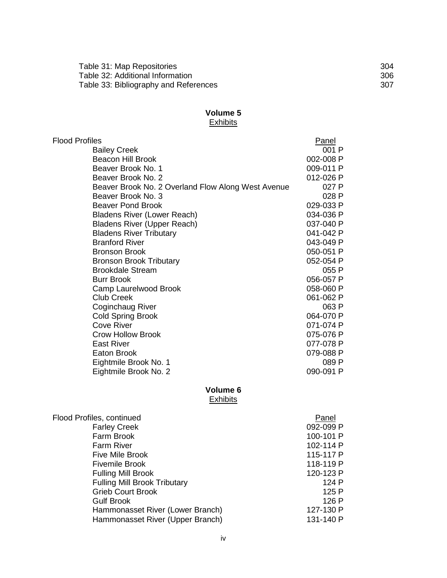| Table 31: Map Repositories            | 304 |
|---------------------------------------|-----|
| Table 32: Additional Information      | 306 |
| Table 33: Bibliography and References | 307 |

#### **Volume 5** Exhibits

| <b>Flood Profiles</b>                              | Panel     |
|----------------------------------------------------|-----------|
| <b>Bailey Creek</b>                                | 001 P     |
| <b>Beacon Hill Brook</b>                           | 002-008 P |
| Beaver Brook No. 1                                 | 009-011 P |
| Beaver Brook No. 2                                 | 012-026 P |
| Beaver Brook No. 2 Overland Flow Along West Avenue | 027 P     |
| Beaver Brook No. 3                                 | 028 P     |
| <b>Beaver Pond Brook</b>                           | 029-033 P |
| <b>Bladens River (Lower Reach)</b>                 | 034-036 P |
| <b>Bladens River (Upper Reach)</b>                 | 037-040 P |
| <b>Bladens River Tributary</b>                     | 041-042 P |
| <b>Branford River</b>                              | 043-049 P |
| <b>Bronson Brook</b>                               | 050-051 P |
| <b>Bronson Brook Tributary</b>                     | 052-054 P |
| <b>Brookdale Stream</b>                            | 055 P     |
| <b>Burr Brook</b>                                  | 056-057 P |
| Camp Laurelwood Brook                              | 058-060 P |
| <b>Club Creek</b>                                  | 061-062 P |
| Coginchaug River                                   | 063 P     |
| <b>Cold Spring Brook</b>                           | 064-070 P |
| <b>Cove River</b>                                  | 071-074 P |
| <b>Crow Hollow Brook</b>                           | 075-076 P |
| <b>East River</b>                                  | 077-078 P |
| <b>Eaton Brook</b>                                 | 079-088 P |
| Eightmile Brook No. 1                              | 089 P     |
| Eightmile Brook No. 2                              | 090-091 P |
| Volume 6<br><b>Exhibits</b>                        |           |
|                                                    |           |

| Flood Profiles, continued           | Panel     |
|-------------------------------------|-----------|
| <b>Farley Creek</b>                 | 092-099 P |
| Farm Brook                          | 100-101 P |
| <b>Farm River</b>                   | 102-114 P |
| <b>Five Mile Brook</b>              | 115-117 P |
| <b>Fivemile Brook</b>               | 118-119 P |
| <b>Fulling Mill Brook</b>           | 120-123 P |
| <b>Fulling Mill Brook Tributary</b> | 124 P     |
| <b>Grieb Court Brook</b>            | 125 P     |
| <b>Gulf Brook</b>                   | 126 P     |
| Hammonasset River (Lower Branch)    | 127-130 P |
| Hammonasset River (Upper Branch)    | 131-140 P |
|                                     |           |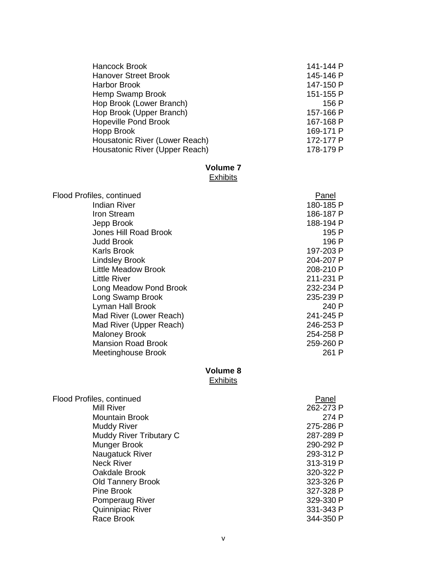| Hancock Brook                  | 141-144 P |
|--------------------------------|-----------|
|                                |           |
| <b>Hanover Street Brook</b>    | 145-146 P |
| <b>Harbor Brook</b>            | 147-150 P |
| Hemp Swamp Brook               | 151-155 P |
| Hop Brook (Lower Branch)       | 156 P     |
| Hop Brook (Upper Branch)       | 157-166 P |
| <b>Hopeville Pond Brook</b>    | 167-168 P |
| Hopp Brook                     | 169-171 P |
| Housatonic River (Lower Reach) | 172-177 P |
| Housatonic River (Upper Reach) | 178-179 P |

## **Volume 7**

#### **Exhibits**

| Flood Profiles, continued  | Panel     |
|----------------------------|-----------|
| <b>Indian River</b>        | 180-185 P |
| Iron Stream                | 186-187 P |
| Jepp Brook                 | 188-194 P |
| Jones Hill Road Brook      | 195 P     |
| <b>Judd Brook</b>          | 196 P     |
| <b>Karls Brook</b>         | 197-203 P |
| <b>Lindsley Brook</b>      | 204-207 P |
| <b>Little Meadow Brook</b> | 208-210 P |
| <b>Little River</b>        | 211-231 P |
| Long Meadow Pond Brook     | 232-234 P |
| Long Swamp Brook           | 235-239 P |
| Lyman Hall Brook           | 240 P     |
| Mad River (Lower Reach)    | 241-245 P |
| Mad River (Upper Reach)    | 246-253 P |
| <b>Maloney Brook</b>       | 254-258 P |
| <b>Mansion Road Brook</b>  | 259-260 P |
| Meetinghouse Brook         | 261 P     |
|                            |           |

# **Volume 8**

# Exhibits

| Flood Profiles, continued | Panel     |
|---------------------------|-----------|
| <b>Mill River</b>         | 262-273 P |
| <b>Mountain Brook</b>     | 274 P     |
| <b>Muddy River</b>        | 275-286 P |
| Muddy River Tributary C   | 287-289 P |
| Munger Brook              | 290-292 P |
| Naugatuck River           | 293-312 P |
| <b>Neck River</b>         | 313-319 P |
| Oakdale Brook             | 320-322 P |
| <b>Old Tannery Brook</b>  | 323-326 P |
| Pine Brook                | 327-328 P |
| Pomperaug River           | 329-330 P |
| Quinnipiac River          | 331-343 P |
| Race Brook                | 344-350 P |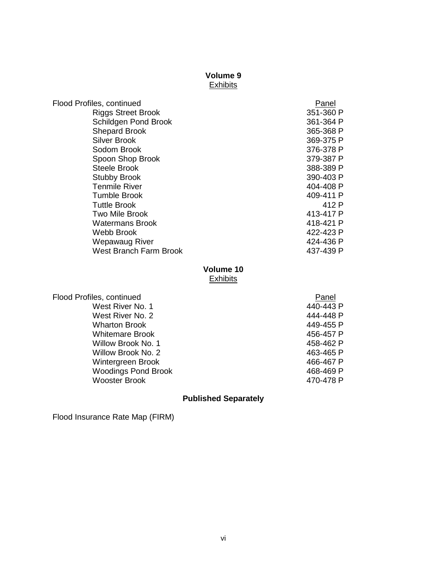# **Volume 9**

### **Exhibits**

| Flood Profiles, continued     | Panel     |
|-------------------------------|-----------|
| <b>Riggs Street Brook</b>     | 351-360 P |
| Schildgen Pond Brook          | 361-364 P |
| <b>Shepard Brook</b>          | 365-368 P |
| Silver Brook                  | 369-375 P |
| Sodom Brook                   | 376-378 P |
| Spoon Shop Brook              | 379-387 P |
| Steele Brook                  | 388-389 P |
| <b>Stubby Brook</b>           | 390-403 P |
| <b>Tenmile River</b>          | 404-408 P |
| <b>Tumble Brook</b>           | 409-411 P |
| <b>Tuttle Brook</b>           | 412 P     |
| <b>Two Mile Brook</b>         | 413-417 P |
| <b>Watermans Brook</b>        | 418-421 P |
| Webb Brook                    | 422-423 P |
| Wepawaug River                | 424-436 P |
| <b>West Branch Farm Brook</b> | 437-439 P |
|                               |           |

### **Volume 10 Exhibits**

| Flood Profiles, continued  | Panel     |
|----------------------------|-----------|
| West River No. 1           | 440-443 P |
| West River No. 2           | 444-448 P |
| <b>Wharton Brook</b>       | 449-455 P |
| <b>Whitemare Brook</b>     | 456-457 P |
| Willow Brook No. 1         | 458-462 P |
| Willow Brook No. 2         | 463-465 P |
| Wintergreen Brook          | 466-467 P |
| <b>Woodings Pond Brook</b> | 468-469 P |
| <b>Wooster Brook</b>       | 470-478 P |
|                            |           |

### **Published Separately**

Flood Insurance Rate Map (FIRM)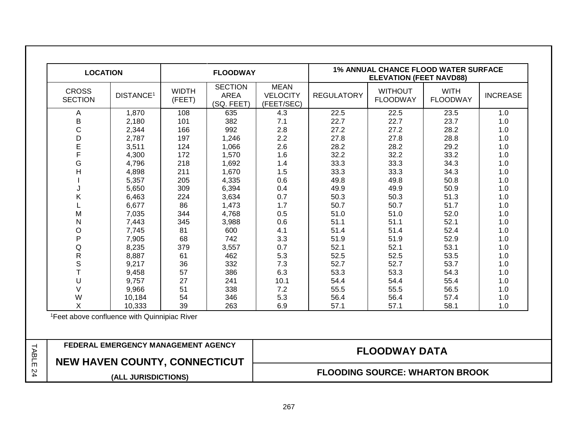| <b>LOCATION</b>                                                             |                                                          |                        | <b>FLOODWAY</b>                             |                                              | <b>1% ANNUAL CHANCE FLOOD WATER SURFACE</b><br><b>ELEVATION (FEET NAVD88)</b> |                                   |                                |                 |
|-----------------------------------------------------------------------------|----------------------------------------------------------|------------------------|---------------------------------------------|----------------------------------------------|-------------------------------------------------------------------------------|-----------------------------------|--------------------------------|-----------------|
| <b>CROSS</b><br><b>SECTION</b>                                              | DISTANCE <sup>1</sup>                                    | <b>WIDTH</b><br>(FEET) | <b>SECTION</b><br><b>AREA</b><br>(SQ. FEET) | <b>MEAN</b><br><b>VELOCITY</b><br>(FEET/SEC) | <b>REGULATORY</b>                                                             | <b>WITHOUT</b><br><b>FLOODWAY</b> | <b>WITH</b><br><b>FLOODWAY</b> | <b>INCREASE</b> |
| Α                                                                           | 1,870                                                    | 108                    | 635                                         | 4.3                                          | 22.5                                                                          | 22.5                              | 23.5                           | 1.0             |
| B                                                                           | 2,180                                                    | 101                    | 382                                         | 7.1                                          | 22.7                                                                          | 22.7                              | 23.7                           | 1.0             |
| $\mathsf{C}$                                                                | 2,344                                                    | 166                    | 992                                         | 2.8                                          | 27.2                                                                          | 27.2                              | 28.2                           | 1.0             |
| D                                                                           | 2,787                                                    | 197                    | 1,246                                       | 2.2                                          | 27.8                                                                          | 27.8                              | 28.8                           | 1.0             |
| E                                                                           | 3,511                                                    | 124                    | 1,066                                       | 2.6                                          | 28.2                                                                          | 28.2                              | 29.2                           | 1.0             |
| F                                                                           | 4,300                                                    | 172                    | 1,570                                       | 1.6                                          | 32.2                                                                          | 32.2                              | 33.2                           | 1.0             |
| G                                                                           | 4,796                                                    | 218                    | 1,692                                       | 1.4                                          | 33.3                                                                          | 33.3                              | 34.3                           | 1.0             |
| $\overline{H}$                                                              | 4,898                                                    | 211                    | 1,670                                       | 1.5                                          | 33.3                                                                          | 33.3                              | 34.3                           | 1.0             |
|                                                                             | 5,357                                                    | 205                    | 4,335                                       | 0.6                                          | 49.8                                                                          | 49.8                              | 50.8                           | 1.0             |
| J                                                                           | 5,650                                                    | 309                    | 6,394                                       | 0.4                                          | 49.9                                                                          | 49.9                              | 50.9                           | 1.0             |
| Κ                                                                           | 6,463                                                    | 224                    | 3,634                                       | 0.7                                          | 50.3                                                                          | 50.3                              | 51.3                           | 1.0             |
|                                                                             | 6,677                                                    | 86                     | 1,473                                       | 1.7                                          | 50.7                                                                          | 50.7                              | 51.7                           | 1.0             |
| M                                                                           | 7,035                                                    | 344                    | 4,768                                       | 0.5                                          | 51.0                                                                          | 51.0                              | 52.0                           | 1.0             |
| N                                                                           | 7,443                                                    | 345                    | 3,988                                       | 0.6                                          | 51.1                                                                          | 51.1                              | 52.1                           | 1.0             |
| O                                                                           | 7,745                                                    | 81                     | 600                                         | 4.1                                          | 51.4                                                                          | 51.4                              | 52.4                           | 1.0             |
| P                                                                           | 7,905                                                    | 68                     | 742                                         | 3.3                                          | 51.9                                                                          | 51.9                              | 52.9                           | 1.0             |
| Q                                                                           | 8,235                                                    | 379                    | 3,557                                       | 0.7                                          | 52.1                                                                          | 52.1                              | 53.1                           | 1.0             |
| ${\sf R}$                                                                   | 8,887                                                    | 61                     | 462                                         | 5.3                                          | 52.5                                                                          | 52.5                              | 53.5                           | 1.0             |
| $\mathbb S$                                                                 | 9,217                                                    | 36                     | 332                                         | 7.3                                          | 52.7                                                                          | 52.7                              | 53.7                           | 1.0             |
| T                                                                           | 9,458                                                    | 57                     | 386                                         | 6.3                                          | 53.3                                                                          | 53.3                              | 54.3                           | 1.0             |
| U                                                                           | 9,757                                                    | 27                     | 241                                         | 10.1                                         | 54.4                                                                          | 54.4                              | 55.4                           | 1.0             |
| $\vee$                                                                      | 9,966                                                    | 51                     | 338                                         | 7.2                                          | 55.5                                                                          | 55.5                              | 56.5                           | 1.0             |
| W                                                                           | 10,184                                                   | 54                     | 346                                         | 5.3                                          | 56.4                                                                          | 56.4                              | 57.4                           | 1.0             |
| $\mathsf{x}$                                                                | 10,333                                                   | 39                     | 263                                         | 6.9                                          | 57.1                                                                          | 57.1                              | 58.1                           | 1.0             |
|                                                                             | <sup>1</sup> Feet above confluence with Quinnipiac River |                        |                                             |                                              |                                                                               |                                   |                                |                 |
| FEDERAL EMERGENCY MANAGEMENT AGENCY<br><b>NEW HAVEN COUNTY, CONNECTICUT</b> |                                                          |                        |                                             | <b>FLOODWAY DATA</b>                         |                                                                               |                                   |                                |                 |
|                                                                             |                                                          |                        |                                             |                                              |                                                                               |                                   |                                |                 |
|                                                                             | (ALL JURISDICTIONS)                                      |                        |                                             | <b>FLOODING SOURCE: WHARTON BROOK</b>        |                                                                               |                                   |                                |                 |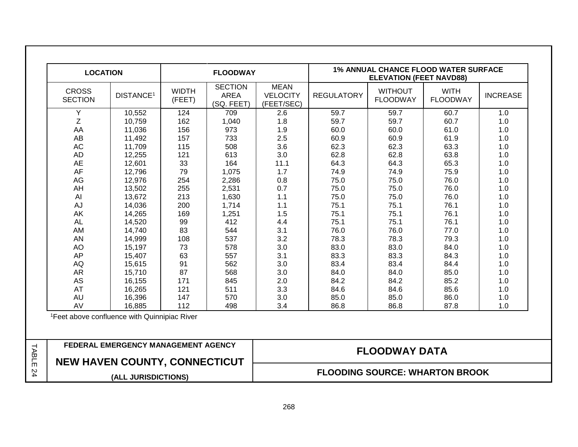| <b>LOCATION</b>                |                                                          |                                     | <b>FLOODWAY</b>                             |                                              | <b>1% ANNUAL CHANCE FLOOD WATER SURFACE</b><br><b>ELEVATION (FEET NAVD88)</b> |                                   |                                |                 |
|--------------------------------|----------------------------------------------------------|-------------------------------------|---------------------------------------------|----------------------------------------------|-------------------------------------------------------------------------------|-----------------------------------|--------------------------------|-----------------|
| <b>CROSS</b><br><b>SECTION</b> | <b>DISTANCE<sup>1</sup></b>                              | <b>WIDTH</b><br>(FEET)              | <b>SECTION</b><br><b>AREA</b><br>(SQ. FEET) | <b>MEAN</b><br><b>VELOCITY</b><br>(FEET/SEC) | <b>REGULATORY</b>                                                             | <b>WITHOUT</b><br><b>FLOODWAY</b> | <b>WITH</b><br><b>FLOODWAY</b> | <b>INCREASE</b> |
| Υ                              | 10,552                                                   | 124                                 | 709                                         | 2.6                                          | 59.7                                                                          | 59.7                              | 60.7                           | 1.0             |
| Z                              | 10,759                                                   | 162                                 | 1,040                                       | 1.8                                          | 59.7                                                                          | 59.7                              | 60.7                           | 1.0             |
| AA                             | 11,036                                                   | 156                                 | 973                                         | 1.9                                          | 60.0                                                                          | 60.0                              | 61.0                           | 1.0             |
| AB                             | 11,492                                                   | 157                                 | 733                                         | 2.5                                          | 60.9                                                                          | 60.9                              | 61.9                           | 1.0             |
| <b>AC</b>                      | 11,709                                                   | 115                                 | 508                                         | 3.6                                          | 62.3                                                                          | 62.3                              | 63.3                           | 1.0             |
| <b>AD</b>                      | 12,255                                                   | 121                                 | 613                                         | 3.0                                          | 62.8                                                                          | 62.8                              | 63.8                           | 1.0             |
| <b>AE</b>                      | 12,601                                                   | 33                                  | 164                                         | 11.1                                         | 64.3                                                                          | 64.3                              | 65.3                           | 1.0             |
| AF                             | 12,796                                                   | 79                                  | 1,075                                       | 1.7                                          | 74.9                                                                          | 74.9                              | 75.9                           | 1.0             |
| AG                             | 12,976                                                   | 254                                 | 2,286                                       | 0.8                                          | 75.0                                                                          | 75.0                              | 76.0                           | 1.0             |
| AH                             | 13,502                                                   | 255                                 | 2,531                                       | 0.7                                          | 75.0                                                                          | 75.0                              | 76.0                           | 1.0             |
| AI                             | 13,672                                                   | 213                                 | 1,630                                       | 1.1                                          | 75.0                                                                          | 75.0                              | 76.0                           | 1.0             |
| AJ                             | 14,036                                                   | 200                                 | 1,714                                       | 1.1                                          | 75.1                                                                          | 75.1                              | 76.1                           | 1.0             |
| AK                             | 14,265                                                   | 169                                 | 1,251                                       | 1.5                                          | 75.1                                                                          | 75.1                              | 76.1                           | 1.0             |
| <b>AL</b>                      | 14,520                                                   | 99                                  | 412                                         | 4.4                                          | 75.1                                                                          | 75.1                              | 76.1                           | 1.0             |
| AM                             | 14,740                                                   | 83                                  | 544                                         | 3.1                                          | 76.0                                                                          | 76.0                              | 77.0                           | 1.0             |
| AN                             | 14,999                                                   | 108                                 | 537                                         | 3.2                                          | 78.3                                                                          | 78.3                              | 79.3                           | 1.0             |
| AO                             | 15,197                                                   | 73                                  | 578                                         | 3.0                                          | 83.0                                                                          | 83.0                              | 84.0                           | 1.0             |
| AP                             | 15,407                                                   | 63                                  | 557                                         | 3.1                                          | 83.3                                                                          | 83.3                              | 84.3                           | 1.0             |
| AQ                             | 15,615                                                   | 91                                  | 562                                         | 3.0                                          | 83.4                                                                          | 83.4                              | 84.4                           | 1.0             |
| <b>AR</b>                      | 15,710                                                   | 87                                  | 568                                         | 3.0                                          | 84.0                                                                          | 84.0                              | 85.0                           | 1.0             |
| AS                             | 16,155                                                   | 171                                 | 845                                         | 2.0                                          | 84.2                                                                          | 84.2                              | 85.2                           | 1.0             |
| <b>AT</b>                      | 16,265                                                   | 121                                 | 511                                         | 3.3                                          | 84.6                                                                          | 84.6                              | 85.6                           | 1.0             |
| <b>AU</b>                      | 16,396                                                   | 147                                 | 570                                         | 3.0                                          | 85.0                                                                          | 85.0                              | 86.0                           | 1.0             |
| AV                             | 16,885                                                   | 112                                 | 498                                         | 3.4                                          | 86.8                                                                          | 86.8                              | 87.8                           | 1.0             |
|                                | <sup>1</sup> Feet above confluence with Quinnipiac River |                                     |                                             |                                              |                                                                               |                                   |                                |                 |
|                                |                                                          | FEDERAL EMERGENCY MANAGEMENT AGENCY |                                             |                                              |                                                                               | <b>FLOODWAY DATA</b>              |                                |                 |
| NEW HAVEN COUNTY, CONNECTICUT  |                                                          |                                     |                                             |                                              |                                                                               |                                   |                                |                 |
|                                | (ALL JURISDICTIONS)                                      |                                     |                                             | <b>FLOODING SOURCE: WHARTON BROOK</b>        |                                                                               |                                   |                                |                 |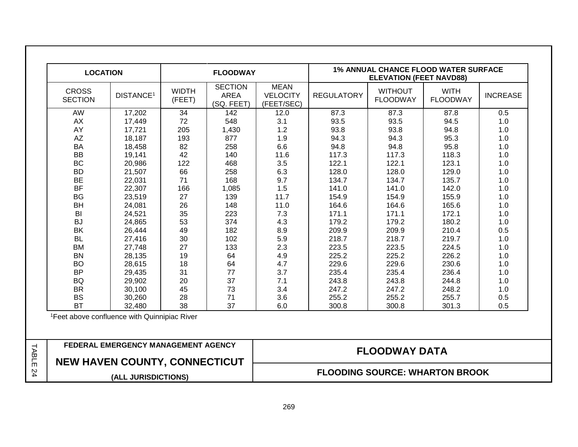| <b>LOCATION</b>                      |                                                          |                        | <b>FLOODWAY</b>                             |                                              |                   | <b>ELEVATION (FEET NAVD88)</b>    | <b>1% ANNUAL CHANCE FLOOD WATER SURFACE</b> |                 |
|--------------------------------------|----------------------------------------------------------|------------------------|---------------------------------------------|----------------------------------------------|-------------------|-----------------------------------|---------------------------------------------|-----------------|
| <b>CROSS</b><br><b>SECTION</b>       | <b>DISTANCE<sup>1</sup></b>                              | <b>WIDTH</b><br>(FEET) | <b>SECTION</b><br><b>AREA</b><br>(SQ. FEET) | <b>MEAN</b><br><b>VELOCITY</b><br>(FEET/SEC) | <b>REGULATORY</b> | <b>WITHOUT</b><br><b>FLOODWAY</b> | <b>WITH</b><br><b>FLOODWAY</b>              | <b>INCREASE</b> |
| AW                                   | 17,202                                                   | 34                     | 142                                         | 12.0                                         | 87.3              | 87.3                              | 87.8                                        | 0.5             |
| AX                                   | 17,449                                                   | 72                     | 548                                         | 3.1                                          | 93.5              | 93.5                              | 94.5                                        | 1.0             |
| AY                                   | 17,721                                                   | 205                    | 1,430                                       | 1.2                                          | 93.8              | 93.8                              | 94.8                                        | 1.0             |
| <b>AZ</b>                            | 18,187                                                   | 193                    | 877                                         | 1.9                                          | 94.3              | 94.3                              | 95.3                                        | 1.0             |
| <b>BA</b>                            | 18,458                                                   | 82                     | 258                                         | 6.6                                          | 94.8              | 94.8                              | 95.8                                        | 1.0             |
| <b>BB</b>                            | 19,141                                                   | 42                     | 140                                         | 11.6                                         | 117.3             | 117.3                             | 118.3                                       | 1.0             |
| <b>BC</b>                            | 20,986                                                   | 122                    | 468                                         | 3.5                                          | 122.1             | 122.1                             | 123.1                                       | 1.0             |
| <b>BD</b>                            | 21,507                                                   | 66                     | 258                                         | 6.3                                          | 128.0             | 128.0                             | 129.0                                       | 1.0             |
| <b>BE</b>                            | 22,031                                                   | 71                     | 168                                         | 9.7                                          | 134.7             | 134.7                             | 135.7                                       | 1.0             |
| <b>BF</b>                            | 22,307                                                   | 166                    | 1,085                                       | 1.5                                          | 141.0             | 141.0                             | 142.0                                       | 1.0             |
| <b>BG</b>                            | 23,519                                                   | 27                     | 139                                         | 11.7                                         | 154.9             | 154.9                             | 155.9                                       | 1.0             |
| <b>BH</b>                            | 24,081                                                   | 26                     | 148                                         | 11.0                                         | 164.6             | 164.6                             | 165.6                                       | 1.0             |
| BI                                   | 24,521                                                   | 35                     | 223                                         | 7.3                                          | 171.1             | 171.1                             | 172.1                                       | 1.0             |
| <b>BJ</b>                            | 24,865                                                   | 53                     | 374                                         | 4.3                                          | 179.2             | 179.2                             | 180.2                                       | 1.0             |
| <b>BK</b>                            | 26,444                                                   | 49                     | 182                                         | 8.9                                          | 209.9             | 209.9                             | 210.4                                       | 0.5             |
| <b>BL</b>                            | 27,416                                                   | 30                     | 102                                         | 5.9                                          | 218.7             | 218.7                             | 219.7                                       | 1.0             |
| <b>BM</b>                            | 27,748                                                   | 27                     | 133                                         | 2.3                                          | 223.5             | 223.5                             | 224.5                                       | 1.0             |
| <b>BN</b>                            | 28,135                                                   | 19                     | 64                                          | 4.9                                          | 225.2             | 225.2                             | 226.2                                       | 1.0             |
| <b>BO</b>                            | 28,615                                                   | 18                     | 64                                          | 4.7                                          | 229.6             | 229.6                             | 230.6                                       | 1.0             |
| <b>BP</b>                            | 29,435                                                   | 31                     | 77                                          | 3.7                                          | 235.4             | 235.4                             | 236.4                                       | 1.0             |
| <b>BQ</b>                            | 29,902                                                   | 20                     | 37                                          | 7.1                                          | 243.8             | 243.8                             | 244.8                                       | 1.0             |
| <b>BR</b>                            | 30,100                                                   | 45                     | 73                                          | 3.4                                          | 247.2             | 247.2                             | 248.2                                       | 1.0             |
| <b>BS</b><br><b>BT</b>               | 30,260<br>32,480                                         | 28<br>38               | 71<br>37                                    | 3.6<br>6.0                                   | 255.2<br>300.8    | 255.2<br>300.8                    | 255.7<br>301.3                              | 0.5<br>0.5      |
|                                      | <sup>1</sup> Feet above confluence with Quinnipiac River |                        |                                             |                                              |                   |                                   |                                             |                 |
|                                      | FEDERAL EMERGENCY MANAGEMENT AGENCY                      |                        |                                             |                                              |                   |                                   |                                             |                 |
| <b>NEW HAVEN COUNTY, CONNECTICUT</b> |                                                          |                        |                                             |                                              |                   | <b>FLOODWAY DATA</b>              |                                             |                 |
|                                      | (ALL JURISDICTIONS)                                      |                        |                                             |                                              |                   |                                   | <b>FLOODING SOURCE: WHARTON BROOK</b>       |                 |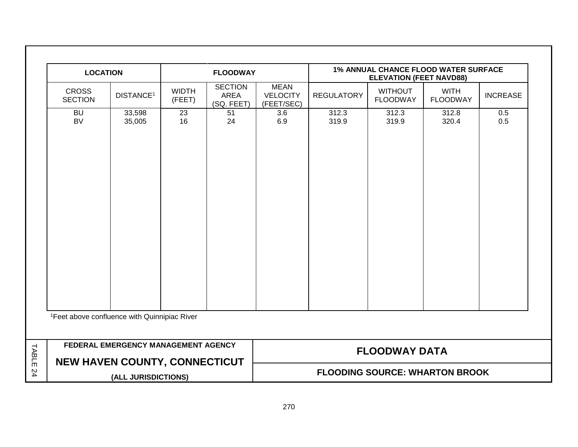|       | <b>LOCATION</b>                                          |                                     |                        | <b>FLOODWAY</b>                      |                                              | 1% ANNUAL CHANCE FLOOD WATER SURFACE<br><b>ELEVATION (FEET NAVD88)</b> |                                   |                                |                 |  |
|-------|----------------------------------------------------------|-------------------------------------|------------------------|--------------------------------------|----------------------------------------------|------------------------------------------------------------------------|-----------------------------------|--------------------------------|-----------------|--|
|       | <b>CROSS</b><br><b>SECTION</b>                           | DISTANCE <sup>1</sup>               | <b>WIDTH</b><br>(FEET) | <b>SECTION</b><br>AREA<br>(SQ. FEET) | <b>MEAN</b><br><b>VELOCITY</b><br>(FEET/SEC) | <b>REGULATORY</b>                                                      | <b>WITHOUT</b><br><b>FLOODWAY</b> | <b>WITH</b><br><b>FLOODWAY</b> | <b>INCREASE</b> |  |
|       | <b>BU</b><br><b>BV</b>                                   | 33,598<br>35,005                    | 23<br>16               | 51<br>24                             | 3.6<br>6.9                                   | 312.3<br>319.9                                                         | 312.3<br>319.9                    | 312.8<br>320.4                 | 0.5<br>0.5      |  |
|       | <sup>1</sup> Feet above confluence with Quinnipiac River |                                     |                        |                                      |                                              |                                                                        |                                   |                                |                 |  |
| TABLE | <b>NEW HAVEN COUNTY, CONNECTICUT</b>                     | FEDERAL EMERGENCY MANAGEMENT AGENCY |                        |                                      |                                              |                                                                        | <b>FLOODWAY DATA</b>              |                                |                 |  |
| 24    |                                                          | (ALL JURISDICTIONS)                 |                        |                                      |                                              | <b>FLOODING SOURCE: WHARTON BROOK</b>                                  |                                   |                                |                 |  |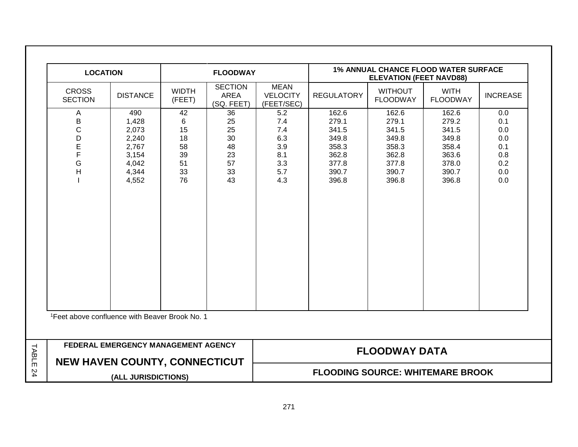| <b>LOCATION</b>                                            |                                                                                                    |                        | <b>FLOODWAY</b>                             |                                              |                                         | <b>ELEVATION (FEET NAVD88)</b>    | <b>1% ANNUAL CHANCE FLOOD WATER SURFACE</b> |                 |
|------------------------------------------------------------|----------------------------------------------------------------------------------------------------|------------------------|---------------------------------------------|----------------------------------------------|-----------------------------------------|-----------------------------------|---------------------------------------------|-----------------|
| <b>CROSS</b><br><b>SECTION</b>                             | <b>DISTANCE</b>                                                                                    | <b>WIDTH</b><br>(FEET) | <b>SECTION</b><br><b>AREA</b><br>(SQ. FEET) | <b>MEAN</b><br><b>VELOCITY</b><br>(FEET/SEC) | <b>REGULATORY</b>                       | <b>WITHOUT</b><br><b>FLOODWAY</b> | <b>WITH</b><br><b>FLOODWAY</b>              | <b>INCREASE</b> |
| Α                                                          | 490                                                                                                | 42                     | 36                                          | 5.2                                          | 162.6                                   | 162.6                             | 162.6                                       | 0.0             |
| B                                                          | 1,428                                                                                              | 6                      | 25                                          | 7.4                                          | 279.1                                   | 279.1                             | 279.2                                       | 0.1             |
| $\mathbf C$                                                | 2,073                                                                                              | 15                     | 25                                          | 7.4                                          | 341.5                                   | 341.5                             | 341.5                                       | 0.0             |
| D                                                          | 2,240                                                                                              | 18                     | 30                                          | 6.3                                          | 349.8                                   | 349.8                             | 349.8                                       | 0.0             |
| E                                                          | 2,767                                                                                              | 58                     | 48                                          | 3.9                                          | 358.3                                   | 358.3                             | 358.4                                       | 0.1             |
| F                                                          | 3,154                                                                                              | 39                     | 23                                          | 8.1                                          | 362.8                                   | 362.8                             | 363.6                                       | 0.8             |
| G                                                          | 4,042                                                                                              | 51                     | 57                                          | 3.3                                          | 377.8                                   | 377.8                             | 378.0                                       | 0.2             |
| H                                                          | 4,344<br>4,552                                                                                     | 33<br>76               | 33<br>43                                    | 5.7<br>4.3                                   | 390.7<br>396.8                          | 390.7<br>396.8                    | 390.7<br>396.8                              | 0.0<br>0.0      |
|                                                            |                                                                                                    |                        |                                             |                                              |                                         |                                   |                                             |                 |
|                                                            |                                                                                                    |                        |                                             |                                              |                                         |                                   |                                             |                 |
| <sup>1</sup> Feet above confluence with Beaver Brook No. 1 |                                                                                                    |                        |                                             |                                              |                                         |                                   |                                             |                 |
|                                                            | FEDERAL EMERGENCY MANAGEMENT AGENCY<br><b>NEW HAVEN COUNTY, CONNECTICUT</b><br>(ALL JURISDICTIONS) |                        |                                             |                                              |                                         | <b>FLOODWAY DATA</b>              |                                             |                 |
|                                                            |                                                                                                    |                        |                                             |                                              | <b>FLOODING SOURCE: WHITEMARE BROOK</b> |                                   |                                             |                 |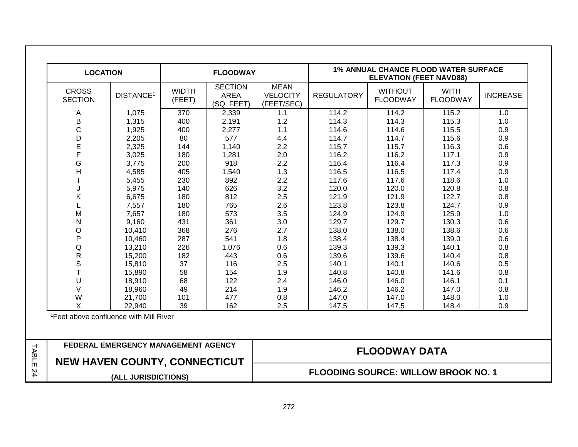| <b>LOCATION</b>                |                                                                                                    |                        | <b>FLOODWAY</b>                             |                                              |                      | <b>ELEVATION (FEET NAVD88)</b>    | <b>1% ANNUAL CHANCE FLOOD WATER SURFACE</b> |                 |
|--------------------------------|----------------------------------------------------------------------------------------------------|------------------------|---------------------------------------------|----------------------------------------------|----------------------|-----------------------------------|---------------------------------------------|-----------------|
| <b>CROSS</b><br><b>SECTION</b> | DISTANCE <sup>1</sup>                                                                              | <b>WIDTH</b><br>(FEET) | <b>SECTION</b><br><b>AREA</b><br>(SQ. FEET) | <b>MEAN</b><br><b>VELOCITY</b><br>(FEET/SEC) | <b>REGULATORY</b>    | <b>WITHOUT</b><br><b>FLOODWAY</b> | <b>WITH</b><br><b>FLOODWAY</b>              | <b>INCREASE</b> |
| A                              | 1,075                                                                                              | 370                    | 2,339                                       | 1.1                                          | 114.2                | 114.2                             | 115.2                                       | 1.0             |
| B                              | 1,315                                                                                              | 400                    | 2,191                                       | 1.2                                          | 114.3                | 114.3                             | 115.3                                       | 1.0             |
| $\mathsf{C}$                   | 1,925                                                                                              | 400                    | 2,277                                       | 1.1                                          | 114.6                | 114.6                             | 115.5                                       | 0.9             |
| D                              | 2,205                                                                                              | 80                     | 577                                         | 4.4                                          | 114.7                | 114.7                             | 115.6                                       | 0.9             |
| E                              | 2,325                                                                                              | 144                    | 1,140                                       | 2.2                                          | 115.7                | 115.7                             | 116.3                                       | 0.6             |
| F                              | 3,025                                                                                              | 180                    | 1,281                                       | 2.0                                          | 116.2                | 116.2                             | 117.1                                       | 0.9             |
| G                              | 3,775                                                                                              | 200                    | 918                                         | 2.2                                          | 116.4                | 116.4                             | 117.3                                       | 0.9             |
| H                              | 4,585                                                                                              | 405                    | 1,540                                       | 1.3                                          | 116.5                | 116.5                             | 117.4                                       | 0.9             |
|                                | 5,455                                                                                              | 230                    | 892                                         | 2.2                                          | 117.6                | 117.6                             | 118.6                                       | 1.0             |
| J                              | 5,975                                                                                              | 140                    | 626                                         | 3.2                                          | 120.0                | 120.0                             | 120.8                                       | 0.8             |
| Κ                              | 6,675                                                                                              | 180                    | 812                                         | 2.5                                          | 121.9                | 121.9                             | 122.7                                       | 0.8             |
| L                              | 7,557                                                                                              | 180                    | 765                                         | 2.6                                          | 123.8                | 123.8                             | 124.7                                       | 0.9             |
| M                              | 7,657                                                                                              | 180                    | 573                                         | 3.5                                          | 124.9                | 124.9                             | 125.9                                       | 1.0             |
| N                              | 9,160                                                                                              | 431                    | 361                                         | 3.0                                          | 129.7                | 129.7                             | 130.3                                       | 0.6             |
| $\circ$                        | 10,410                                                                                             | 368                    | 276                                         | 2.7                                          | 138.0                | 138.0                             | 138.6                                       | 0.6             |
| P                              | 10,460                                                                                             | 287                    | 541                                         | 1.8                                          | 138.4                | 138.4                             | 139.0                                       | 0.6             |
| Q                              | 13,210                                                                                             | 226                    | 1,076                                       | 0.6                                          | 139.3                | 139.3                             | 140.1                                       | 0.8             |
| $\mathsf R$                    | 15,200                                                                                             | 182                    | 443                                         | 0.6                                          | 139.6                | 139.6                             | 140.4                                       | 0.8             |
| $\mathbb S$                    | 15,810                                                                                             | 37                     | 116                                         | 2.5                                          | 140.1                | 140.1                             | 140.6                                       | 0.5             |
| $\mathsf{T}$                   | 15,890                                                                                             | 58                     | 154                                         | 1.9                                          | 140.8                | 140.8                             | 141.6                                       | 0.8             |
| U                              | 18,910                                                                                             | 68                     | 122                                         | 2.4                                          | 146.0                | 146.0                             | 146.1                                       | 0.1             |
| $\vee$                         | 18,960                                                                                             | 49                     | 214                                         | 1.9                                          | 146.2                | 146.2                             | 147.0                                       | 0.8             |
| W                              | 21,700                                                                                             | 101                    | 477                                         | 0.8                                          | 147.0                | 147.0                             | 148.0                                       | 1.0             |
| X                              | 22.940                                                                                             | 39                     | 162                                         | 2.5                                          | 147.5                | 147.5                             | 148.4                                       | 0.9             |
|                                | <sup>1</sup> Feet above confluence with Mill River                                                 |                        |                                             |                                              |                      |                                   |                                             |                 |
|                                |                                                                                                    |                        |                                             |                                              |                      |                                   |                                             |                 |
|                                | FEDERAL EMERGENCY MANAGEMENT AGENCY<br><b>NEW HAVEN COUNTY, CONNECTICUT</b><br>(ALL JURISDICTIONS) |                        |                                             |                                              | <b>FLOODWAY DATA</b> |                                   |                                             |                 |
|                                |                                                                                                    |                        |                                             |                                              |                      |                                   | <b>FLOODING SOURCE: WILLOW BROOK NO. 1</b>  |                 |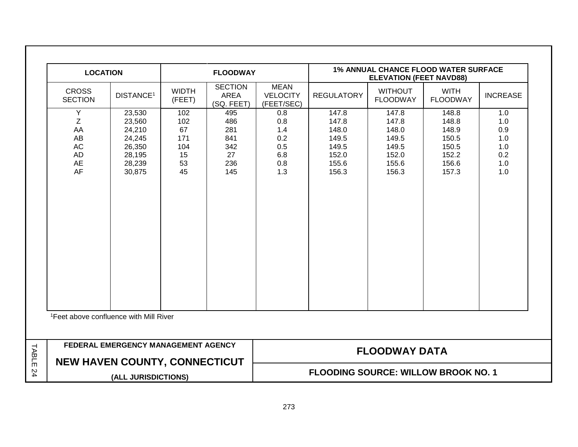| <b>LOCATION</b>                                                                                                |                                                                              |                                                  | <b>FLOODWAY</b>                                     |                                                      | <b>1% ANNUAL CHANCE FLOOD WATER SURFACE</b><br><b>ELEVATION (FEET NAVD88)</b> |                                                                      |                                                                      |                                                      |  |
|----------------------------------------------------------------------------------------------------------------|------------------------------------------------------------------------------|--------------------------------------------------|-----------------------------------------------------|------------------------------------------------------|-------------------------------------------------------------------------------|----------------------------------------------------------------------|----------------------------------------------------------------------|------------------------------------------------------|--|
| <b>CROSS</b><br><b>SECTION</b>                                                                                 | <b>DISTANCE<sup>1</sup></b>                                                  | <b>WIDTH</b><br>(FEET)                           | <b>SECTION</b><br>AREA<br>(SQ. FEET)                | <b>MEAN</b><br><b>VELOCITY</b><br>(FEET/SEC)         | <b>REGULATORY</b>                                                             | <b>WITHOUT</b><br><b>FLOODWAY</b>                                    | <b>WITH</b><br><b>FLOODWAY</b>                                       | <b>INCREASE</b>                                      |  |
| Υ<br>Z<br>AA<br>AB<br><b>AC</b><br>AD<br><b>AE</b><br>AF<br><sup>1</sup> Feet above confluence with Mill River | 23,530<br>23,560<br>24,210<br>24,245<br>26,350<br>28,195<br>28,239<br>30,875 | 102<br>102<br>67<br>171<br>104<br>15<br>53<br>45 | 495<br>486<br>281<br>841<br>342<br>27<br>236<br>145 | 0.8<br>0.8<br>1.4<br>0.2<br>0.5<br>6.8<br>0.8<br>1.3 | 147.8<br>147.8<br>148.0<br>149.5<br>149.5<br>152.0<br>155.6<br>156.3          | 147.8<br>147.8<br>148.0<br>149.5<br>149.5<br>152.0<br>155.6<br>156.3 | 148.8<br>148.8<br>148.9<br>150.5<br>150.5<br>152.2<br>156.6<br>157.3 | 1.0<br>1.0<br>0.9<br>1.0<br>1.0<br>0.2<br>1.0<br>1.0 |  |
|                                                                                                                |                                                                              |                                                  |                                                     |                                                      |                                                                               |                                                                      |                                                                      |                                                      |  |
|                                                                                                                | FEDERAL EMERGENCY MANAGEMENT AGENCY                                          |                                                  |                                                     |                                                      |                                                                               | <b>FLOODWAY DATA</b>                                                 |                                                                      |                                                      |  |
|                                                                                                                | <b>NEW HAVEN COUNTY, CONNECTICUT</b><br>(ALL JURISDICTIONS)                  |                                                  |                                                     |                                                      | <b>FLOODING SOURCE: WILLOW BROOK NO. 1</b>                                    |                                                                      |                                                                      |                                                      |  |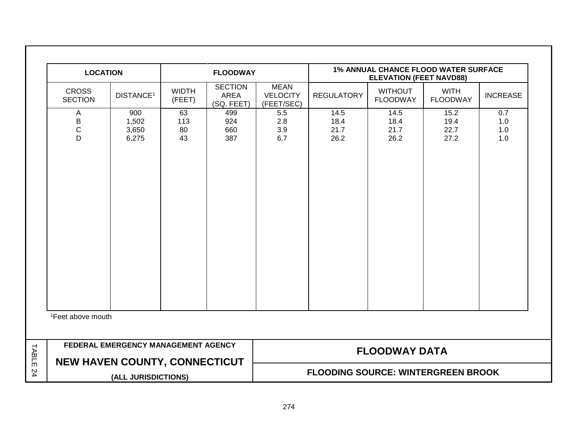|       | <b>LOCATION</b>                                                             |                                |                        | <b>FLOODWAY</b>                      |                                              |                              | 1% ANNUAL CHANCE FLOOD WATER SURFACE<br><b>ELEVATION (FEET NAVD88)</b> |                                |                          |  |
|-------|-----------------------------------------------------------------------------|--------------------------------|------------------------|--------------------------------------|----------------------------------------------|------------------------------|------------------------------------------------------------------------|--------------------------------|--------------------------|--|
|       | <b>CROSS</b><br><b>SECTION</b>                                              | DISTANCE <sup>1</sup>          | <b>WIDTH</b><br>(FEET) | <b>SECTION</b><br>AREA<br>(SQ. FEET) | <b>MEAN</b><br><b>VELOCITY</b><br>(FEET/SEC) | <b>REGULATORY</b>            | <b>WITHOUT</b><br><b>FLOODWAY</b>                                      | <b>WITH</b><br><b>FLOODWAY</b> | <b>INCREASE</b>          |  |
|       | A<br>Β<br>$\mathsf C$<br>D                                                  | 900<br>1,502<br>3,650<br>6,275 | 63<br>113<br>80<br>43  | 499<br>924<br>660<br>387             | 5.5<br>2.8<br>3.9<br>6.7                     | 14.5<br>18.4<br>21.7<br>26.2 | 14.5<br>18.4<br>21.7<br>26.2                                           | 15.2<br>19.4<br>22.7<br>27.2   | 0.7<br>1.0<br>1.0<br>1.0 |  |
|       | <sup>1</sup> Feet above mouth                                               |                                |                        |                                      |                                              |                              |                                                                        |                                |                          |  |
| TABLE | FEDERAL EMERGENCY MANAGEMENT AGENCY<br><b>NEW HAVEN COUNTY, CONNECTICUT</b> |                                |                        |                                      | <b>FLOODWAY DATA</b>                         |                              |                                                                        |                                |                          |  |
| 24    |                                                                             | (ALL JURISDICTIONS)            |                        |                                      | <b>FLOODING SOURCE: WINTERGREEN BROOK</b>    |                              |                                                                        |                                |                          |  |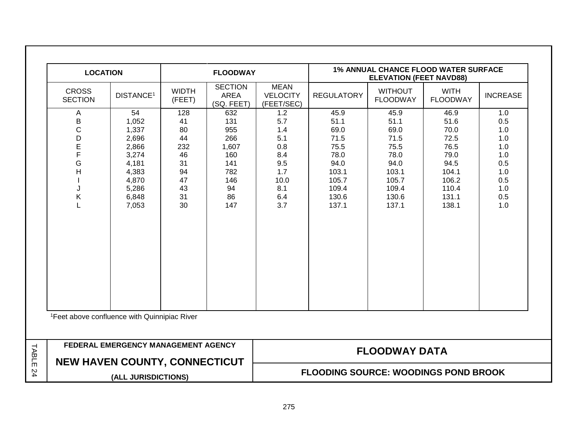| <b>LOCATION</b>                                                                                                            |                                                                                                       |                                                                        | <b>FLOODWAY</b>                                                                  |                                                                                   | <b>1% ANNUAL CHANCE FLOOD WATER SURFACE</b><br><b>ELEVATION (FEET NAVD88)</b>                     |                                                                                                   |                                                                                                   |                                                                                  |
|----------------------------------------------------------------------------------------------------------------------------|-------------------------------------------------------------------------------------------------------|------------------------------------------------------------------------|----------------------------------------------------------------------------------|-----------------------------------------------------------------------------------|---------------------------------------------------------------------------------------------------|---------------------------------------------------------------------------------------------------|---------------------------------------------------------------------------------------------------|----------------------------------------------------------------------------------|
| <b>CROSS</b><br><b>SECTION</b>                                                                                             | DISTANCE <sup>1</sup>                                                                                 | <b>WIDTH</b><br>(FEET)                                                 | <b>SECTION</b><br><b>AREA</b><br>(SQ. FEET)                                      | <b>MEAN</b><br><b>VELOCITY</b><br>(FEET/SEC)                                      | <b>REGULATORY</b>                                                                                 | <b>WITHOUT</b><br><b>FLOODWAY</b>                                                                 | <b>WITH</b><br><b>FLOODWAY</b>                                                                    | <b>INCREASE</b>                                                                  |
| Α<br>B<br>$\mathsf{C}$<br>D<br>E<br>F<br>G<br>H<br>J<br>Κ<br>L<br><sup>1</sup> Feet above confluence with Quinnipiac River | 54<br>1,052<br>1,337<br>2,696<br>2,866<br>3,274<br>4,181<br>4,383<br>4,870<br>5,286<br>6,848<br>7,053 | 128<br>41<br>80<br>44<br>232<br>46<br>31<br>94<br>47<br>43<br>31<br>30 | 632<br>131<br>955<br>266<br>1,607<br>160<br>141<br>782<br>146<br>94<br>86<br>147 | 1.2<br>5.7<br>1.4<br>5.1<br>0.8<br>8.4<br>9.5<br>1.7<br>10.0<br>8.1<br>6.4<br>3.7 | 45.9<br>51.1<br>69.0<br>71.5<br>75.5<br>78.0<br>94.0<br>103.1<br>105.7<br>109.4<br>130.6<br>137.1 | 45.9<br>51.1<br>69.0<br>71.5<br>75.5<br>78.0<br>94.0<br>103.1<br>105.7<br>109.4<br>130.6<br>137.1 | 46.9<br>51.6<br>70.0<br>72.5<br>76.5<br>79.0<br>94.5<br>104.1<br>106.2<br>110.4<br>131.1<br>138.1 | 1.0<br>0.5<br>1.0<br>1.0<br>1.0<br>1.0<br>0.5<br>1.0<br>0.5<br>1.0<br>0.5<br>1.0 |
|                                                                                                                            | FEDERAL EMERGENCY MANAGEMENT AGENCY                                                                   |                                                                        |                                                                                  |                                                                                   |                                                                                                   |                                                                                                   |                                                                                                   |                                                                                  |
|                                                                                                                            | <b>NEW HAVEN COUNTY, CONNECTICUT</b>                                                                  |                                                                        |                                                                                  | <b>FLOODWAY DATA</b><br><b>FLOODING SOURCE: WOODINGS POND BROOK</b>               |                                                                                                   |                                                                                                   |                                                                                                   |                                                                                  |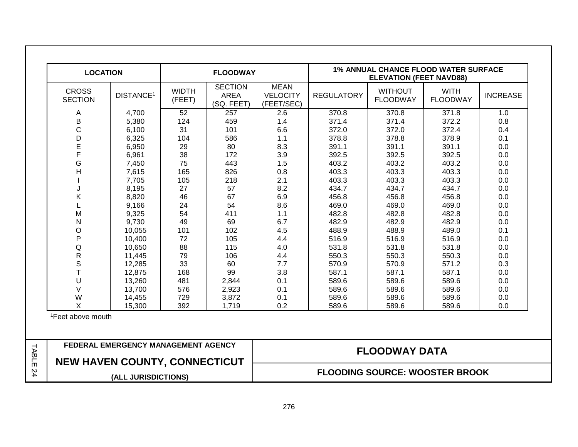| <b>LOCATION</b>                |                                      |                        | <b>FLOODWAY</b>                             |                                              |                   | <b>ELEVATION (FEET NAVD88)</b>    | <b>1% ANNUAL CHANCE FLOOD WATER SURFACE</b> |                 |
|--------------------------------|--------------------------------------|------------------------|---------------------------------------------|----------------------------------------------|-------------------|-----------------------------------|---------------------------------------------|-----------------|
| <b>CROSS</b><br><b>SECTION</b> | DISTANCE <sup>1</sup>                | <b>WIDTH</b><br>(FEET) | <b>SECTION</b><br><b>AREA</b><br>(SQ. FEET) | <b>MEAN</b><br><b>VELOCITY</b><br>(FEET/SEC) | <b>REGULATORY</b> | <b>WITHOUT</b><br><b>FLOODWAY</b> | <b>WITH</b><br><b>FLOODWAY</b>              | <b>INCREASE</b> |
| Α                              | 4,700                                | 52                     | 257                                         | 2.6                                          | 370.8             | 370.8                             | 371.8                                       | 1.0             |
| B                              | 5,380                                | 124                    | 459                                         | 1.4                                          | 371.4             | 371.4                             | 372.2                                       | 0.8             |
| $\mathsf{C}$                   | 6,100                                | 31                     | 101                                         | 6.6                                          | 372.0             | 372.0                             | 372.4                                       | 0.4             |
| D                              | 6,325                                | 104                    | 586                                         | 1.1                                          | 378.8             | 378.8                             | 378.9                                       | 0.1             |
| E                              | 6,950                                | 29                     | 80                                          | 8.3                                          | 391.1             | 391.1                             | 391.1                                       | 0.0             |
| F                              | 6,961                                | 38                     | 172                                         | 3.9                                          | 392.5             | 392.5                             | 392.5                                       | 0.0             |
| G                              | 7,450                                | 75                     | 443                                         | 1.5                                          | 403.2             | 403.2                             | 403.2                                       | 0.0             |
| H                              | 7,615                                | 165                    | 826                                         | 0.8                                          | 403.3             | 403.3                             | 403.3                                       | 0.0             |
|                                | 7,705                                | 105                    | 218                                         | 2.1                                          | 403.3             | 403.3                             | 403.3                                       | 0.0             |
| J                              | 8,195                                | 27                     | 57                                          | 8.2                                          | 434.7             | 434.7                             | 434.7                                       | 0.0             |
| K                              | 8,820                                | 46                     | 67                                          | 6.9                                          | 456.8             | 456.8                             | 456.8                                       | 0.0             |
| L                              | 9,166                                | 24                     | 54                                          | 8.6                                          | 469.0             | 469.0                             | 469.0                                       | 0.0             |
| M                              | 9,325                                | 54                     | 411                                         | 1.1                                          | 482.8             | 482.8                             | 482.8                                       | 0.0             |
| N                              | 9,730                                | 49                     | 69                                          | 6.7                                          | 482.9             | 482.9                             | 482.9                                       | 0.0             |
| $\circ$                        | 10,055                               | 101                    | 102                                         | 4.5                                          | 488.9             | 488.9                             | 489.0                                       | 0.1             |
| $\mathsf{P}$                   | 10,400                               | 72                     | 105                                         | 4.4                                          | 516.9             | 516.9                             | 516.9                                       | 0.0             |
| Q                              | 10,650                               | 88                     | 115                                         | 4.0                                          | 531.8             | 531.8                             | 531.8                                       | 0.0             |
| $\mathsf{R}$                   | 11,445                               | 79                     | 106                                         | 4.4                                          | 550.3             | 550.3                             | 550.3                                       | 0.0             |
| $\mathsf S$                    | 12,285                               | 33                     | 60                                          | 7.7                                          | 570.9             | 570.9                             | 571.2                                       | 0.3             |
| T                              | 12,875                               | 168                    | 99                                          | 3.8                                          | 587.1             | 587.1                             | 587.1                                       | 0.0             |
| U                              | 13,260                               | 481                    | 2,844                                       | 0.1                                          | 589.6             | 589.6                             | 589.6                                       | 0.0             |
| $\vee$                         | 13,700                               | 576                    | 2,923                                       | 0.1                                          | 589.6             | 589.6                             | 589.6                                       | 0.0             |
| W                              | 14,455                               | 729                    | 3,872                                       | 0.1                                          | 589.6             | 589.6                             | 589.6                                       | 0.0             |
| X                              | 15,300                               | 392                    | 1,719                                       | 0.2                                          | 589.6             | 589.6                             | 589.6                                       | 0.0             |
| <sup>1</sup> Feet above mouth  |                                      |                        |                                             |                                              |                   |                                   |                                             |                 |
|                                | FEDERAL EMERGENCY MANAGEMENT AGENCY  |                        |                                             |                                              |                   | <b>FLOODWAY DATA</b>              |                                             |                 |
|                                | <b>NEW HAVEN COUNTY, CONNECTICUT</b> |                        |                                             |                                              |                   |                                   |                                             |                 |
|                                | (ALL JURISDICTIONS)                  |                        |                                             |                                              |                   |                                   | <b>FLOODING SOURCE: WOOSTER BROOK</b>       |                 |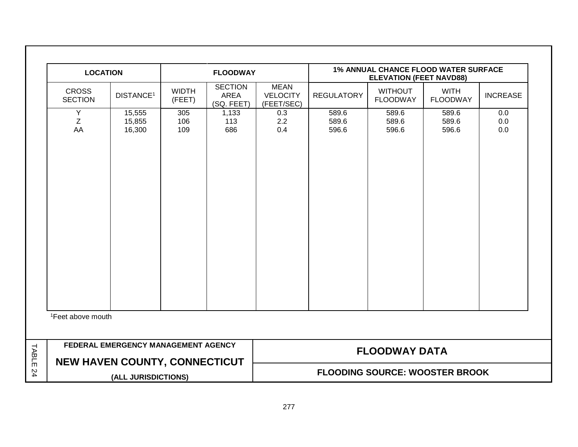|       | <b>LOCATION</b>                      |                                     |                        | <b>FLOODWAY</b>                      |                                              |                         | 1% ANNUAL CHANCE FLOOD WATER SURFACE<br><b>ELEVATION (FEET NAVD88)</b> |                                |                   |
|-------|--------------------------------------|-------------------------------------|------------------------|--------------------------------------|----------------------------------------------|-------------------------|------------------------------------------------------------------------|--------------------------------|-------------------|
|       | <b>CROSS</b><br><b>SECTION</b>       | DISTANCE <sup>1</sup>               | <b>WIDTH</b><br>(FEET) | <b>SECTION</b><br>AREA<br>(SQ. FEET) | <b>MEAN</b><br><b>VELOCITY</b><br>(FEET/SEC) | <b>REGULATORY</b>       | <b>WITHOUT</b><br><b>FLOODWAY</b>                                      | <b>WITH</b><br><b>FLOODWAY</b> | <b>INCREASE</b>   |
|       | Y<br>Ζ<br>AA                         | 15,555<br>15,855<br>16,300          | 305<br>106<br>109      | 1,133<br>113<br>686                  | 0.3<br>2.2<br>0.4                            | 589.6<br>589.6<br>596.6 | 589.6<br>589.6<br>596.6                                                | 589.6<br>589.6<br>596.6        | 0.0<br>0.0<br>0.0 |
|       | <sup>1</sup> Feet above mouth        |                                     |                        |                                      |                                              |                         |                                                                        |                                |                   |
| TABLE | <b>NEW HAVEN COUNTY, CONNECTICUT</b> | FEDERAL EMERGENCY MANAGEMENT AGENCY |                        |                                      |                                              |                         | <b>FLOODWAY DATA</b>                                                   |                                |                   |
| 24    |                                      | (ALL JURISDICTIONS)                 |                        |                                      |                                              |                         | <b>FLOODING SOURCE: WOOSTER BROOK</b>                                  |                                |                   |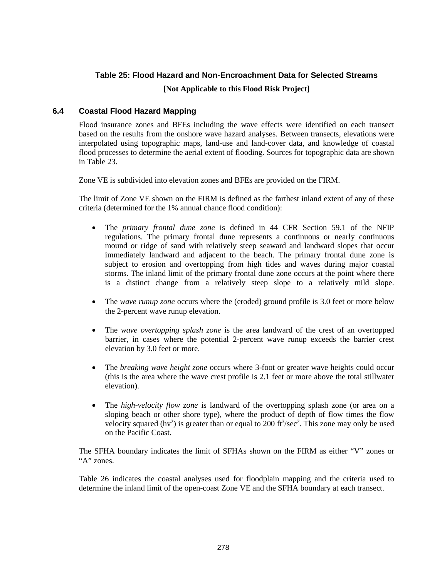#### **Table 25: Flood Hazard and Non-Encroachment Data for Selected Streams**

#### **[Not Applicable to this Flood Risk Project]**

#### **6.4 Coastal Flood Hazard Mapping**

Flood insurance zones and BFEs including the wave effects were identified on each transect based on the results from the onshore wave hazard analyses. Between transects, elevations were interpolated using topographic maps, land-use and land-cover data, and knowledge of coastal flood processes to determine the aerial extent of flooding. Sources for topographic data are shown in Table 23.

Zone VE is subdivided into elevation zones and BFEs are provided on the FIRM.

The limit of Zone VE shown on the FIRM is defined as the farthest inland extent of any of these criteria (determined for the 1% annual chance flood condition):

- The *primary frontal dune zone* is defined in 44 CFR Section 59.1 of the NFIP regulations. The primary frontal dune represents a continuous or nearly continuous mound or ridge of sand with relatively steep seaward and landward slopes that occur immediately landward and adjacent to the beach. The primary frontal dune zone is subject to erosion and overtopping from high tides and waves during major coastal storms. The inland limit of the primary frontal dune zone occurs at the point where there is a distinct change from a relatively steep slope to a relatively mild slope.
- The *wave runup zone* occurs where the (eroded) ground profile is 3.0 feet or more below the 2-percent wave runup elevation.
- The *wave overtopping splash zone* is the area landward of the crest of an overtopped barrier, in cases where the potential 2-percent wave runup exceeds the barrier crest elevation by 3.0 feet or more.
- The *breaking wave height zone* occurs where 3-foot or greater wave heights could occur (this is the area where the wave crest profile is 2.1 feet or more above the total stillwater elevation).
- The *high-velocity flow zone* is landward of the overtopping splash zone (or area on a sloping beach or other shore type), where the product of depth of flow times the flow velocity squared ( $hv^2$ ) is greater than or equal to 200 ft $3/sec^2$ . This zone may only be used on the Pacific Coast.

The SFHA boundary indicates the limit of SFHAs shown on the FIRM as either "V" zones or "A" zones.

Table 26 indicates the coastal analyses used for floodplain mapping and the criteria used to determine the inland limit of the open-coast Zone VE and the SFHA boundary at each transect.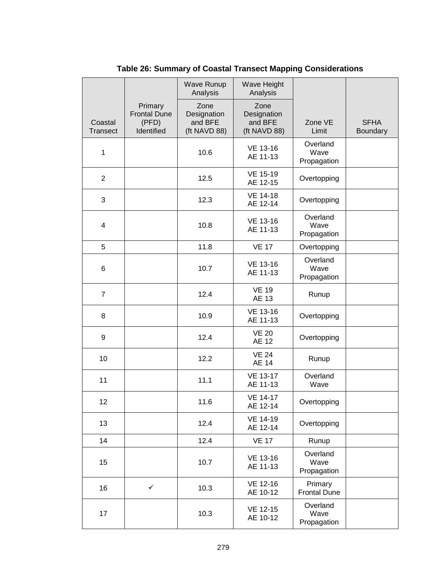|                            |                                                       | Wave Runup<br>Analysis                         | Wave Height<br>Analysis                        |                                 |                         |
|----------------------------|-------------------------------------------------------|------------------------------------------------|------------------------------------------------|---------------------------------|-------------------------|
| Coastal<br><b>Transect</b> | Primary<br><b>Frontal Dune</b><br>(PFD)<br>Identified | Zone<br>Designation<br>and BFE<br>(ft NAVD 88) | Zone<br>Designation<br>and BFE<br>(ft NAVD 88) | Zone VE<br>Limit                | <b>SFHA</b><br>Boundary |
| 1                          |                                                       | 10.6                                           | VE 13-16<br>AE 11-13                           | Overland<br>Wave<br>Propagation |                         |
| $\overline{2}$             |                                                       | 12.5                                           | VE 15-19<br>AE 12-15                           | Overtopping                     |                         |
| 3                          |                                                       | 12.3                                           | <b>VE 14-18</b><br>AE 12-14                    | Overtopping                     |                         |
| 4                          |                                                       | 10.8                                           | VE 13-16<br>AE 11-13                           | Overland<br>Wave<br>Propagation |                         |
| 5                          |                                                       | 11.8                                           | <b>VE 17</b>                                   | Overtopping                     |                         |
| 6                          |                                                       | 10.7                                           | VE 13-16<br>AE 11-13                           | Overland<br>Wave<br>Propagation |                         |
| $\overline{7}$             |                                                       | 12.4                                           | <b>VE 19</b><br>AE 13                          | Runup                           |                         |
| 8                          |                                                       | 10.9                                           | VE 13-16<br>AE 11-13                           | Overtopping                     |                         |
| 9                          |                                                       | 12.4                                           | <b>VE 20</b><br>AE 12                          | Overtopping                     |                         |
| 10                         |                                                       | 12.2                                           | <b>VE 24</b><br><b>AE 14</b>                   | Runup                           |                         |
| 11                         |                                                       | 11.1                                           | <b>VE 13-17</b><br>AE 11-13                    | Overland<br>Wave                |                         |
| 12                         |                                                       | 11.6                                           | <b>VE 14-17</b><br>AE 12-14                    | Overtopping                     |                         |
| 13                         |                                                       | 12.4                                           | VE 14-19<br>AE 12-14                           | Overtopping                     |                         |
| 14                         |                                                       | 12.4                                           | <b>VE 17</b>                                   | Runup                           |                         |
| 15                         |                                                       | 10.7                                           | VE 13-16<br>AE 11-13                           | Overland<br>Wave<br>Propagation |                         |
| 16                         | $\checkmark$                                          | 10.3                                           | VE 12-16<br>AE 10-12                           | Primary<br><b>Frontal Dune</b>  |                         |
| 17                         |                                                       | 10.3                                           | VE 12-15<br>AE 10-12                           | Overland<br>Wave<br>Propagation |                         |

**Table 26: Summary of Coastal Transect Mapping Considerations**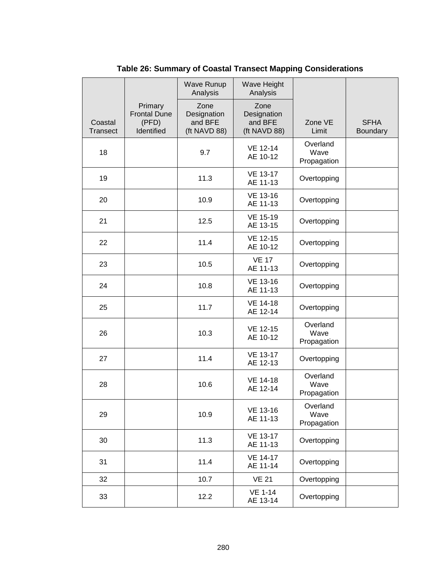|                            |                                                       | Wave Runup<br>Analysis                         | Wave Height<br>Analysis                        |                                 |                         |
|----------------------------|-------------------------------------------------------|------------------------------------------------|------------------------------------------------|---------------------------------|-------------------------|
| Coastal<br><b>Transect</b> | Primary<br><b>Frontal Dune</b><br>(PFD)<br>Identified | Zone<br>Designation<br>and BFE<br>(ft NAVD 88) | Zone<br>Designation<br>and BFE<br>(ft NAVD 88) | Zone VE<br>Limit                | <b>SFHA</b><br>Boundary |
| 18                         |                                                       | 9.7                                            | VE 12-14<br>AE 10-12                           | Overland<br>Wave<br>Propagation |                         |
| 19                         |                                                       | 11.3                                           | <b>VE 13-17</b><br>AE 11-13                    | Overtopping                     |                         |
| 20                         |                                                       | 10.9                                           | VE 13-16<br>AE 11-13                           | Overtopping                     |                         |
| 21                         |                                                       | 12.5                                           | VE 15-19<br>AE 13-15                           | Overtopping                     |                         |
| 22                         |                                                       | 11.4                                           | VE 12-15<br>AE 10-12                           | Overtopping                     |                         |
| 23                         |                                                       | 10.5                                           | <b>VE 17</b><br>AE 11-13                       | Overtopping                     |                         |
| 24                         |                                                       | 10.8                                           | VE 13-16<br>AE 11-13                           | Overtopping                     |                         |
| 25                         |                                                       | 11.7                                           | <b>VE 14-18</b><br>AE 12-14                    | Overtopping                     |                         |
| 26                         |                                                       | 10.3                                           | VE 12-15<br>AE 10-12                           | Overland<br>Wave<br>Propagation |                         |
| 27                         |                                                       | 11.4                                           | <b>VE 13-17</b><br>AE 12-13                    | Overtopping                     |                         |
| 28                         |                                                       | 10.6                                           | <b>VE 14-18</b><br>AE 12-14                    | Overland<br>Wave<br>Propagation |                         |
| 29                         |                                                       | 10.9                                           | VE 13-16<br>AE 11-13                           | Overland<br>Wave<br>Propagation |                         |
| 30                         |                                                       | 11.3                                           | VE 13-17<br>AE 11-13                           | Overtopping                     |                         |
| 31                         |                                                       | 11.4                                           | <b>VE 14-17</b><br>AE 11-14                    | Overtopping                     |                         |
| 32                         |                                                       | 10.7                                           | <b>VE 21</b>                                   | Overtopping                     |                         |
| 33                         |                                                       | 12.2                                           | <b>VE 1-14</b><br>AE 13-14                     | Overtopping                     |                         |

**Table 26: Summary of Coastal Transect Mapping Considerations**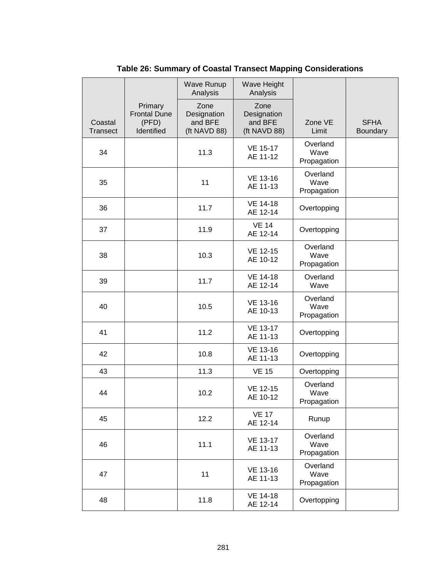|                            |                                                       | <b>Wave Runup</b><br>Analysis                  | Wave Height<br>Analysis                        |                                 |                         |
|----------------------------|-------------------------------------------------------|------------------------------------------------|------------------------------------------------|---------------------------------|-------------------------|
| Coastal<br><b>Transect</b> | Primary<br><b>Frontal Dune</b><br>(PFD)<br>Identified | Zone<br>Designation<br>and BFE<br>(ft NAVD 88) | Zone<br>Designation<br>and BFE<br>(ft NAVD 88) | Zone VE<br>Limit                | <b>SFHA</b><br>Boundary |
| 34                         |                                                       | 11.3                                           | <b>VE 15-17</b><br>AE 11-12                    | Overland<br>Wave<br>Propagation |                         |
| 35                         |                                                       | 11                                             | <b>VE 13-16</b><br>AE 11-13                    | Overland<br>Wave<br>Propagation |                         |
| 36                         |                                                       | 11.7                                           | <b>VE 14-18</b><br>AE 12-14                    | Overtopping                     |                         |
| 37                         |                                                       | 11.9                                           | <b>VE 14</b><br>AE 12-14                       | Overtopping                     |                         |
| 38                         |                                                       | 10.3                                           | VE 12-15<br>AE 10-12                           | Overland<br>Wave<br>Propagation |                         |
| 39                         |                                                       | 11.7                                           | <b>VE 14-18</b><br>AE 12-14                    | Overland<br>Wave                |                         |
| 40                         |                                                       | 10.5                                           | VE 13-16<br>AE 10-13                           | Overland<br>Wave<br>Propagation |                         |
| 41                         |                                                       | 11.2                                           | <b>VE 13-17</b><br>AE 11-13                    | Overtopping                     |                         |
| 42                         |                                                       | 10.8                                           | VE 13-16<br>AE 11-13                           | Overtopping                     |                         |
| 43                         |                                                       | 11.3                                           | <b>VE 15</b>                                   | Overtopping                     |                         |
| 44                         |                                                       | 10.2                                           | VE 12-15<br>AE 10-12                           | Overland<br>Wave<br>Propagation |                         |
| 45                         |                                                       | 12.2                                           | <b>VE 17</b><br>AE 12-14                       | Runup                           |                         |
| 46                         |                                                       | 11.1                                           | VE 13-17<br>AE 11-13                           | Overland<br>Wave<br>Propagation |                         |
| 47                         |                                                       | 11                                             | VE 13-16<br>AE 11-13                           | Overland<br>Wave<br>Propagation |                         |
| 48                         |                                                       | 11.8                                           | <b>VE 14-18</b><br>AE 12-14                    | Overtopping                     |                         |

**Table 26: Summary of Coastal Transect Mapping Considerations**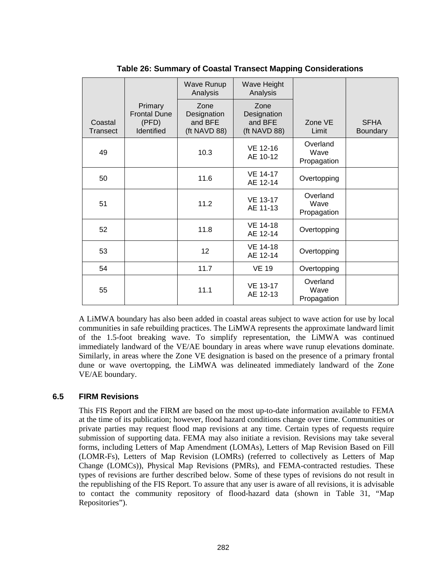|                     |                                                              | <b>Wave Runup</b><br>Analysis                  | Wave Height<br>Analysis                        |                                 |                                |
|---------------------|--------------------------------------------------------------|------------------------------------------------|------------------------------------------------|---------------------------------|--------------------------------|
| Coastal<br>Transect | Primary<br><b>Frontal Dune</b><br>(PFD)<br><b>Identified</b> | Zone<br>Designation<br>and BFE<br>(ft NAVD 88) | Zone<br>Designation<br>and BFE<br>(ft NAVD 88) | Zone VE<br>Limit                | <b>SFHA</b><br><b>Boundary</b> |
| 49                  |                                                              | 10.3                                           | VE 12-16<br>AE 10-12                           | Overland<br>Wave<br>Propagation |                                |
| 50                  |                                                              | 11.6                                           | <b>VE 14-17</b><br>AE 12-14                    | Overtopping                     |                                |
| 51                  |                                                              | 11.2                                           | VE 13-17<br>AE 11-13                           | Overland<br>Wave<br>Propagation |                                |
| 52                  |                                                              | 11.8                                           | VE 14-18<br>AE 12-14                           | Overtopping                     |                                |
| 53                  |                                                              | 12                                             | <b>VE 14-18</b><br>AE 12-14                    | Overtopping                     |                                |
| 54                  |                                                              | 11.7                                           | <b>VE 19</b>                                   | Overtopping                     |                                |
| 55                  |                                                              | 11.1                                           | VE 13-17<br>AE 12-13                           | Overland<br>Wave<br>Propagation |                                |

**Table 26: Summary of Coastal Transect Mapping Considerations**

A LiMWA boundary has also been added in coastal areas subject to wave action for use by local communities in safe rebuilding practices. The LiMWA represents the approximate landward limit of the 1.5-foot breaking wave. To simplify representation, the LiMWA was continued immediately landward of the VE/AE boundary in areas where wave runup elevations dominate. Similarly, in areas where the Zone VE designation is based on the presence of a primary frontal dune or wave overtopping, the LiMWA was delineated immediately landward of the Zone VE/AE boundary.

#### **6.5 FIRM Revisions**

This FIS Report and the FIRM are based on the most up-to-date information available to FEMA at the time of its publication; however, flood hazard conditions change over time. Communities or private parties may request flood map revisions at any time. Certain types of requests require submission of supporting data. FEMA may also initiate a revision. Revisions may take several forms, including Letters of Map Amendment (LOMAs), Letters of Map Revision Based on Fill (LOMR-Fs), Letters of Map Revision (LOMRs) (referred to collectively as Letters of Map Change (LOMCs)), Physical Map Revisions (PMRs), and FEMA-contracted restudies. These types of revisions are further described below. Some of these types of revisions do not result in the republishing of the FIS Report. To assure that any user is aware of all revisions, it is advisable to contact the community repository of flood-hazard data (shown in Table 31, "Map Repositories").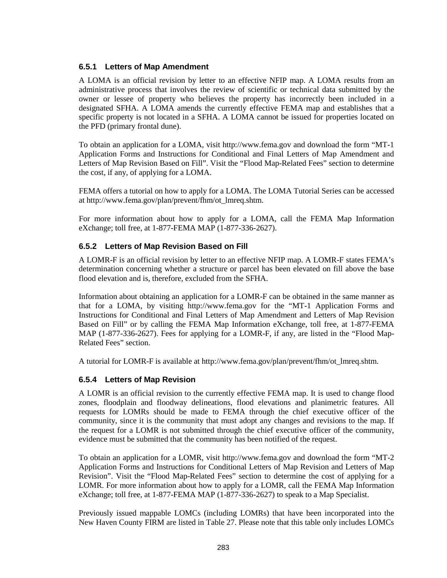#### **6.5.1 Letters of Map Amendment**

A LOMA is an official revision by letter to an effective NFIP map. A LOMA results from an administrative process that involves the review of scientific or technical data submitted by the owner or lessee of property who believes the property has incorrectly been included in a designated SFHA. A LOMA amends the currently effective FEMA map and establishes that a specific property is not located in a SFHA. A LOMA cannot be issued for properties located on the PFD (primary frontal dune).

To obtain an application for a LOMA, visit [http://www.fema.gov](http://www.fema.gov/) and download the form "MT-1 Application Forms and Instructions for Conditional and Final Letters of Map Amendment and Letters of Map Revision Based on Fill". Visit the "Flood Map-Related Fees" section to determine the cost, if any, of applying for a LOMA.

FEMA offers a tutorial on how to apply for a LOMA. The LOMA Tutorial Series can be accessed at [http://www.fema.gov/plan/prevent/fhm/ot\\_lmreq.shtm.](http://www.fema.gov/plan/prevent/fhm/ot_lmreq.shtm)

For more information about how to apply for a LOMA, call the FEMA Map Information eXchange; toll free, at 1-877-FEMA MAP (1-877-336-2627).

#### **6.5.2 Letters of Map Revision Based on Fill**

A LOMR-F is an official revision by letter to an effective NFIP map. A LOMR-F states FEMA's determination concerning whether a structure or parcel has been elevated on fill above the base flood elevation and is, therefore, excluded from the SFHA.

Information about obtaining an application for a LOMR-F can be obtained in the same manner as that for a LOMA, by visiting [http://www.fema.gov](http://www.fema.gov/) for the "MT-1 Application Forms and Instructions for Conditional and Final Letters of Map Amendment and Letters of Map Revision Based on Fill" or by calling the FEMA Map Information eXchange, toll free, at 1-877-FEMA MAP (1-877-336-2627). Fees for applying for a LOMR-F, if any, are listed in the "Flood Map-Related Fees" section.

A tutorial for LOMR-F is available at [http://www.fema.gov/plan/prevent/fhm/ot\\_lmreq.shtm.](http://www.fema.gov/plan/prevent/fhm/ot_lmreq.shtm)

#### **6.5.4 Letters of Map Revision**

A LOMR is an official revision to the currently effective FEMA map. It is used to change flood zones, floodplain and floodway delineations, flood elevations and planimetric features. All requests for LOMRs should be made to FEMA through the chief executive officer of the community, since it is the community that must adopt any changes and revisions to the map. If the request for a LOMR is not submitted through the chief executive officer of the community, evidence must be submitted that the community has been notified of the request.

To obtain an application for a LOMR, visit [http://www.fema.gov](http://www.fema.gov/) and download the form "MT-2 Application Forms and Instructions for Conditional Letters of Map Revision and Letters of Map Revision". Visit the "Flood Map-Related Fees" section to determine the cost of applying for a LOMR. For more information about how to apply for a LOMR, call the FEMA Map Information eXchange; toll free, at 1-877-FEMA MAP (1-877-336-2627) to speak to a Map Specialist.

Previously issued mappable LOMCs (including LOMRs) that have been incorporated into the New Haven County FIRM are listed in [Table 27.](#page-24-0) Please note that this table only includes LOMCs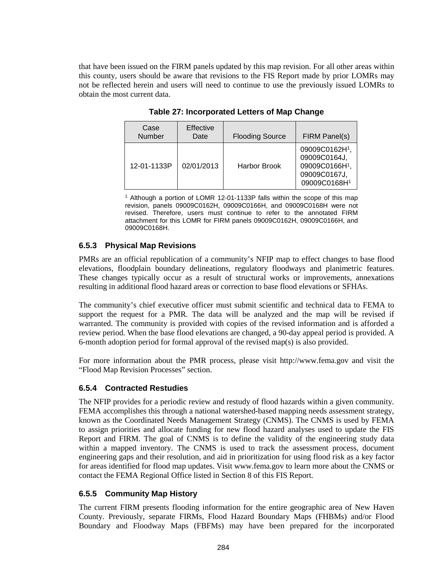<span id="page-24-0"></span>that have been issued on the FIRM panels updated by this map revision. For all other areas within this county, users should be aware that revisions to the FIS Report made by prior LOMRs may not be reflected herein and users will need to continue to use the previously issued LOMRs to obtain the most current data.

| Case<br>Number | <b>Effective</b><br>Date | <b>Flooding Source</b> | FIRM Panel(s)                                                                  |
|----------------|--------------------------|------------------------|--------------------------------------------------------------------------------|
| 12-01-1133P    | 02/01/2013               | <b>Harbor Brook</b>    | 09009C0162H1,<br>09009C0164J,<br>09009C0166H1,<br>09009C0167J,<br>09009C0168H1 |

**Table 27: Incorporated Letters of Map Change**

<sup>1</sup> Although a portion of LOMR 12-01-1133P falls within the scope of this map revision, panels 09009C0162H, 09009C0166H, and 09009C0168H were not revised. Therefore, users must continue to refer to the annotated FIRM attachment for this LOMR for FIRM panels 09009C0162H, 09009C0166H, and 09009C0168H.

#### **6.5.3 Physical Map Revisions**

PMRs are an official republication of a community's NFIP map to effect changes to base flood elevations, floodplain boundary delineations, regulatory floodways and planimetric features. These changes typically occur as a result of structural works or improvements, annexations resulting in additional flood hazard areas or correction to base flood elevations or SFHAs.

The community's chief executive officer must submit scientific and technical data to FEMA to support the request for a PMR. The data will be analyzed and the map will be revised if warranted. The community is provided with copies of the revised information and is afforded a review period. When the base flood elevations are changed, a 90-day appeal period is provided. A 6-month adoption period for formal approval of the revised map(s) is also provided.

For more information about the PMR process, please visit [http://www.fema.gov](http://www.fema.gov/) and visit the "Flood Map Revision Processes" section.

#### **6.5.4 Contracted Restudies**

The NFIP provides for a periodic review and restudy of flood hazards within a given community. FEMA accomplishes this through a national watershed-based mapping needs assessment strategy, known as the Coordinated Needs Management Strategy (CNMS). The CNMS is used by FEMA to assign priorities and allocate funding for new flood hazard analyses used to update the FIS Report and FIRM. The goal of CNMS is to define the validity of the engineering study data within a mapped inventory. The CNMS is used to track the assessment process, document engineering gaps and their resolution, and aid in prioritization for using flood risk as a key factor for areas identified for flood map updates. Visit [www.fema.gov](http://www.fema.gov/) to learn more about the CNMS or contact the FEMA Regional Office listed in Section 8 of this FIS Report.

#### **6.5.5 Community Map History**

The current FIRM presents flooding information for the entire geographic area of New Haven County. Previously, separate FIRMs, Flood Hazard Boundary Maps (FHBMs) and/or Flood Boundary and Floodway Maps (FBFMs) may have been prepared for the incorporated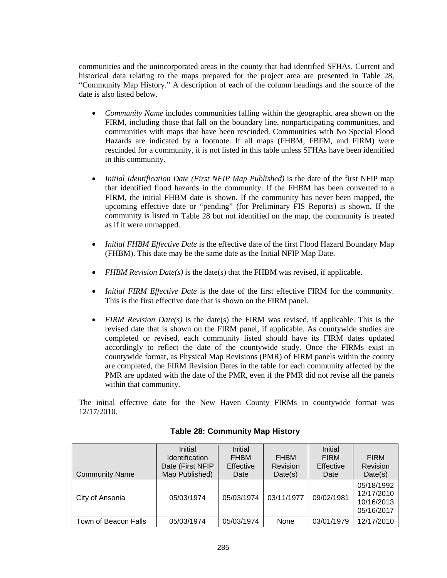communities and the unincorporated areas in the county that had identified SFHAs. Current and historical data relating to the maps prepared for the project area are presented in Table 28, "Community Map History." A description of each of the column headings and the source of the date is also listed below.

- *Community Name* includes communities falling within the geographic area shown on the FIRM, including those that fall on the boundary line, nonparticipating communities, and communities with maps that have been rescinded. Communities with No Special Flood Hazards are indicated by a footnote. If all maps (FHBM, FBFM, and FIRM) were rescinded for a community, it is not listed in this table unless SFHAs have been identified in this community.
- *Initial Identification Date (First NFIP Map Published)* is the date of the first NFIP map that identified flood hazards in the community. If the FHBM has been converted to a FIRM, the initial FHBM date is shown. If the community has never been mapped, the upcoming effective date or "pending" (for Preliminary FIS Reports) is shown. If the community is listed in Table 28 but not identified on the map, the community is treated as if it were unmapped.
- *Initial FHBM Effective Date* is the effective date of the first Flood Hazard Boundary Map (FHBM). This date may be the same date as the Initial NFIP Map Date.
- *FHBM Revision Date(s)* is the date(s) that the FHBM was revised, if applicable.
- *Initial FIRM Effective Date* is the date of the first effective FIRM for the community. This is the first effective date that is shown on the FIRM panel.
- *FIRM Revision Date(s)* is the date(s) the FIRM was revised, if applicable. This is the revised date that is shown on the FIRM panel, if applicable. As countywide studies are completed or revised, each community listed should have its FIRM dates updated accordingly to reflect the date of the countywide study. Once the FIRMs exist in countywide format, as Physical Map Revisions (PMR) of FIRM panels within the county are completed, the FIRM Revision Dates in the table for each community affected by the PMR are updated with the date of the PMR, even if the PMR did not revise all the panels within that community.

The initial effective date for the New Haven County FIRMs in countywide format was 12/17/2010.

| <b>Community Name</b> | Initial<br><b>Identification</b><br>Date (First NFIP<br>Map Published) | Initial<br><b>FHBM</b><br><b>Effective</b><br>Date | <b>FHBM</b><br>Revision<br>Date(s) | Initial<br><b>FIRM</b><br>Effective<br>Date | <b>FIRM</b><br>Revision<br>Date(s)                   |
|-----------------------|------------------------------------------------------------------------|----------------------------------------------------|------------------------------------|---------------------------------------------|------------------------------------------------------|
| City of Ansonia       | 05/03/1974                                                             | 05/03/1974                                         | 03/11/1977                         | 09/02/1981                                  | 05/18/1992<br>12/17/2010<br>10/16/2013<br>05/16/2017 |
| Town of Beacon Falls  | 05/03/1974                                                             | 05/03/1974                                         | <b>None</b>                        | 03/01/1979                                  | 12/17/2010                                           |

#### **Table 28: Community Map History**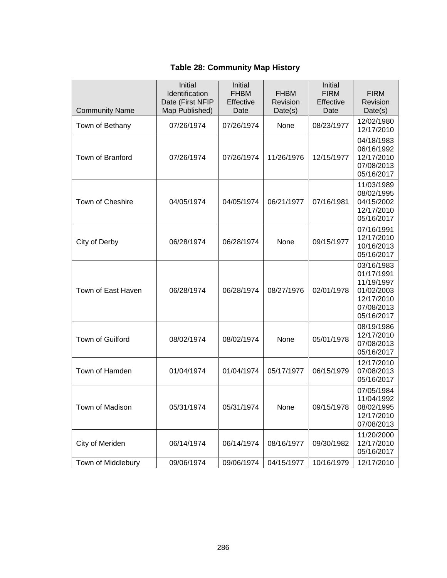#### **Table 28: Community Map History**

| <b>Community Name</b> | Initial<br>Identification<br>Date (First NFIP<br>Map Published) | Initial<br><b>FHBM</b><br>Effective<br>Date | <b>FHBM</b><br>Revision<br>Date(s) | Initial<br><b>FIRM</b><br>Effective<br>Date | <b>FIRM</b><br>Revision<br>Date(s)                                                             |
|-----------------------|-----------------------------------------------------------------|---------------------------------------------|------------------------------------|---------------------------------------------|------------------------------------------------------------------------------------------------|
| Town of Bethany       | 07/26/1974                                                      | 07/26/1974                                  | None                               | 08/23/1977                                  | 12/02/1980<br>12/17/2010                                                                       |
| Town of Branford      | 07/26/1974                                                      | 07/26/1974                                  | 11/26/1976                         | 12/15/1977                                  | 04/18/1983<br>06/16/1992<br>12/17/2010<br>07/08/2013<br>05/16/2017                             |
| Town of Cheshire      | 04/05/1974                                                      | 04/05/1974                                  | 06/21/1977                         | 07/16/1981                                  | 11/03/1989<br>08/02/1995<br>04/15/2002<br>12/17/2010<br>05/16/2017                             |
| City of Derby         | 06/28/1974                                                      | 06/28/1974                                  | None                               | 09/15/1977                                  | 07/16/1991<br>12/17/2010<br>10/16/2013<br>05/16/2017                                           |
| Town of East Haven    | 06/28/1974                                                      | 06/28/1974                                  | 08/27/1976                         | 02/01/1978                                  | 03/16/1983<br>01/17/1991<br>11/19/1997<br>01/02/2003<br>12/17/2010<br>07/08/2013<br>05/16/2017 |
| Town of Guilford      | 08/02/1974                                                      | 08/02/1974                                  | None                               | 05/01/1978                                  | 08/19/1986<br>12/17/2010<br>07/08/2013<br>05/16/2017                                           |
| Town of Hamden        | 01/04/1974                                                      | 01/04/1974                                  | 05/17/1977                         | 06/15/1979                                  | 12/17/2010<br>07/08/2013<br>05/16/2017                                                         |
| Town of Madison       | 05/31/1974                                                      | 05/31/1974                                  | None                               | 09/15/1978                                  | 07/05/1984<br>11/04/1992<br>08/02/1995<br>12/17/2010<br>07/08/2013                             |
| City of Meriden       | 06/14/1974                                                      | 06/14/1974                                  | 08/16/1977                         | 09/30/1982                                  | 11/20/2000<br>12/17/2010<br>05/16/2017                                                         |
| Town of Middlebury    | 09/06/1974                                                      | 09/06/1974                                  | 04/15/1977                         | 10/16/1979                                  | 12/17/2010                                                                                     |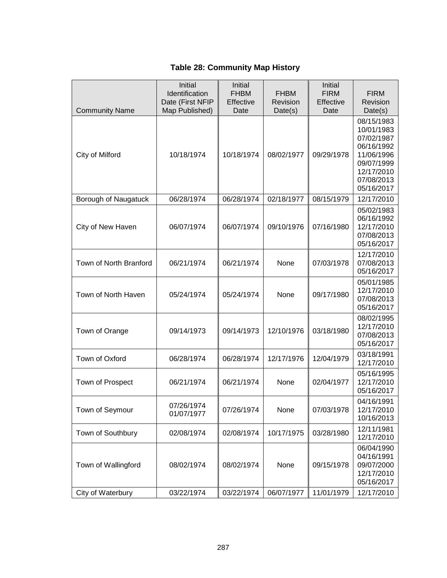### **Table 28: Community Map History**

| <b>Community Name</b>  | Initial<br>Identification<br>Date (First NFIP<br>Map Published) | Initial<br><b>FHBM</b><br>Effective<br>Date | <b>FHBM</b><br>Revision<br>Date(s) | Initial<br><b>FIRM</b><br>Effective<br>Date | <b>FIRM</b><br>Revision<br>Date(s)                                                                                         |
|------------------------|-----------------------------------------------------------------|---------------------------------------------|------------------------------------|---------------------------------------------|----------------------------------------------------------------------------------------------------------------------------|
| City of Milford        | 10/18/1974                                                      | 10/18/1974                                  | 08/02/1977                         | 09/29/1978                                  | 08/15/1983<br>10/01/1983<br>07/02/1987<br>06/16/1992<br>11/06/1996<br>09/07/1999<br>12/17/2010<br>07/08/2013<br>05/16/2017 |
| Borough of Naugatuck   | 06/28/1974                                                      | 06/28/1974                                  | 02/18/1977                         | 08/15/1979                                  | 12/17/2010                                                                                                                 |
| City of New Haven      | 06/07/1974                                                      | 06/07/1974                                  | 09/10/1976                         | 07/16/1980                                  | 05/02/1983<br>06/16/1992<br>12/17/2010<br>07/08/2013<br>05/16/2017                                                         |
| Town of North Branford | 06/21/1974                                                      | 06/21/1974                                  | None                               | 07/03/1978                                  | 12/17/2010<br>07/08/2013<br>05/16/2017                                                                                     |
| Town of North Haven    | 05/24/1974                                                      | 05/24/1974                                  | None                               | 09/17/1980                                  | 05/01/1985<br>12/17/2010<br>07/08/2013<br>05/16/2017                                                                       |
| Town of Orange         | 09/14/1973                                                      | 09/14/1973                                  | 12/10/1976                         | 03/18/1980                                  | 08/02/1995<br>12/17/2010<br>07/08/2013<br>05/16/2017                                                                       |
| Town of Oxford         | 06/28/1974                                                      | 06/28/1974                                  | 12/17/1976                         | 12/04/1979                                  | 03/18/1991<br>12/17/2010                                                                                                   |
| Town of Prospect       | 06/21/1974                                                      | 06/21/1974                                  | None                               | 02/04/1977                                  | 05/16/1995<br>12/17/2010<br>05/16/2017                                                                                     |
| Town of Seymour        | 07/26/1974<br>01/07/1977                                        | 07/26/1974                                  | None                               | 07/03/1978                                  | 04/16/1991<br>12/17/2010<br>10/16/2013                                                                                     |
| Town of Southbury      | 02/08/1974                                                      | 02/08/1974                                  | 10/17/1975                         | 03/28/1980                                  | 12/11/1981<br>12/17/2010                                                                                                   |
| Town of Wallingford    | 08/02/1974                                                      | 08/02/1974                                  | None                               | 09/15/1978                                  | 06/04/1990<br>04/16/1991<br>09/07/2000<br>12/17/2010<br>05/16/2017                                                         |
| City of Waterbury      | 03/22/1974                                                      | 03/22/1974                                  | 06/07/1977                         | 11/01/1979                                  | 12/17/2010                                                                                                                 |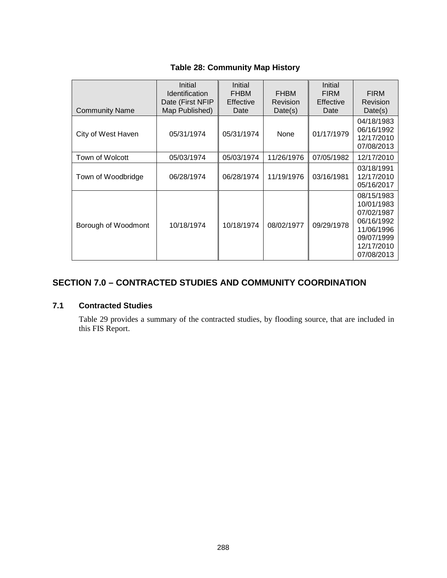#### Community Name Initial **Identification** Date (First NFIP Map Published) Initial FHBM Effective Date FHBM Revision Date(s) Initial FIRM **Effective** Date **FIRM** Revision Date(s) City of West Haven | 05/31/1974 | 05/31/1974 | None | 01/17/1979 04/18/1983 06/16/1992 12/17/2010 07/08/2013 Town of Wolcott 05/03/1974 05/03/1974 11/26/1976 07/05/1982 12/17/2010 Town of Woodbridge | 06/28/1974 | 06/28/1974 | 11/19/1976 | 03/16/1981 03/18/1991 12/17/2010 05/16/2017 Borough of Woodmont | 10/18/1974 | 10/18/1974 | 08/02/1977 | 09/29/1978 08/15/1983 10/01/1983 07/02/1987 06/16/1992 11/06/1996 09/07/1999 12/17/2010 07/08/2013

#### **Table 28: Community Map History**

#### **SECTION 7.0 – CONTRACTED STUDIES AND COMMUNITY COORDINATION**

#### **7.1 Contracted Studies**

Table 29 provides a summary of the contracted studies, by flooding source, that are included in this FIS Report.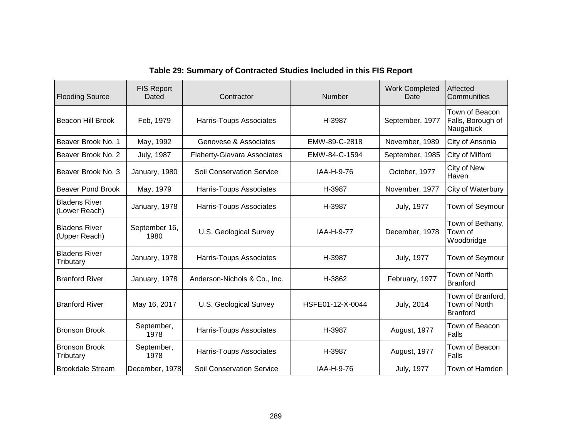| <b>Flooding Source</b>                | <b>FIS Report</b><br>Dated | Contractor                         | <b>Number</b>    | <b>Work Completed</b><br>Date | Affected<br>Communities                               |
|---------------------------------------|----------------------------|------------------------------------|------------------|-------------------------------|-------------------------------------------------------|
| Beacon Hill Brook                     | Feb, 1979                  | Harris-Toups Associates            | H-3987           | September, 1977               | Town of Beacon<br>Falls, Borough of<br>Naugatuck      |
| Beaver Brook No. 1                    | May, 1992                  | Genovese & Associates              | EMW-89-C-2818    | November, 1989                | City of Ansonia                                       |
| Beaver Brook No. 2                    | <b>July, 1987</b>          | <b>Flaherty-Giavara Associates</b> | EMW-84-C-1594    | September, 1985               | City of Milford                                       |
| Beaver Brook No. 3                    | January, 1980              | <b>Soil Conservation Service</b>   | IAA-H-9-76       | October, 1977                 | City of New<br>Haven                                  |
| Beaver Pond Brook                     | May, 1979                  | Harris-Toups Associates            | H-3987           | November, 1977                | City of Waterbury                                     |
| <b>Bladens River</b><br>(Lower Reach) | January, 1978              | Harris-Toups Associates            | H-3987           | <b>July, 1977</b>             | Town of Seymour                                       |
| <b>Bladens River</b><br>(Upper Reach) | September 16,<br>1980      | <b>U.S. Geological Survey</b>      | IAA-H-9-77       | December, 1978                | Town of Bethany,<br>Town of<br>Woodbridge             |
| <b>Bladens River</b><br>Tributary     | January, 1978              | Harris-Toups Associates            | H-3987           | <b>July, 1977</b>             | Town of Seymour                                       |
| <b>Branford River</b>                 | January, 1978              | Anderson-Nichols & Co., Inc.       | H-3862           | February, 1977                | Town of North<br><b>Branford</b>                      |
| <b>Branford River</b>                 | May 16, 2017               | U.S. Geological Survey             | HSFE01-12-X-0044 | July, 2014                    | Town of Branford,<br>Town of North<br><b>Branford</b> |
| <b>Bronson Brook</b>                  | September,<br>1978         | Harris-Toups Associates            | H-3987           | August, 1977                  | Town of Beacon<br>Falls                               |
| <b>Bronson Brook</b><br>Tributary     | September,<br>1978         | Harris-Toups Associates            | H-3987           | August, 1977                  | Town of Beacon<br>Falls                               |
| <b>Brookdale Stream</b>               | December, 1978             | <b>Soil Conservation Service</b>   | IAA-H-9-76       | July, 1977                    | Town of Hamden                                        |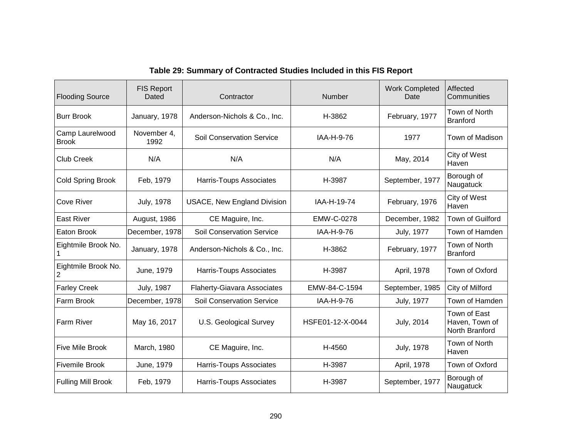| <b>Flooding Source</b>                | <b>FIS Report</b><br>Dated | Contractor                         | Number            | <b>Work Completed</b><br>Date | Affected<br>Communities                          |
|---------------------------------------|----------------------------|------------------------------------|-------------------|-------------------------------|--------------------------------------------------|
| <b>Burr Brook</b>                     | January, 1978              | Anderson-Nichols & Co., Inc.       | H-3862            | February, 1977                | Town of North<br><b>Branford</b>                 |
| Camp Laurelwood<br><b>Brook</b>       | November 4,<br>1992        | <b>Soil Conservation Service</b>   | IAA-H-9-76        | 1977                          | Town of Madison                                  |
| <b>Club Creek</b>                     | N/A                        | N/A                                | N/A               | May, 2014                     | City of West<br>Haven                            |
| <b>Cold Spring Brook</b>              | Feb, 1979                  | Harris-Toups Associates            | H-3987            | September, 1977               | Borough of<br>Naugatuck                          |
| <b>Cove River</b>                     | <b>July, 1978</b>          | <b>USACE, New England Division</b> | IAA-H-19-74       | February, 1976                | City of West<br>Haven                            |
| <b>East River</b>                     | August, 1986               | CE Maguire, Inc.                   | <b>EMW-C-0278</b> | December, 1982                | Town of Guilford                                 |
| Eaton Brook                           | December, 1978             | <b>Soil Conservation Service</b>   | IAA-H-9-76        | <b>July, 1977</b>             | Town of Hamden                                   |
| Eightmile Brook No.                   | January, 1978              | Anderson-Nichols & Co., Inc.       | H-3862            | February, 1977                | Town of North<br><b>Branford</b>                 |
| Eightmile Brook No.<br>$\overline{c}$ | June, 1979                 | Harris-Toups Associates            | H-3987            | April, 1978                   | Town of Oxford                                   |
| <b>Farley Creek</b>                   | <b>July, 1987</b>          | <b>Flaherty-Giavara Associates</b> | EMW-84-C-1594     | September, 1985               | City of Milford                                  |
| Farm Brook                            | December, 1978             | <b>Soil Conservation Service</b>   | IAA-H-9-76        | <b>July, 1977</b>             | Town of Hamden                                   |
| Farm River                            | May 16, 2017               | <b>U.S. Geological Survey</b>      | HSFE01-12-X-0044  | <b>July, 2014</b>             | Town of East<br>Haven, Town of<br>North Branford |
| <b>Five Mile Brook</b>                | March, 1980                | CE Maguire, Inc.                   | H-4560            | <b>July, 1978</b>             | Town of North<br>Haven                           |
| <b>Fivemile Brook</b>                 | June, 1979                 | <b>Harris-Toups Associates</b>     | H-3987            | April, 1978                   | Town of Oxford                                   |
| <b>Fulling Mill Brook</b>             | Feb, 1979                  | <b>Harris-Toups Associates</b>     | H-3987            | September, 1977               | Borough of<br>Naugatuck                          |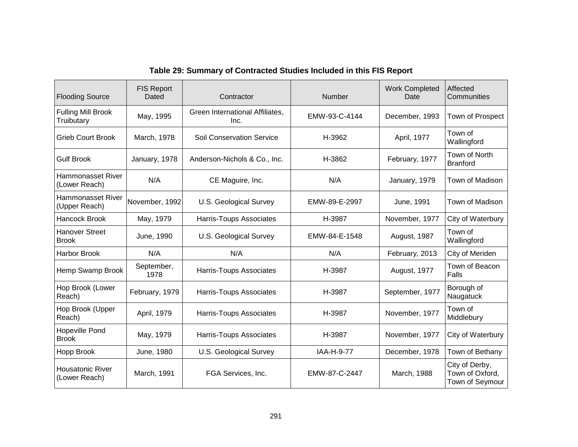| <b>Flooding Source</b>                    | <b>FIS Report</b><br>Dated | Contractor                              | Number        | <b>Work Completed</b><br>Date | Affected<br>Communities                              |
|-------------------------------------------|----------------------------|-----------------------------------------|---------------|-------------------------------|------------------------------------------------------|
| <b>Fulling Mill Brook</b><br>Truibutary   | May, 1995                  | Green International Affiliates,<br>Inc. | EMW-93-C-4144 | December, 1993                | Town of Prospect                                     |
| <b>Grieb Court Brook</b>                  | March, 1978                | <b>Soil Conservation Service</b>        | H-3962        | April, 1977                   | Town of<br>Wallingford                               |
| <b>Gulf Brook</b>                         | January, 1978              | Anderson-Nichols & Co., Inc.            | H-3862        | February, 1977                | Town of North<br><b>Branford</b>                     |
| <b>Hammonasset River</b><br>(Lower Reach) | N/A                        | CE Maguire, Inc.                        | N/A           | January, 1979                 | Town of Madison                                      |
| <b>Hammonasset River</b><br>(Upper Reach) | November, 1992             | <b>U.S. Geological Survey</b>           | EMW-89-E-2997 | June, 1991                    | Town of Madison                                      |
| <b>Hancock Brook</b>                      | May, 1979                  | Harris-Toups Associates                 | H-3987        | November, 1977                | City of Waterbury                                    |
| <b>Hanover Street</b><br><b>Brook</b>     | June, 1990                 | <b>U.S. Geological Survey</b>           | EMW-84-E-1548 | August, 1987                  | Town of<br>Wallingford                               |
| <b>Harbor Brook</b>                       | N/A                        | N/A                                     | N/A           | February, 2013                | City of Meriden                                      |
| Hemp Swamp Brook                          | September,<br>1978         | Harris-Toups Associates                 | H-3987        | August, 1977                  | Town of Beacon<br>Falls                              |
| Hop Brook (Lower<br>Reach)                | February, 1979             | Harris-Toups Associates                 | H-3987        | September, 1977               | Borough of<br>Naugatuck                              |
| Hop Brook (Upper<br>Reach)                | April, 1979                | Harris-Toups Associates                 | H-3987        | November, 1977                | Town of<br>Middlebury                                |
| <b>Hopeville Pond</b><br><b>Brook</b>     | May, 1979                  | Harris-Toups Associates                 | H-3987        | November, 1977                | City of Waterbury                                    |
| <b>Hopp Brook</b>                         | June, 1980                 | <b>U.S. Geological Survey</b>           | IAA-H-9-77    | December, 1978                | Town of Bethany                                      |
| <b>Housatonic River</b><br>(Lower Reach)  | March, 1991                | FGA Services, Inc.                      | EMW-87-C-2447 | March, 1988                   | City of Derby,<br>Town of Oxford,<br>Town of Seymour |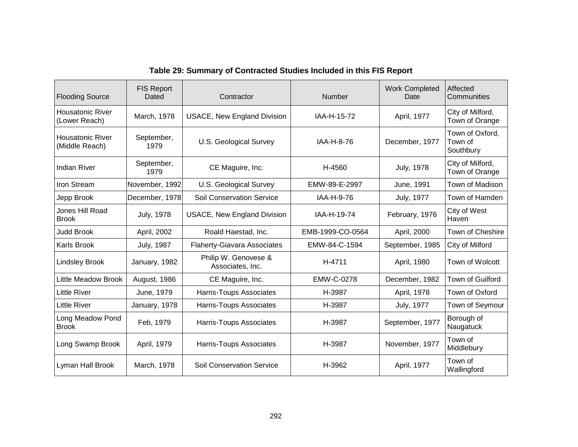| <b>Flooding Source</b>                    | <b>FIS Report</b><br>Dated | Contractor                               | <b>Number</b>     | <b>Work Completed</b><br>Date | Affected<br>Communities                 |
|-------------------------------------------|----------------------------|------------------------------------------|-------------------|-------------------------------|-----------------------------------------|
| <b>Housatonic River</b><br>(Lower Reach)  | March, 1978                | <b>USACE, New England Division</b>       | IAA-H-15-72       | April, 1977                   | City of Milford,<br>Town of Orange      |
| <b>Housatonic River</b><br>(Middle Reach) | September,<br>1979         | U.S. Geological Survey                   | IAA-H-8-76        | December, 1977                | Town of Oxford,<br>Town of<br>Southbury |
| <b>Indian River</b>                       | September,<br>1979         | CE Maguire, Inc.                         | H-4560            | <b>July, 1978</b>             | City of Milford,<br>Town of Orange      |
| Iron Stream                               | November, 1992             | <b>U.S. Geological Survey</b>            | EMW-89-E-2997     | June, 1991                    | Town of Madison                         |
| Jepp Brook                                | December, 1978             | <b>Soil Conservation Service</b>         | IAA-H-9-76        | <b>July, 1977</b>             | Town of Hamden                          |
| Jones Hill Road<br><b>Brook</b>           | <b>July, 1978</b>          | <b>USACE, New England Division</b>       | IAA-H-19-74       | February, 1976                | City of West<br>Haven                   |
| <b>Judd Brook</b>                         | April, 2002                | Roald Haestad, Inc.                      | EMB-1999-CO-0564  | April, 2000                   | Town of Cheshire                        |
| Karls Brook                               | <b>July, 1987</b>          | <b>Flaherty-Giavara Associates</b>       | EMW-84-C-1594     | September, 1985               | City of Milford                         |
| <b>Lindsley Brook</b>                     | January, 1982              | Philip W. Genovese &<br>Associates, Inc. | H-4711            | April, 1980                   | Town of Wolcott                         |
| <b>Little Meadow Brook</b>                | August, 1986               | CE Maguire, Inc.                         | <b>EMW-C-0278</b> | December, 1982                | Town of Guilford                        |
| <b>Little River</b>                       | June, 1979                 | Harris-Toups Associates                  | H-3987            | April, 1978                   | Town of Oxford                          |
| <b>Little River</b>                       | January, 1978              | Harris-Toups Associates                  | H-3987            | <b>July, 1977</b>             | Town of Seymour                         |
| Long Meadow Pond<br><b>Brook</b>          | Feb, 1979                  | Harris-Toups Associates                  | H-3987            | September, 1977               | Borough of<br>Naugatuck                 |
| Long Swamp Brook                          | April, 1979                | Harris-Toups Associates                  | H-3987            | November, 1977                | Town of<br>Middlebury                   |
| Lyman Hall Brook                          | March, 1978                | <b>Soil Conservation Service</b>         | H-3962            | April, 1977                   | Town of<br>Wallingford                  |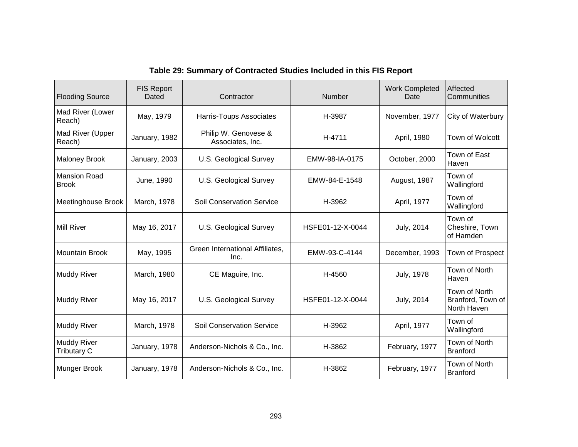| <b>Flooding Source</b>                   | <b>FIS Report</b><br>Dated | Contractor                               | <b>Number</b>         | <b>Work Completed</b><br>Date | Affected<br>Communities                           |
|------------------------------------------|----------------------------|------------------------------------------|-----------------------|-------------------------------|---------------------------------------------------|
| Mad River (Lower<br>Reach)               | May, 1979                  | Harris-Toups Associates                  | H-3987                | November, 1977                | City of Waterbury                                 |
| Mad River (Upper<br>Reach)               | January, 1982              | Philip W. Genovese &<br>Associates, Inc. | H-4711                | April, 1980                   | Town of Wolcott                                   |
| <b>Maloney Brook</b>                     | January, 2003              | <b>U.S. Geological Survey</b>            | EMW-98-IA-0175        | October, 2000                 | Town of East<br>Haven                             |
| <b>Mansion Road</b><br><b>Brook</b>      | June, 1990                 | U.S. Geological Survey                   | EMW-84-E-1548         | August, 1987                  | Town of<br>Wallingford                            |
| Meetinghouse Brook                       | March, 1978                | <b>Soil Conservation Service</b>         | H-3962<br>April, 1977 |                               | Town of<br>Wallingford                            |
| <b>Mill River</b>                        | May 16, 2017               | U.S. Geological Survey                   | HSFE01-12-X-0044      | <b>July, 2014</b>             | Town of<br>Cheshire, Town<br>of Hamden            |
| <b>Mountain Brook</b>                    | May, 1995                  | Green International Affiliates,<br>Inc.  | EMW-93-C-4144         | December, 1993                | Town of Prospect                                  |
| <b>Muddy River</b>                       | March, 1980                | CE Maguire, Inc.                         | H-4560                | <b>July, 1978</b>             | Town of North<br>Haven                            |
| Muddy River                              | May 16, 2017               | U.S. Geological Survey                   | HSFE01-12-X-0044      | <b>July, 2014</b>             | Town of North<br>Branford, Town of<br>North Haven |
| <b>Muddy River</b>                       | March, 1978                | <b>Soil Conservation Service</b>         | H-3962                | April, 1977                   | Town of<br>Wallingford                            |
| <b>Muddy River</b><br><b>Tributary C</b> | January, 1978              | Anderson-Nichols & Co., Inc.             | H-3862                | February, 1977                | Town of North<br><b>Branford</b>                  |
| <b>Munger Brook</b>                      | January, 1978              | Anderson-Nichols & Co., Inc.             | H-3862                | February, 1977                | Town of North<br><b>Branford</b>                  |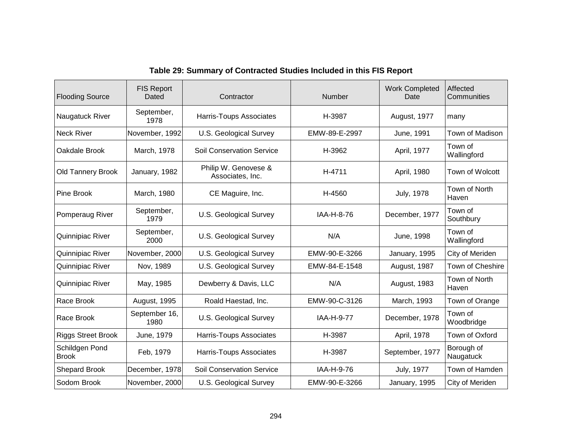| <b>Flooding Source</b>         | <b>FIS Report</b><br>Dated | Contractor                               | <b>Number</b> | <b>Work Completed</b><br>Date | Affected<br>Communities |
|--------------------------------|----------------------------|------------------------------------------|---------------|-------------------------------|-------------------------|
| Naugatuck River                | September,<br>1978         | Harris-Toups Associates                  | H-3987        | August, 1977                  | many                    |
| <b>Neck River</b>              | November, 1992             | <b>U.S. Geological Survey</b>            | EMW-89-E-2997 | June, 1991                    | Town of Madison         |
| Oakdale Brook                  | March, 1978                | <b>Soil Conservation Service</b>         | H-3962        | April, 1977                   | Town of<br>Wallingford  |
| <b>Old Tannery Brook</b>       | January, 1982              | Philip W. Genovese &<br>Associates, Inc. | H-4711        | April, 1980                   | Town of Wolcott         |
| <b>Pine Brook</b>              | March, 1980                | CE Maguire, Inc.                         | H-4560        | <b>July, 1978</b>             | Town of North<br>Haven  |
| Pomperaug River                | September,<br>1979         | U.S. Geological Survey                   | IAA-H-8-76    | December, 1977                | Town of<br>Southbury    |
| Quinnipiac River               | September,<br>2000         | U.S. Geological Survey                   | N/A           | June, 1998                    | Town of<br>Wallingford  |
| Quinnipiac River               | November, 2000             | <b>U.S. Geological Survey</b>            | EMW-90-E-3266 | January, 1995                 | City of Meriden         |
| Quinnipiac River               | Nov, 1989                  | <b>U.S. Geological Survey</b>            | EMW-84-E-1548 | August, 1987                  | Town of Cheshire        |
| Quinnipiac River               | May, 1985                  | Dewberry & Davis, LLC                    | N/A           | August, 1983                  | Town of North<br>Haven  |
| Race Brook                     | August, 1995               | Roald Haestad, Inc.                      | EMW-90-C-3126 | March, 1993                   | Town of Orange          |
| Race Brook                     | September 16,<br>1980      | <b>U.S. Geological Survey</b>            | IAA-H-9-77    | December, 1978                | Town of<br>Woodbridge   |
| <b>Riggs Street Brook</b>      | June, 1979                 | Harris-Toups Associates                  | H-3987        | April, 1978                   | Town of Oxford          |
| Schildgen Pond<br><b>Brook</b> | Feb, 1979                  | Harris-Toups Associates                  | H-3987        | September, 1977               | Borough of<br>Naugatuck |
| <b>Shepard Brook</b>           | December, 1978             | <b>Soil Conservation Service</b>         | IAA-H-9-76    | <b>July, 1977</b>             | Town of Hamden          |
| Sodom Brook                    | November, 2000             | U.S. Geological Survey                   | EMW-90-E-3266 | January, 1995                 | City of Meriden         |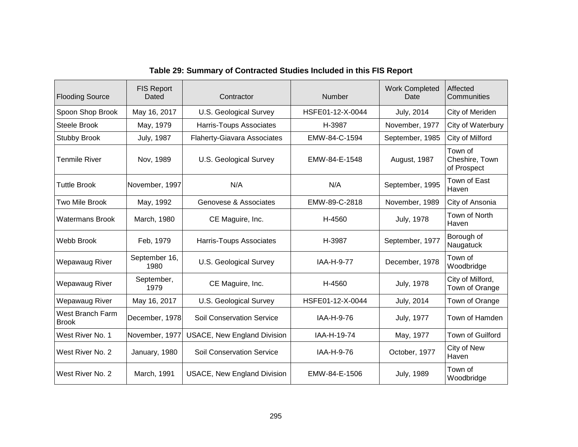| <b>Flooding Source</b>           | <b>FIS Report</b><br>Dated | Contractor                         | <b>Number</b>    | <b>Work Completed</b><br>Date | Affected<br>Communities                  |
|----------------------------------|----------------------------|------------------------------------|------------------|-------------------------------|------------------------------------------|
| Spoon Shop Brook                 | May 16, 2017               | U.S. Geological Survey             | HSFE01-12-X-0044 | July, 2014                    | City of Meriden                          |
| <b>Steele Brook</b>              | May, 1979                  | <b>Harris-Toups Associates</b>     | H-3987           | November, 1977                | City of Waterbury                        |
| <b>Stubby Brook</b>              | <b>July, 1987</b>          | <b>Flaherty-Giavara Associates</b> | EMW-84-C-1594    | September, 1985               | City of Milford                          |
| Tenmile River                    | Nov, 1989                  | U.S. Geological Survey             | EMW-84-E-1548    | August, 1987                  | Town of<br>Cheshire, Town<br>of Prospect |
| <b>Tuttle Brook</b>              | November, 1997             | N/A                                | N/A              | September, 1995               | Town of East<br>Haven                    |
| Two Mile Brook                   | May, 1992                  | Genovese & Associates              | EMW-89-C-2818    | November, 1989                | City of Ansonia                          |
| <b>Watermans Brook</b>           | March, 1980                | CE Maguire, Inc.                   | H-4560           | <b>July, 1978</b>             | Town of North<br>Haven                   |
| Webb Brook                       | Feb, 1979                  | Harris-Toups Associates            | H-3987           | September, 1977               | Borough of<br>Naugatuck                  |
| Wepawaug River                   | September 16,<br>1980      | <b>U.S. Geological Survey</b>      | IAA-H-9-77       | December, 1978                | Town of<br>Woodbridge                    |
| Wepawaug River                   | September,<br>1979         | CE Maguire, Inc.                   | H-4560           | <b>July, 1978</b>             | City of Milford,<br>Town of Orange       |
| Wepawaug River                   | May 16, 2017               | <b>U.S. Geological Survey</b>      | HSFE01-12-X-0044 | July, 2014                    | Town of Orange                           |
| West Branch Farm<br><b>Brook</b> | December, 1978             | <b>Soil Conservation Service</b>   | IAA-H-9-76       | <b>July, 1977</b>             | Town of Hamden                           |
| West River No. 1                 | November, 1977             | <b>USACE, New England Division</b> | IAA-H-19-74      | May, 1977                     | Town of Guilford                         |
| West River No. 2                 | January, 1980              | <b>Soil Conservation Service</b>   | IAA-H-9-76       | October, 1977                 | City of New<br>Haven                     |
| West River No. 2                 | March, 1991                | <b>USACE, New England Division</b> | EMW-84-E-1506    | <b>July, 1989</b>             | Town of<br>Woodbridge                    |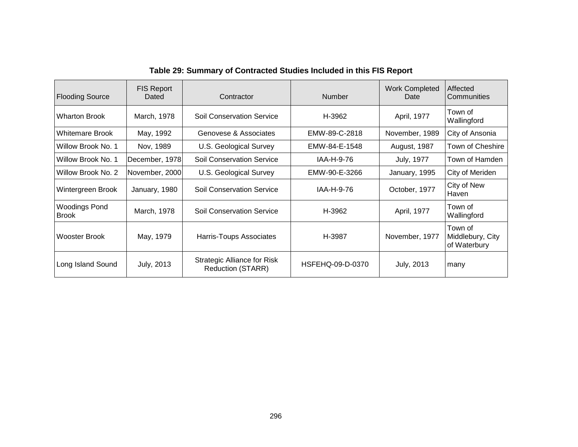| <b>Flooding Source</b>               | <b>FIS Report</b><br>Dated | Contractor                                              | <b>Number</b>    | <b>Work Completed</b><br>Date | Affected<br>Communities                     |
|--------------------------------------|----------------------------|---------------------------------------------------------|------------------|-------------------------------|---------------------------------------------|
| <b>Wharton Brook</b>                 | March, 1978                | <b>Soil Conservation Service</b>                        | H-3962           | April, 1977                   | Town of<br>Wallingford                      |
| <b>Whitemare Brook</b>               | May, 1992                  | Genovese & Associates                                   | EMW-89-C-2818    | November, 1989                | City of Ansonia                             |
| Willow Brook No. 1                   | Nov, 1989                  | U.S. Geological Survey                                  | EMW-84-E-1548    | August, 1987                  | Town of Cheshire                            |
| Willow Brook No. 1                   | December, 1978             | <b>Soil Conservation Service</b>                        | IAA-H-9-76       | July, 1977                    | Town of Hamden                              |
| Willow Brook No. 2                   | November, 2000             | U.S. Geological Survey                                  | EMW-90-E-3266    | January, 1995                 | City of Meriden                             |
| Wintergreen Brook                    | January, 1980              | <b>Soil Conservation Service</b>                        | IAA-H-9-76       | October, 1977                 | City of New<br>Haven                        |
| <b>Woodings Pond</b><br><b>Brook</b> | March, 1978                | <b>Soil Conservation Service</b>                        | H-3962           | April, 1977                   | Town of<br>Wallingford                      |
| <b>Wooster Brook</b>                 | May, 1979                  | Harris-Toups Associates                                 | H-3987           | November, 1977                | Town of<br>Middlebury, City<br>of Waterbury |
| Long Island Sound                    | July, 2013                 | Strategic Alliance for Risk<br><b>Reduction (STARR)</b> | HSFEHQ-09-D-0370 | <b>July, 2013</b>             | many                                        |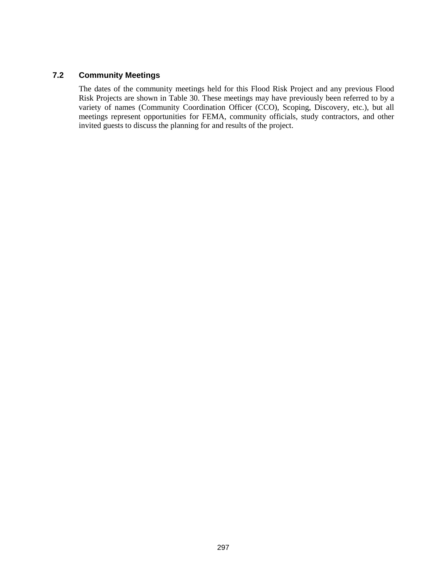#### **7.2 Community Meetings**

The dates of the community meetings held for this Flood Risk Project and any previous Flood Risk Projects are shown in Table 30. These meetings may have previously been referred to by a variety of names (Community Coordination Officer (CCO), Scoping, Discovery, etc.), but all meetings represent opportunities for FEMA, community officials, study contractors, and other invited guests to discuss the planning for and results of the project.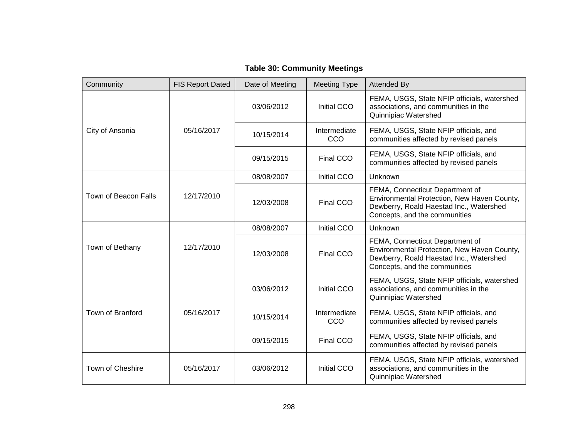| <b>Table 30: Community Meetings</b> |  |
|-------------------------------------|--|
|-------------------------------------|--|

| Community               | <b>FIS Report Dated</b> | Date of Meeting | <b>Meeting Type</b> | <b>Attended By</b>                                                                                                                                         |
|-------------------------|-------------------------|-----------------|---------------------|------------------------------------------------------------------------------------------------------------------------------------------------------------|
|                         |                         | 03/06/2012      | Initial CCO         | FEMA, USGS, State NFIP officials, watershed<br>associations, and communities in the<br>Quinnipiac Watershed                                                |
| City of Ansonia         | 05/16/2017              | 10/15/2014      | Intermediate<br>CCO | FEMA, USGS, State NFIP officials, and<br>communities affected by revised panels                                                                            |
|                         |                         | 09/15/2015      | Final CCO           | FEMA, USGS, State NFIP officials, and<br>communities affected by revised panels                                                                            |
|                         |                         | 08/08/2007      | <b>Initial CCO</b>  | Unknown                                                                                                                                                    |
| Town of Beacon Falls    | 12/17/2010              | 12/03/2008      | Final CCO           | FEMA, Connecticut Department of<br>Environmental Protection, New Haven County,<br>Dewberry, Roald Haestad Inc., Watershed<br>Concepts, and the communities |
| Town of Bethany         | 12/17/2010              | 08/08/2007      | Initial CCO         | Unknown                                                                                                                                                    |
|                         |                         | 12/03/2008      | Final CCO           | FEMA, Connecticut Department of<br>Environmental Protection, New Haven County,<br>Dewberry, Roald Haestad Inc., Watershed<br>Concepts, and the communities |
|                         |                         | 03/06/2012      | Initial CCO         | FEMA, USGS, State NFIP officials, watershed<br>associations, and communities in the<br>Quinnipiac Watershed                                                |
| <b>Town of Branford</b> | 05/16/2017              | 10/15/2014      | Intermediate<br>CCO | FEMA, USGS, State NFIP officials, and<br>communities affected by revised panels                                                                            |
|                         |                         | 09/15/2015      | Final CCO           | FEMA, USGS, State NFIP officials, and<br>communities affected by revised panels                                                                            |
| Town of Cheshire        | 05/16/2017              | 03/06/2012      | Initial CCO         | FEMA, USGS, State NFIP officials, watershed<br>associations, and communities in the<br>Quinnipiac Watershed                                                |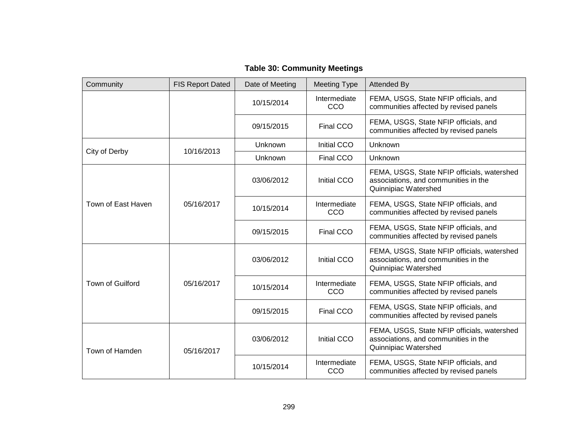| Community          | <b>FIS Report Dated</b> | Date of Meeting | <b>Meeting Type</b> | <b>Attended By</b>                                                                                          |
|--------------------|-------------------------|-----------------|---------------------|-------------------------------------------------------------------------------------------------------------|
|                    |                         | 10/15/2014      | Intermediate<br>CCO | FEMA, USGS, State NFIP officials, and<br>communities affected by revised panels                             |
|                    |                         | 09/15/2015      | Final CCO           | FEMA, USGS, State NFIP officials, and<br>communities affected by revised panels                             |
| City of Derby      | 10/16/2013              | Unknown         | Initial CCO         | Unknown                                                                                                     |
|                    |                         | Unknown         | Final CCO           | Unknown                                                                                                     |
|                    |                         | 03/06/2012      | Initial CCO         | FEMA, USGS, State NFIP officials, watershed<br>associations, and communities in the<br>Quinnipiac Watershed |
| Town of East Haven | 05/16/2017              | 10/15/2014      | Intermediate<br>CCO | FEMA, USGS, State NFIP officials, and<br>communities affected by revised panels                             |
|                    |                         | 09/15/2015      | Final CCO           | FEMA, USGS, State NFIP officials, and<br>communities affected by revised panels                             |
|                    | 05/16/2017              | 03/06/2012      | Initial CCO         | FEMA, USGS, State NFIP officials, watershed<br>associations, and communities in the<br>Quinnipiac Watershed |
| Town of Guilford   |                         | 10/15/2014      | Intermediate<br>CCO | FEMA, USGS, State NFIP officials, and<br>communities affected by revised panels                             |
|                    |                         | 09/15/2015      | Final CCO           | FEMA, USGS, State NFIP officials, and<br>communities affected by revised panels                             |
| Town of Hamden     | 05/16/2017              | 03/06/2012      | Initial CCO         | FEMA, USGS, State NFIP officials, watershed<br>associations, and communities in the<br>Quinnipiac Watershed |
|                    |                         | 10/15/2014      | Intermediate<br>CCO | FEMA, USGS, State NFIP officials, and<br>communities affected by revised panels                             |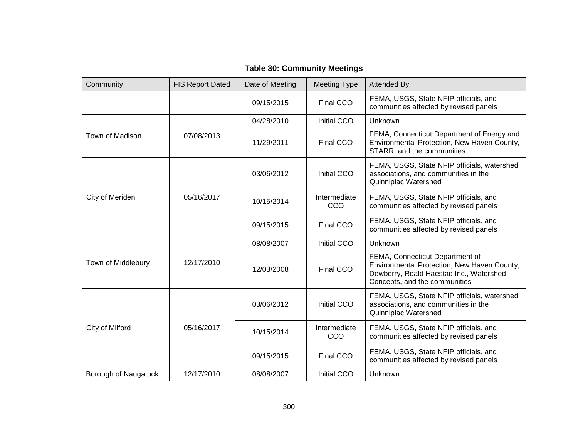|  | <b>Table 30: Community Meetings</b> |  |
|--|-------------------------------------|--|
|--|-------------------------------------|--|

| Community            | <b>FIS Report Dated</b> | Date of Meeting | <b>Meeting Type</b> | <b>Attended By</b>                                                                                                                                         |
|----------------------|-------------------------|-----------------|---------------------|------------------------------------------------------------------------------------------------------------------------------------------------------------|
|                      |                         | 09/15/2015      | Final CCO           | FEMA, USGS, State NFIP officials, and<br>communities affected by revised panels                                                                            |
|                      |                         | 04/28/2010      | Initial CCO         | Unknown                                                                                                                                                    |
| Town of Madison      | 07/08/2013              | 11/29/2011      | Final CCO           | FEMA, Connecticut Department of Energy and<br>Environmental Protection, New Haven County,<br>STARR, and the communities                                    |
|                      |                         | 03/06/2012      | Initial CCO         | FEMA, USGS, State NFIP officials, watershed<br>associations, and communities in the<br>Quinnipiac Watershed                                                |
| City of Meriden      | 05/16/2017              | 10/15/2014      | Intermediate<br>CCO | FEMA, USGS, State NFIP officials, and<br>communities affected by revised panels                                                                            |
|                      |                         | 09/15/2015      | Final CCO           | FEMA, USGS, State NFIP officials, and<br>communities affected by revised panels                                                                            |
|                      |                         | 08/08/2007      | Initial CCO         | Unknown                                                                                                                                                    |
| Town of Middlebury   | 12/17/2010              | 12/03/2008      | Final CCO           | FEMA, Connecticut Department of<br>Environmental Protection, New Haven County,<br>Dewberry, Roald Haestad Inc., Watershed<br>Concepts, and the communities |
|                      |                         | 03/06/2012      | Initial CCO         | FEMA, USGS, State NFIP officials, watershed<br>associations, and communities in the<br>Quinnipiac Watershed                                                |
| City of Milford      | 05/16/2017              | 10/15/2014      | Intermediate<br>CCO | FEMA, USGS, State NFIP officials, and<br>communities affected by revised panels                                                                            |
|                      |                         | 09/15/2015      | Final CCO           | FEMA, USGS, State NFIP officials, and<br>communities affected by revised panels                                                                            |
| Borough of Naugatuck | 12/17/2010              | 08/08/2007      | Initial CCO         | Unknown                                                                                                                                                    |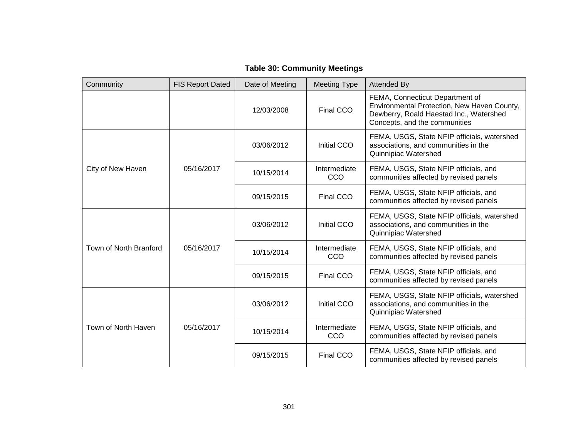| <b>Table 30: Community Meetings</b> |  |  |
|-------------------------------------|--|--|
|-------------------------------------|--|--|

| Community              | <b>FIS Report Dated</b> | Date of Meeting | <b>Meeting Type</b>        | <b>Attended By</b>                                                                                                                                         |
|------------------------|-------------------------|-----------------|----------------------------|------------------------------------------------------------------------------------------------------------------------------------------------------------|
|                        |                         | 12/03/2008      | Final CCO                  | FEMA, Connecticut Department of<br>Environmental Protection, New Haven County,<br>Dewberry, Roald Haestad Inc., Watershed<br>Concepts, and the communities |
|                        |                         | 03/06/2012      | Initial CCO                | FEMA, USGS, State NFIP officials, watershed<br>associations, and communities in the<br>Quinnipiac Watershed                                                |
| City of New Haven      | 05/16/2017              | 10/15/2014      | Intermediate<br>CCO        | FEMA, USGS, State NFIP officials, and<br>communities affected by revised panels                                                                            |
|                        |                         | 09/15/2015      | Final CCO                  | FEMA, USGS, State NFIP officials, and<br>communities affected by revised panels                                                                            |
| Town of North Branford | 05/16/2017              | 03/06/2012      | Initial CCO                | FEMA, USGS, State NFIP officials, watershed<br>associations, and communities in the<br>Quinnipiac Watershed                                                |
|                        |                         | 10/15/2014      | Intermediate<br>CCO        | FEMA, USGS, State NFIP officials, and<br>communities affected by revised panels                                                                            |
|                        |                         | 09/15/2015      | Final CCO                  | FEMA, USGS, State NFIP officials, and<br>communities affected by revised panels                                                                            |
| Town of North Haven    | 05/16/2017              | 03/06/2012      | Initial CCO                | FEMA, USGS, State NFIP officials, watershed<br>associations, and communities in the<br>Quinnipiac Watershed                                                |
|                        |                         | 10/15/2014      | Intermediate<br><b>CCO</b> | FEMA, USGS, State NFIP officials, and<br>communities affected by revised panels                                                                            |
|                        |                         | 09/15/2015      | Final CCO                  | FEMA, USGS, State NFIP officials, and<br>communities affected by revised panels                                                                            |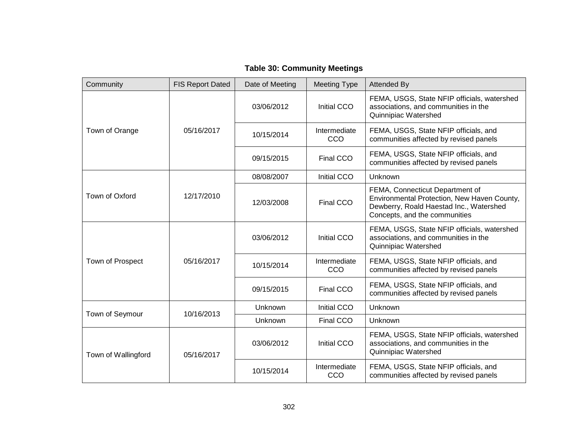| <b>Table 30: Community Meetings</b> |  |
|-------------------------------------|--|
|-------------------------------------|--|

| Community           | <b>FIS Report Dated</b> | Date of Meeting | <b>Meeting Type</b> | <b>Attended By</b>                                                                                                                                         |
|---------------------|-------------------------|-----------------|---------------------|------------------------------------------------------------------------------------------------------------------------------------------------------------|
|                     |                         | 03/06/2012      | Initial CCO         | FEMA, USGS, State NFIP officials, watershed<br>associations, and communities in the<br>Quinnipiac Watershed                                                |
| Town of Orange      | 05/16/2017              | 10/15/2014      | Intermediate<br>CCO | FEMA, USGS, State NFIP officials, and<br>communities affected by revised panels                                                                            |
|                     |                         | 09/15/2015      | Final CCO           | FEMA, USGS, State NFIP officials, and<br>communities affected by revised panels                                                                            |
|                     |                         | 08/08/2007      | Initial CCO         | Unknown                                                                                                                                                    |
| Town of Oxford      | 12/17/2010              | 12/03/2008      | Final CCO           | FEMA, Connecticut Department of<br>Environmental Protection, New Haven County,<br>Dewberry, Roald Haestad Inc., Watershed<br>Concepts, and the communities |
| Town of Prospect    | 05/16/2017              | 03/06/2012      | Initial CCO         | FEMA, USGS, State NFIP officials, watershed<br>associations, and communities in the<br>Quinnipiac Watershed                                                |
|                     |                         | 10/15/2014      | Intermediate<br>CCO | FEMA, USGS, State NFIP officials, and<br>communities affected by revised panels                                                                            |
|                     |                         | 09/15/2015      | Final CCO           | FEMA, USGS, State NFIP officials, and<br>communities affected by revised panels                                                                            |
|                     |                         | Unknown         | Initial CCO         | Unknown                                                                                                                                                    |
| Town of Seymour     | 10/16/2013              | Unknown         | Final CCO           | Unknown                                                                                                                                                    |
| Town of Wallingford | 05/16/2017              | 03/06/2012      | Initial CCO         | FEMA, USGS, State NFIP officials, watershed<br>associations, and communities in the<br>Quinnipiac Watershed                                                |
|                     |                         | 10/15/2014      | Intermediate<br>CCO | FEMA, USGS, State NFIP officials, and<br>communities affected by revised panels                                                                            |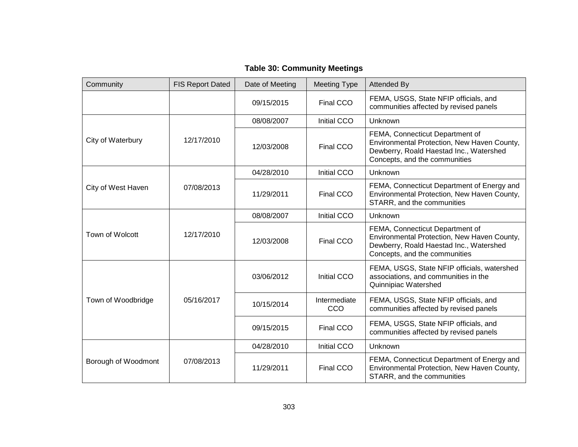| <b>Table 30: Community Meetings</b> |  |  |
|-------------------------------------|--|--|
|-------------------------------------|--|--|

| Community           | <b>FIS Report Dated</b> | Date of Meeting | <b>Meeting Type</b> | <b>Attended By</b>                                                                                                                                         |
|---------------------|-------------------------|-----------------|---------------------|------------------------------------------------------------------------------------------------------------------------------------------------------------|
|                     |                         | 09/15/2015      | Final CCO           | FEMA, USGS, State NFIP officials, and<br>communities affected by revised panels                                                                            |
|                     |                         | 08/08/2007      | Initial CCO         | Unknown                                                                                                                                                    |
| City of Waterbury   | 12/17/2010              | 12/03/2008      | Final CCO           | FEMA, Connecticut Department of<br>Environmental Protection, New Haven County,<br>Dewberry, Roald Haestad Inc., Watershed<br>Concepts, and the communities |
|                     |                         | 04/28/2010      | <b>Initial CCO</b>  | Unknown                                                                                                                                                    |
| City of West Haven  | 07/08/2013              | 11/29/2011      | Final CCO           | FEMA, Connecticut Department of Energy and<br>Environmental Protection, New Haven County,<br>STARR, and the communities                                    |
|                     | 12/17/2010              | 08/08/2007      | Initial CCO         | Unknown                                                                                                                                                    |
| Town of Wolcott     |                         | 12/03/2008      | Final CCO           | FEMA, Connecticut Department of<br>Environmental Protection, New Haven County,<br>Dewberry, Roald Haestad Inc., Watershed<br>Concepts, and the communities |
|                     | 05/16/2017              | 03/06/2012      | Initial CCO         | FEMA, USGS, State NFIP officials, watershed<br>associations, and communities in the<br>Quinnipiac Watershed                                                |
| Town of Woodbridge  |                         | 10/15/2014      | Intermediate<br>CCO | FEMA, USGS, State NFIP officials, and<br>communities affected by revised panels                                                                            |
|                     |                         | 09/15/2015      | Final CCO           | FEMA, USGS, State NFIP officials, and<br>communities affected by revised panels                                                                            |
|                     |                         | 04/28/2010      | Initial CCO         | Unknown                                                                                                                                                    |
| Borough of Woodmont | 07/08/2013              | 11/29/2011      | Final CCO           | FEMA, Connecticut Department of Energy and<br>Environmental Protection, New Haven County,<br>STARR, and the communities                                    |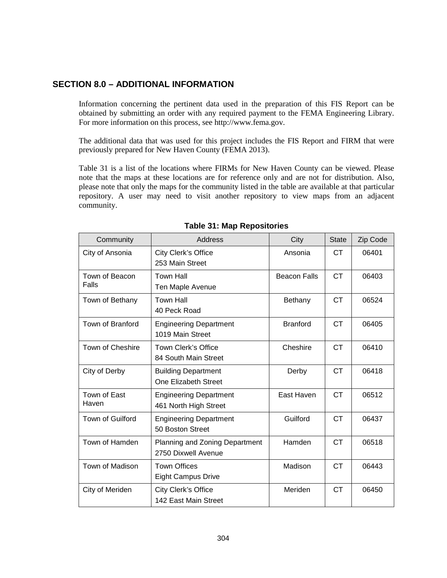#### **SECTION 8.0 – ADDITIONAL INFORMATION**

Information concerning the pertinent data used in the preparation of this FIS Report can be obtained by submitting an order with any required payment to the FEMA Engineering Library. For more information on this process, se[e http://www.fema.gov.](http://www.fema.gov/)

The additional data that was used for this project includes the FIS Report and FIRM that were previously prepared for New Haven County (FEMA 2013).

Table 31 is a list of the locations where FIRMs for New Haven County can be viewed. Please note that the maps at these locations are for reference only and are not for distribution. Also, please note that only the maps for the community listed in the table are available at that particular repository. A user may need to visit another repository to view maps from an adjacent community.

| Community               | Address                                                | City                | <b>State</b> | Zip Code |
|-------------------------|--------------------------------------------------------|---------------------|--------------|----------|
| City of Ansonia         | City Clerk's Office<br>253 Main Street                 | Ansonia             | CT.          | 06401    |
| Town of Beacon<br>Falls | <b>Town Hall</b><br>Ten Maple Avenue                   | <b>Beacon Falls</b> | <b>CT</b>    | 06403    |
| Town of Bethany         | <b>Town Hall</b><br>40 Peck Road                       | Bethany             | <b>CT</b>    | 06524    |
| Town of Branford        | <b>Engineering Department</b><br>1019 Main Street      | <b>Branford</b>     | <b>CT</b>    | 06405    |
| Town of Cheshire        | <b>Town Clerk's Office</b><br>84 South Main Street     | Cheshire            | <b>CT</b>    | 06410    |
| City of Derby           | <b>Building Department</b><br>One Elizabeth Street     | Derby               | <b>CT</b>    | 06418    |
| Town of East<br>Haven   | <b>Engineering Department</b><br>461 North High Street | East Haven          | <b>CT</b>    | 06512    |
| Town of Guilford        | <b>Engineering Department</b><br>50 Boston Street      | Guilford            | <b>CT</b>    | 06437    |
| Town of Hamden          | Planning and Zoning Department<br>2750 Dixwell Avenue  | Hamden              | <b>CT</b>    | 06518    |
| Town of Madison         | <b>Town Offices</b><br><b>Eight Campus Drive</b>       | Madison             | <b>CT</b>    | 06443    |
| City of Meriden         | City Clerk's Office<br>142 East Main Street            | Meriden             | <b>CT</b>    | 06450    |

#### **Table 31: Map Repositories**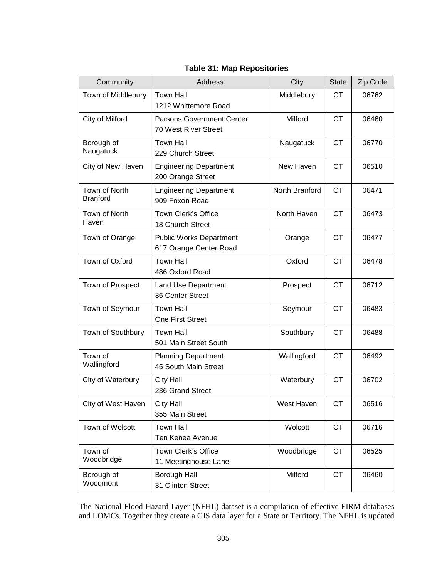| Community                        | Address                                                            | City           | <b>State</b> | Zip Code |
|----------------------------------|--------------------------------------------------------------------|----------------|--------------|----------|
| Town of Middlebury               | <b>Town Hall</b><br>1212 Whittemore Road                           | Middlebury     | <b>CT</b>    | 06762    |
| City of Milford                  | <b>Parsons Government Center</b><br>70 West River Street           | Milford        | <b>CT</b>    | 06460    |
| Borough of<br>Naugatuck          | <b>Town Hall</b><br>229 Church Street                              | Naugatuck      | <b>CT</b>    | 06770    |
| City of New Haven                | <b>Engineering Department</b><br>200 Orange Street                 | New Haven      | <b>CT</b>    | 06510    |
| Town of North<br><b>Branford</b> | <b>Engineering Department</b><br>909 Foxon Road                    | North Branford | <b>CT</b>    | 06471    |
| Town of North<br>Haven           | Town Clerk's Office<br>18 Church Street                            | North Haven    | <b>CT</b>    | 06473    |
| Town of Orange                   | <b>Public Works Department</b><br>Orange<br>617 Orange Center Road |                | <b>CT</b>    | 06477    |
| Town of Oxford                   | <b>Town Hall</b><br>486 Oxford Road                                | Oxford         | <b>CT</b>    | 06478    |
| Town of Prospect                 | <b>Land Use Department</b><br>36 Center Street                     | Prospect       | <b>CT</b>    | 06712    |
| Town of Seymour                  | <b>Town Hall</b><br>One First Street                               | Seymour        | <b>CT</b>    | 06483    |
| Town of Southbury                | <b>Town Hall</b><br>501 Main Street South                          | Southbury      | <b>CT</b>    | 06488    |
| Town of<br>Wallingford           | <b>Planning Department</b><br>45 South Main Street                 | Wallingford    | <b>CT</b>    | 06492    |
| City of Waterbury                | <b>City Hall</b><br>236 Grand Street                               | Waterbury      | <b>CT</b>    | 06702    |
| City of West Haven               | <b>City Hall</b><br>355 Main Street                                | West Haven     | <b>CT</b>    | 06516    |
| Town of Wolcott                  | <b>Town Hall</b><br>Ten Kenea Avenue                               | Wolcott        | <b>CT</b>    | 06716    |
| Town of<br>Woodbridge            | Town Clerk's Office<br>11 Meetinghouse Lane                        | Woodbridge     | <b>CT</b>    | 06525    |
| Borough of<br>Woodmont           | Borough Hall<br>31 Clinton Street                                  | Milford        | <b>CT</b>    | 06460    |

#### **Table 31: Map Repositories**

The National Flood Hazard Layer (NFHL) dataset is a compilation of effective FIRM databases and LOMCs. Together they create a GIS data layer for a State or Territory. The NFHL is updated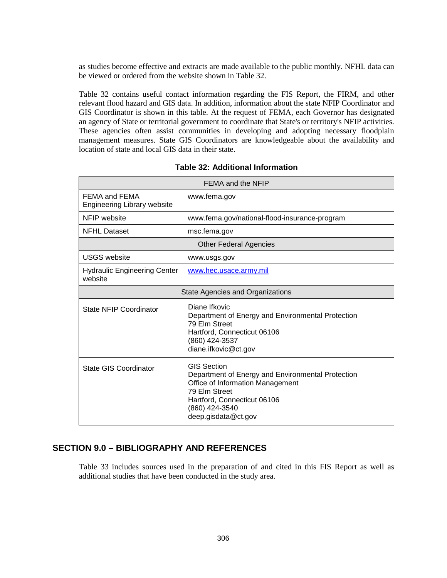as studies become effective and extracts are made available to the public monthly. NFHL data can be viewed or ordered from the website shown in [Table 32.](#page-46-0)

[Table 32](#page-46-0) contains useful contact information regarding the FIS Report, the FIRM, and other relevant flood hazard and GIS data. In addition, information about the state NFIP Coordinator and GIS Coordinator is shown in this table. At the request of FEMA, each Governor has designated an agency of State or territorial government to coordinate that State's or territory's NFIP activities. These agencies often assist communities in developing and adopting necessary floodplain management measures. State GIS Coordinators are knowledgeable about the availability and location of state and local GIS data in their state.

<span id="page-46-0"></span>

| FEMA and the NFIP                                   |                                                                                                                                                                                                      |  |  |  |
|-----------------------------------------------------|------------------------------------------------------------------------------------------------------------------------------------------------------------------------------------------------------|--|--|--|
| FEMA and FEMA<br><b>Engineering Library website</b> | www.fema.gov                                                                                                                                                                                         |  |  |  |
| NFIP website                                        | www.fema.gov/national-flood-insurance-program                                                                                                                                                        |  |  |  |
| <b>NFHL Dataset</b>                                 | msc.fema.gov                                                                                                                                                                                         |  |  |  |
|                                                     | <b>Other Federal Agencies</b>                                                                                                                                                                        |  |  |  |
| <b>USGS</b> website                                 | www.usgs.gov                                                                                                                                                                                         |  |  |  |
| <b>Hydraulic Engineering Center</b><br>website      | www.hec.usace.army.mil                                                                                                                                                                               |  |  |  |
|                                                     | State Agencies and Organizations                                                                                                                                                                     |  |  |  |
| State NFIP Coordinator                              | Diane Ifkovic<br>Department of Energy and Environmental Protection<br>79 Elm Street<br>Hartford, Connecticut 06106<br>(860) 424-3537<br>diane.ifkovic@ct.gov                                         |  |  |  |
| State GIS Coordinator                               | <b>GIS Section</b><br>Department of Energy and Environmental Protection<br>Office of Information Management<br>79 Elm Street<br>Hartford, Connecticut 06106<br>(860) 424-3540<br>deep.gisdata@ct.gov |  |  |  |

|  |  | <b>Table 32: Additional Information</b> |
|--|--|-----------------------------------------|
|--|--|-----------------------------------------|

#### **SECTION 9.0 – BIBLIOGRAPHY AND REFERENCES**

Table 33 includes sources used in the preparation of and cited in this FIS Report as well as additional studies that have been conducted in the study area.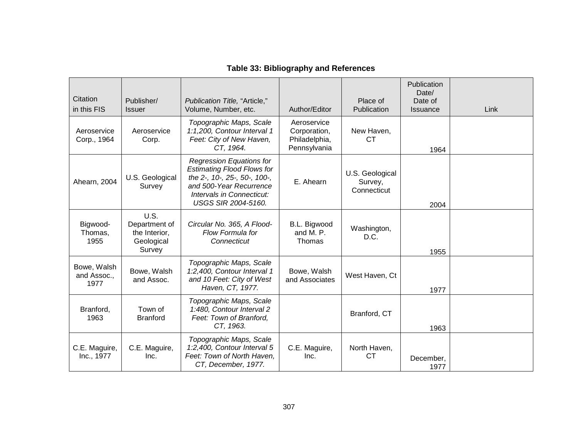| Citation<br>in this FIS            | Publisher/<br><b>Issuer</b>                                    | Publication Title, "Article,"<br>Volume, Number, etc.                                                                                                                                      | Author/Editor                                                | Place of<br>Publication                   | Publication<br>Date/<br>Date of<br><b>Issuance</b> | Link |
|------------------------------------|----------------------------------------------------------------|--------------------------------------------------------------------------------------------------------------------------------------------------------------------------------------------|--------------------------------------------------------------|-------------------------------------------|----------------------------------------------------|------|
| Aeroservice<br>Corp., 1964         | Aeroservice<br>Corp.                                           | Topographic Maps, Scale<br>1:1,200, Contour Interval 1<br>Feet: City of New Haven,<br>CT, 1964.                                                                                            | Aeroservice<br>Corporation,<br>Philadelphia,<br>Pennsylvania | New Haven,<br>СT                          | 1964                                               |      |
| Ahearn, 2004                       | U.S. Geological<br>Survey                                      | <b>Regression Equations for</b><br><b>Estimating Flood Flows for</b><br>the 2-, 10-, 25-, 50-, 100-,<br>and 500-Year Recurrence<br>Intervals in Connecticut:<br><b>USGS SIR 2004-5160.</b> | E. Ahearn                                                    | U.S. Geological<br>Survey,<br>Connecticut | 2004                                               |      |
| Bigwood-<br>Thomas,<br>1955        | U.S.<br>Department of<br>the Interior,<br>Geological<br>Survey | Circular No. 365, A Flood-<br>Flow Formula for<br>Connecticut                                                                                                                              | B.L. Bigwood<br>and M. P.<br>Thomas                          | Washington,<br>D.C.                       | 1955                                               |      |
| Bowe, Walsh<br>and Assoc.,<br>1977 | Bowe, Walsh<br>and Assoc.                                      | Topographic Maps, Scale<br>1:2,400, Contour Interval 1<br>and 10 Feet: City of West<br>Haven, CT, 1977.                                                                                    | Bowe, Walsh<br>and Associates                                | West Haven, Ct                            | 1977                                               |      |
| Branford,<br>1963                  | Town of<br><b>Branford</b>                                     | Topographic Maps, Scale<br>1:480, Contour Interval 2<br>Feet: Town of Branford,<br>CT, 1963.                                                                                               |                                                              | Branford, CT                              | 1963                                               |      |
| C.E. Maguire,<br>Inc., 1977        | C.E. Maguire,<br>Inc.                                          | Topographic Maps, Scale<br>1:2,400, Contour Interval 5<br>Feet: Town of North Haven,<br>CT, December, 1977.                                                                                | C.E. Maguire,<br>Inc.                                        | North Haven,<br><b>CT</b>                 | December,<br>1977                                  |      |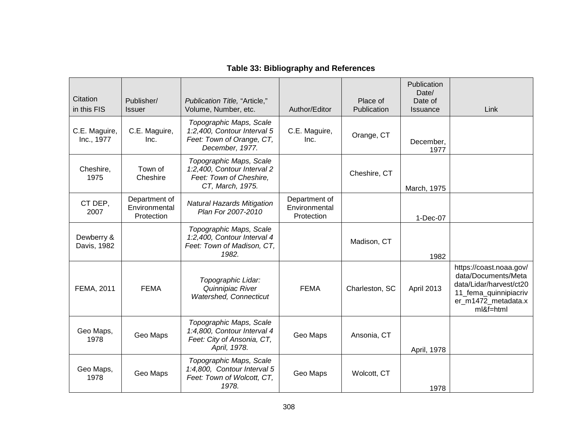| Citation<br>in this FIS     | Publisher/<br><b>Issuer</b>                  | Publication Title, "Article,"<br>Volume, Number, etc.                                                  | Author/Editor                                | Place of<br>Publication | Publication<br>Date/<br>Date of<br><b>Issuance</b> | Link                                                                                                                                   |
|-----------------------------|----------------------------------------------|--------------------------------------------------------------------------------------------------------|----------------------------------------------|-------------------------|----------------------------------------------------|----------------------------------------------------------------------------------------------------------------------------------------|
| C.E. Maguire,<br>Inc., 1977 | C.E. Maguire,<br>Inc.                        | Topographic Maps, Scale<br>1:2,400, Contour Interval 5<br>Feet: Town of Orange, CT,<br>December, 1977. | C.E. Maguire,<br>Inc.                        | Orange, CT              | December,<br>1977                                  |                                                                                                                                        |
| Cheshire,<br>1975           | Town of<br>Cheshire                          | Topographic Maps, Scale<br>1:2,400, Contour Interval 2<br>Feet: Town of Cheshire,<br>CT, March, 1975.  |                                              | Cheshire, CT            | March, 1975                                        |                                                                                                                                        |
| CT DEP,<br>2007             | Department of<br>Environmental<br>Protection | <b>Natural Hazards Mitigation</b><br>Plan For 2007-2010                                                | Department of<br>Environmental<br>Protection |                         | 1-Dec-07                                           |                                                                                                                                        |
| Dewberry &<br>Davis, 1982   |                                              | Topographic Maps, Scale<br>1:2,400, Contour Interval 4<br>Feet: Town of Madison, CT,<br>1982.          |                                              | Madison, CT             | 1982                                               |                                                                                                                                        |
| FEMA, 2011                  | <b>FEMA</b>                                  | Topographic Lidar:<br>Quinnipiac River<br>Watershed, Connecticut                                       | <b>FEMA</b>                                  | Charleston, SC          | April 2013                                         | https://coast.noaa.gov/<br>data/Documents/Meta<br>data/Lidar/harvest/ct20<br>11_fema_quinnipiacriv<br>er_m1472_metadata.x<br>ml&f=html |
| Geo Maps,<br>1978           | Geo Maps                                     | Topographic Maps, Scale<br>1:4,800, Contour Interval 4<br>Feet: City of Ansonia, CT,<br>April, 1978.   | Geo Maps                                     | Ansonia, CT             | April, 1978                                        |                                                                                                                                        |
| Geo Maps,<br>1978           | Geo Maps                                     | Topographic Maps, Scale<br>1:4,800, Contour Interval 5<br>Feet: Town of Wolcott, CT,<br>1978.          | Geo Maps                                     | Wolcott, CT             | 1978                                               |                                                                                                                                        |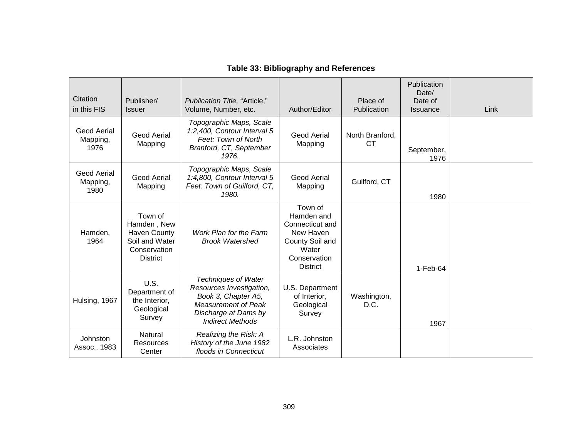| Citation<br>in this FIS                | Publisher/<br><b>Issuer</b>                                                                        | Publication Title, "Article,"<br>Volume, Number, etc.                                                                                                   | Author/Editor                                                                                                        | Place of<br>Publication      | Publication<br>Date/<br>Date of<br><b>Issuance</b> | Link |
|----------------------------------------|----------------------------------------------------------------------------------------------------|---------------------------------------------------------------------------------------------------------------------------------------------------------|----------------------------------------------------------------------------------------------------------------------|------------------------------|----------------------------------------------------|------|
| <b>Geod Aerial</b><br>Mapping,<br>1976 | Geod Aerial<br>Mapping                                                                             | Topographic Maps, Scale<br>1:2,400, Contour Interval 5<br>Feet: Town of North<br>Branford, CT, September<br>1976.                                       | Geod Aerial<br>Mapping                                                                                               | North Branford,<br><b>CT</b> | September,<br>1976                                 |      |
| <b>Geod Aerial</b><br>Mapping,<br>1980 | <b>Geod Aerial</b><br>Mapping                                                                      | Topographic Maps, Scale<br>1:4,800, Contour Interval 5<br>Feet: Town of Guilford, CT,<br>1980.                                                          | <b>Geod Aerial</b><br>Mapping                                                                                        | Guilford, CT                 | 1980                                               |      |
| Hamden,<br>1964                        | Town of<br>Hamden, New<br><b>Haven County</b><br>Soil and Water<br>Conservation<br><b>District</b> | Work Plan for the Farm<br><b>Brook Watershed</b>                                                                                                        | Town of<br>Hamden and<br>Connecticut and<br>New Haven<br>County Soil and<br>Water<br>Conservation<br><b>District</b> |                              | $1-Feb-64$                                         |      |
| Hulsing, 1967                          | U.S.<br>Department of<br>the Interior,<br>Geological<br>Survey                                     | <b>Techniques of Water</b><br>Resources Investigation,<br>Book 3, Chapter A5,<br>Measurement of Peak<br>Discharge at Dams by<br><b>Indirect Methods</b> | U.S. Department<br>of Interior,<br>Geological<br>Survey                                                              | Washington,<br>D.C.          | 1967                                               |      |
| Johnston<br>Assoc., 1983               | Natural<br>Resources<br>Center                                                                     | Realizing the Risk: A<br>History of the June 1982<br>floods in Connecticut                                                                              | L.R. Johnston<br>Associates                                                                                          |                              |                                                    |      |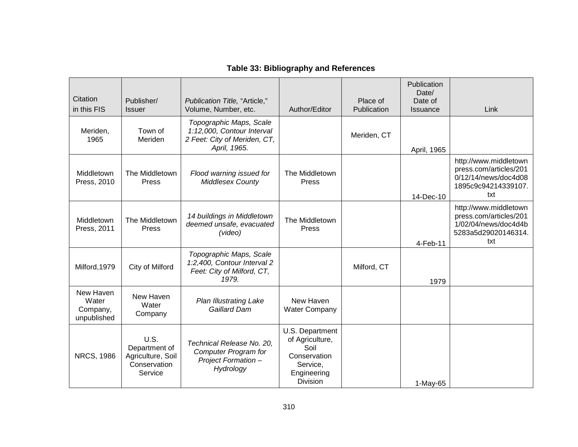| Citation<br>in this FIS                       | Publisher/<br><b>Issuer</b>                                           | Publication Title, "Article,"<br>Volume, Number, etc.                                                 | Author/Editor                                                                                            | Place of<br>Publication | Publication<br>Date/<br>Date of<br>Issuance | Link                                                                                                  |
|-----------------------------------------------|-----------------------------------------------------------------------|-------------------------------------------------------------------------------------------------------|----------------------------------------------------------------------------------------------------------|-------------------------|---------------------------------------------|-------------------------------------------------------------------------------------------------------|
| Meriden,<br>1965                              | Town of<br>Meriden                                                    | Topographic Maps, Scale<br>1:12,000, Contour Interval<br>2 Feet: City of Meriden, CT,<br>April, 1965. |                                                                                                          | Meriden, CT             | April, 1965                                 |                                                                                                       |
| Middletown<br>Press, 2010                     | The Middletown<br>Press                                               | Flood warning issued for<br><b>Middlesex County</b>                                                   | The Middletown<br>Press                                                                                  |                         | 14-Dec-10                                   | http://www.middletown<br>press.com/articles/201<br>0/12/14/news/doc4d08<br>1895c9c94214339107.<br>txt |
| Middletown<br>Press, 2011                     | The Middletown<br>Press                                               | 14 buildings in Middletown<br>deemed unsafe, evacuated<br>(video)                                     | The Middletown<br>Press                                                                                  |                         | 4-Feb-11                                    | http://www.middletown<br>press.com/articles/201<br>1/02/04/news/doc4d4b<br>5283a5d29020146314.<br>txt |
| Milford, 1979                                 | City of Milford                                                       | Topographic Maps, Scale<br>1:2,400, Contour Interval 2<br>Feet: City of Milford, CT,<br>1979.         |                                                                                                          | Milford, CT             | 1979                                        |                                                                                                       |
| New Haven<br>Water<br>Company,<br>unpublished | New Haven<br>Water<br>Company                                         | <b>Plan Illustrating Lake</b><br>Gaillard Dam                                                         | New Haven<br><b>Water Company</b>                                                                        |                         |                                             |                                                                                                       |
| <b>NRCS, 1986</b>                             | U.S.<br>Department of<br>Agriculture, Soil<br>Conservation<br>Service | Technical Release No. 20,<br><b>Computer Program for</b><br><b>Project Formation -</b><br>Hydrology   | U.S. Department<br>of Agriculture,<br>Soil<br>Conservation<br>Service,<br>Engineering<br><b>Division</b> |                         | $1-May-65$                                  |                                                                                                       |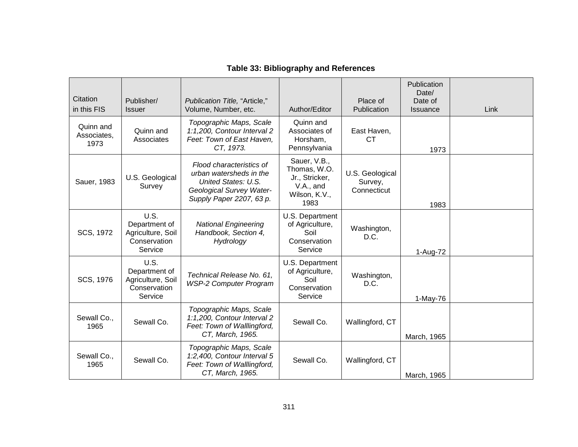| Citation<br>in this FIS          | Publisher/<br><b>Issuer</b>                                           | Publication Title, "Article,"<br>Volume, Number, etc.                                                                              | Author/Editor                                                                        | Place of<br>Publication                   | Publication<br>Date/<br>Date of<br><b>Issuance</b> | Link |
|----------------------------------|-----------------------------------------------------------------------|------------------------------------------------------------------------------------------------------------------------------------|--------------------------------------------------------------------------------------|-------------------------------------------|----------------------------------------------------|------|
| Quinn and<br>Associates,<br>1973 | Quinn and<br>Associates                                               | Topographic Maps, Scale<br>1:1,200, Contour Interval 2<br>Feet: Town of East Haven,<br>CT, 1973.                                   | Quinn and<br>Associates of<br>Horsham,<br>Pennsylvania                               | East Haven,<br>СT                         | 1973                                               |      |
| Sauer, 1983                      | U.S. Geological<br>Survey                                             | Flood characteristics of<br>urban watersheds in the<br>United States: U.S.<br>Geological Survey Water-<br>Supply Paper 2207, 63 p. | Sauer, V.B.,<br>Thomas, W.O.<br>Jr., Stricker,<br>V.A., and<br>Wilson, K.V.,<br>1983 | U.S. Geological<br>Survey,<br>Connecticut | 1983                                               |      |
| SCS, 1972                        | U.S.<br>Department of<br>Agriculture, Soil<br>Conservation<br>Service | <b>National Engineering</b><br>Handbook, Section 4,<br>Hydrology                                                                   | U.S. Department<br>of Agriculture,<br>Soil<br>Conservation<br>Service                | Washington,<br>D.C.                       | 1-Aug-72                                           |      |
| SCS, 1976                        | U.S.<br>Department of<br>Agriculture, Soil<br>Conservation<br>Service | Technical Release No. 61,<br><b>WSP-2 Computer Program</b>                                                                         | U.S. Department<br>of Agriculture,<br>Soil<br>Conservation<br>Service                | Washington,<br>D.C.                       | $1-May-76$                                         |      |
| Sewall Co.,<br>1965              | Sewall Co.                                                            | Topographic Maps, Scale<br>1:1,200, Contour Interval 2<br>Feet: Town of Walllingford,<br>CT, March, 1965.                          | Sewall Co.                                                                           | Wallingford, CT                           | March, 1965                                        |      |
| Sewall Co.,<br>1965              | Sewall Co.                                                            | Topographic Maps, Scale<br>1:2,400, Contour Interval 5<br>Feet: Town of Walllingford,<br>CT, March, 1965.                          | Sewall Co.                                                                           | Wallingford, CT                           | March, 1965                                        |      |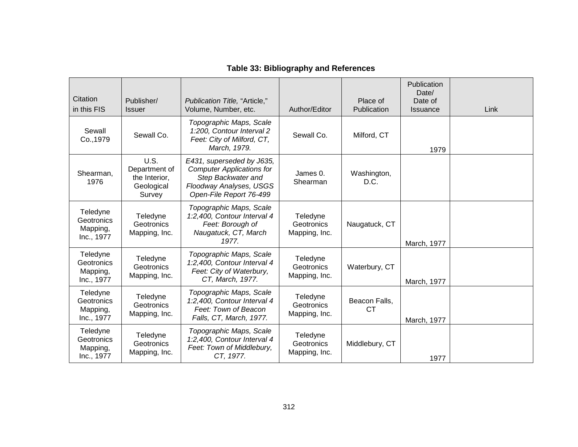| Citation<br>in this FIS                          | Publisher/<br><b>Issuer</b>                                           | Publication Title, "Article,"<br>Volume, Number, etc.                                                                                     | Author/Editor                           | Place of<br>Publication | Publication<br>Date/<br>Date of<br><b>Issuance</b> | Link |
|--------------------------------------------------|-----------------------------------------------------------------------|-------------------------------------------------------------------------------------------------------------------------------------------|-----------------------------------------|-------------------------|----------------------------------------------------|------|
| Sewall<br>Co., 1979                              | Sewall Co.                                                            | Topographic Maps, Scale<br>1:200, Contour Interval 2<br>Feet: City of Milford, CT,<br>March, 1979.                                        | Sewall Co.                              | Milford, CT             | 1979                                               |      |
| Shearman.<br>1976                                | <b>U.S.</b><br>Department of<br>the Interior,<br>Geological<br>Survey | E431, superseded by J635,<br><b>Computer Applications for</b><br>Step Backwater and<br>Floodway Analyses, USGS<br>Open-File Report 76-499 | James 0.<br>Shearman                    | Washington,<br>D.C.     |                                                    |      |
| Teledyne<br>Geotronics<br>Mapping,<br>Inc., 1977 | Teledyne<br><b>Geotronics</b><br>Mapping, Inc.                        | Topographic Maps, Scale<br>1:2,400, Contour Interval 4<br>Feet: Borough of<br>Naugatuck, CT, March<br>1977.                               | Teledyne<br>Geotronics<br>Mapping, Inc. | Naugatuck, CT           | March, 1977                                        |      |
| Teledyne<br>Geotronics<br>Mapping,<br>Inc., 1977 | Teledyne<br><b>Geotronics</b><br>Mapping, Inc.                        | Topographic Maps, Scale<br>1:2,400, Contour Interval 4<br>Feet: City of Waterbury,<br>CT, March, 1977.                                    | Teledyne<br>Geotronics<br>Mapping, Inc. | Waterbury, CT           | March, 1977                                        |      |
| Teledyne<br>Geotronics<br>Mapping,<br>Inc., 1977 | Teledyne<br><b>Geotronics</b><br>Mapping, Inc.                        | Topographic Maps, Scale<br>1:2,400, Contour Interval 4<br>Feet: Town of Beacon<br>Falls, CT, March, 1977.                                 | Teledyne<br>Geotronics<br>Mapping, Inc. | Beacon Falls,<br>СT     | March, 1977                                        |      |
| Teledyne<br>Geotronics<br>Mapping,<br>Inc., 1977 | Teledyne<br>Geotronics<br>Mapping, Inc.                               | Topographic Maps, Scale<br>1:2,400, Contour Interval 4<br>Feet: Town of Middlebury,<br>CT, 1977.                                          | Teledyne<br>Geotronics<br>Mapping, Inc. | Middlebury, CT          | 1977                                               |      |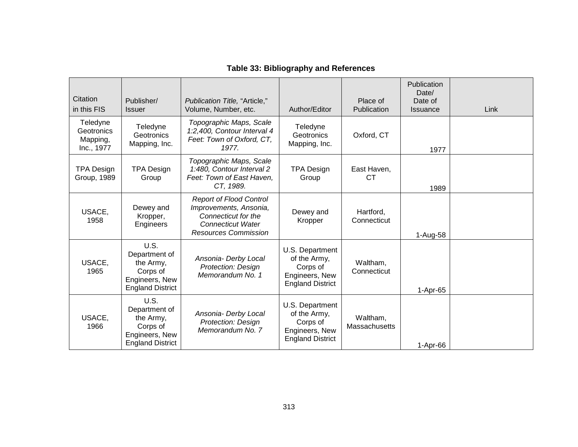| Citation<br>in this FIS                          | Publisher/<br><b>Issuer</b>                                                                 | Publication Title, "Article,"<br>Volume, Number, etc.                                                                                      | Author/Editor                                                                            | Place of<br>Publication   | Publication<br>Date/<br>Date of<br><b>Issuance</b> | Link |
|--------------------------------------------------|---------------------------------------------------------------------------------------------|--------------------------------------------------------------------------------------------------------------------------------------------|------------------------------------------------------------------------------------------|---------------------------|----------------------------------------------------|------|
| Teledyne<br>Geotronics<br>Mapping,<br>Inc., 1977 | Teledyne<br>Geotronics<br>Mapping, Inc.                                                     | Topographic Maps, Scale<br>1:2,400, Contour Interval 4<br>Feet: Town of Oxford, CT,<br>1977.                                               | Teledyne<br>Geotronics<br>Mapping, Inc.                                                  | Oxford, CT                | 1977                                               |      |
| <b>TPA Design</b><br>Group, 1989                 | <b>TPA Design</b><br>Group                                                                  | Topographic Maps, Scale<br>1:480, Contour Interval 2<br>Feet: Town of East Haven,<br>CT, 1989.                                             | TPA Design<br>Group                                                                      | East Haven,<br><b>CT</b>  | 1989                                               |      |
| USACE,<br>1958                                   | Dewey and<br>Kropper,<br>Engineers                                                          | <b>Report of Flood Control</b><br>Improvements, Ansonia,<br>Connecticut for the<br><b>Connecticut Water</b><br><b>Resources Commission</b> | Dewey and<br>Kropper                                                                     | Hartford,<br>Connecticut  | 1-Aug-58                                           |      |
| USACE,<br>1965                                   | U.S.<br>Department of<br>the Army,<br>Corps of<br>Engineers, New<br><b>England District</b> | Ansonia- Derby Local<br><b>Protection: Design</b><br>Memorandum No. 1                                                                      | U.S. Department<br>of the Army,<br>Corps of<br>Engineers, New<br><b>England District</b> | Waltham,<br>Connecticut   | 1-Apr-65                                           |      |
| USACE,<br>1966                                   | U.S.<br>Department of<br>the Army,<br>Corps of<br>Engineers, New<br><b>England District</b> | Ansonia- Derby Local<br><b>Protection: Design</b><br>Memorandum No. 7                                                                      | U.S. Department<br>of the Army,<br>Corps of<br>Engineers, New<br><b>England District</b> | Waltham,<br>Massachusetts | 1-Apr-66                                           |      |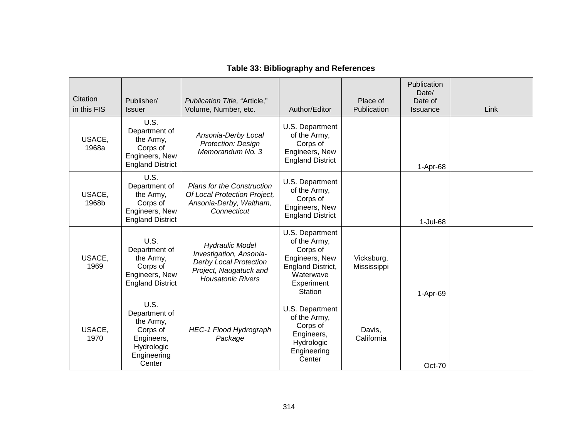| Citation<br>in this FIS | Publisher/<br><b>Issuer</b>                                                                         | Publication Title, "Article,"<br>Volume, Number, etc.                                                                                    | Author/Editor                                                                                                            | Place of<br>Publication   | Publication<br>Date/<br>Date of<br><b>Issuance</b> | Link |
|-------------------------|-----------------------------------------------------------------------------------------------------|------------------------------------------------------------------------------------------------------------------------------------------|--------------------------------------------------------------------------------------------------------------------------|---------------------------|----------------------------------------------------|------|
| USACE,<br>1968a         | U.S.<br>Department of<br>the Army,<br>Corps of<br>Engineers, New<br><b>England District</b>         | Ansonia-Derby Local<br>Protection: Design<br>Memorandum No. 3                                                                            | U.S. Department<br>of the Army,<br>Corps of<br>Engineers, New<br><b>England District</b>                                 |                           | $1-Apr-68$                                         |      |
| USACE,<br>1968b         | U.S.<br>Department of<br>the Army,<br>Corps of<br>Engineers, New<br><b>England District</b>         | <b>Plans for the Construction</b><br>Of Local Protection Project,<br>Ansonia-Derby, Waltham,<br>Connecticut                              | U.S. Department<br>of the Army,<br>Corps of<br>Engineers, New<br><b>England District</b>                                 |                           | 1-Jul-68                                           |      |
| USACE,<br>1969          | U.S.<br>Department of<br>the Army,<br>Corps of<br>Engineers, New<br><b>England District</b>         | <b>Hydraulic Model</b><br>Investigation, Ansonia-<br><b>Derby Local Protection</b><br>Project, Naugatuck and<br><b>Housatonic Rivers</b> | U.S. Department<br>of the Army,<br>Corps of<br>Engineers, New<br>England District,<br>Waterwave<br>Experiment<br>Station | Vicksburg,<br>Mississippi | 1-Apr-69                                           |      |
| USACE,<br>1970          | U.S.<br>Department of<br>the Army,<br>Corps of<br>Engineers,<br>Hydrologic<br>Engineering<br>Center | <b>HEC-1 Flood Hydrograph</b><br>Package                                                                                                 | U.S. Department<br>of the Army,<br>Corps of<br>Engineers,<br>Hydrologic<br>Engineering<br>Center                         | Davis,<br>California      | $Oct-70$                                           |      |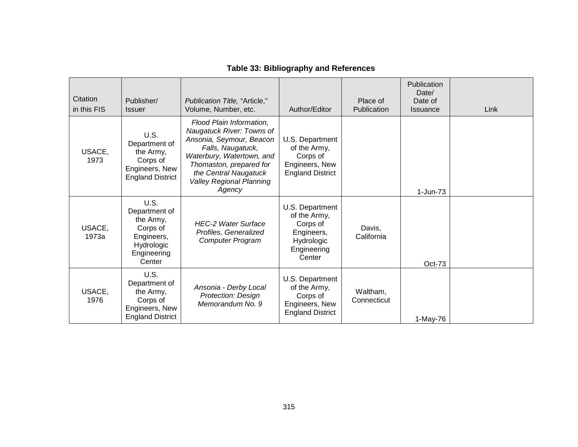| Citation<br>in this FIS | Publisher/<br><b>Issuer</b>                                                                         | Publication Title, "Article,"<br>Volume, Number, etc.                                                                                                                                                                                | Author/Editor                                                                                    | Place of<br>Publication | Publication<br>Date/<br>Date of<br><b>Issuance</b> | Link |
|-------------------------|-----------------------------------------------------------------------------------------------------|--------------------------------------------------------------------------------------------------------------------------------------------------------------------------------------------------------------------------------------|--------------------------------------------------------------------------------------------------|-------------------------|----------------------------------------------------|------|
| USACE,<br>1973          | U.S.<br>Department of<br>the Army,<br>Corps of<br>Engineers, New<br><b>England District</b>         | Flood Plain Information,<br>Naugatuck River: Towns of<br>Ansonia, Seymour, Beacon<br>Falls, Naugatuck,<br>Waterbury, Watertown, and<br>Thomaston, prepared for<br>the Central Naugatuck<br><b>Valley Regional Planning</b><br>Agency | U.S. Department<br>of the Army,<br>Corps of<br>Engineers, New<br><b>England District</b>         |                         | 1-Jun-73                                           |      |
| USACE,<br>1973a         | U.S.<br>Department of<br>the Army,<br>Corps of<br>Engineers,<br>Hydrologic<br>Engineering<br>Center | <b>HEC-2 Water Surface</b><br>Profiles, Generalized<br><b>Computer Program</b>                                                                                                                                                       | U.S. Department<br>of the Army,<br>Corps of<br>Engineers,<br>Hydrologic<br>Engineering<br>Center | Davis.<br>California    | Oct-73                                             |      |
| USACE,<br>1976          | U.S.<br>Department of<br>the Army,<br>Corps of<br>Engineers, New<br><b>England District</b>         | Ansonia - Derby Local<br><b>Protection: Design</b><br>Memorandum No. 9                                                                                                                                                               | U.S. Department<br>of the Army,<br>Corps of<br>Engineers, New<br><b>England District</b>         | Waltham,<br>Connecticut | 1-May-76                                           |      |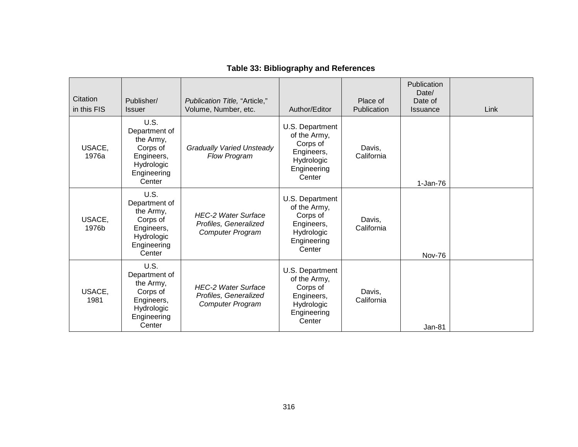| Citation<br>in this FIS | Publisher/<br><b>Issuer</b>                                                                         | Publication Title, "Article,"<br>Volume, Number, etc.                          | Author/Editor                                                                                    | Place of<br>Publication | Publication<br>Date/<br>Date of<br><b>Issuance</b> | Link |
|-------------------------|-----------------------------------------------------------------------------------------------------|--------------------------------------------------------------------------------|--------------------------------------------------------------------------------------------------|-------------------------|----------------------------------------------------|------|
| USACE,<br>1976a         | U.S.<br>Department of<br>the Army,<br>Corps of<br>Engineers,<br>Hydrologic<br>Engineering<br>Center | <b>Gradually Varied Unsteady</b><br>Flow Program                               | U.S. Department<br>of the Army,<br>Corps of<br>Engineers,<br>Hydrologic<br>Engineering<br>Center | Davis,<br>California    | $1-Jan-76$                                         |      |
| USACE,<br>1976b         | U.S.<br>Department of<br>the Army,<br>Corps of<br>Engineers,<br>Hydrologic<br>Engineering<br>Center | <b>HEC-2 Water Surface</b><br>Profiles, Generalized<br><b>Computer Program</b> | U.S. Department<br>of the Army,<br>Corps of<br>Engineers,<br>Hydrologic<br>Engineering<br>Center | Davis.<br>California    | Nov-76                                             |      |
| USACE,<br>1981          | U.S.<br>Department of<br>the Army,<br>Corps of<br>Engineers,<br>Hydrologic<br>Engineering<br>Center | <b>HEC-2 Water Surface</b><br>Profiles, Generalized<br><b>Computer Program</b> | U.S. Department<br>of the Army,<br>Corps of<br>Engineers,<br>Hydrologic<br>Engineering<br>Center | Davis,<br>California    | Jan-81                                             |      |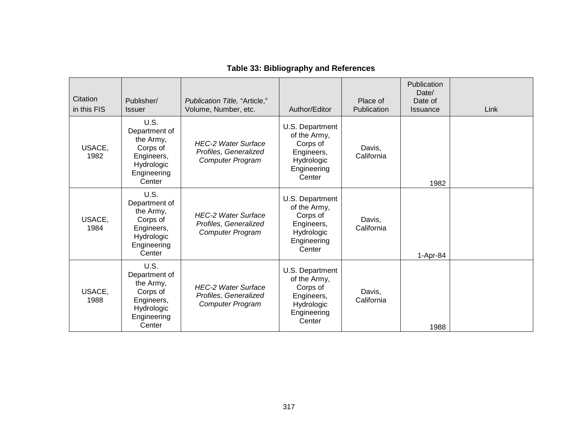| Citation<br>in this FIS | Publisher/<br><b>Issuer</b>                                                                         | Publication Title, "Article,"<br>Volume, Number, etc.                          | Author/Editor                                                                                    | Place of<br>Publication | Publication<br>Date/<br>Date of<br><b>Issuance</b> | Link |
|-------------------------|-----------------------------------------------------------------------------------------------------|--------------------------------------------------------------------------------|--------------------------------------------------------------------------------------------------|-------------------------|----------------------------------------------------|------|
| USACE,<br>1982          | U.S.<br>Department of<br>the Army,<br>Corps of<br>Engineers,<br>Hydrologic<br>Engineering<br>Center | <b>HEC-2 Water Surface</b><br>Profiles, Generalized<br><b>Computer Program</b> | U.S. Department<br>of the Army,<br>Corps of<br>Engineers,<br>Hydrologic<br>Engineering<br>Center | Davis.<br>California    | 1982                                               |      |
| USACE,<br>1984          | U.S.<br>Department of<br>the Army,<br>Corps of<br>Engineers,<br>Hydrologic<br>Engineering<br>Center | <b>HEC-2 Water Surface</b><br>Profiles, Generalized<br><b>Computer Program</b> | U.S. Department<br>of the Army,<br>Corps of<br>Engineers,<br>Hydrologic<br>Engineering<br>Center | Davis.<br>California    | 1-Apr-84                                           |      |
| USACE,<br>1988          | U.S.<br>Department of<br>the Army,<br>Corps of<br>Engineers,<br>Hydrologic<br>Engineering<br>Center | <b>HEC-2 Water Surface</b><br>Profiles, Generalized<br><b>Computer Program</b> | U.S. Department<br>of the Army,<br>Corps of<br>Engineers,<br>Hydrologic<br>Engineering<br>Center | Davis,<br>California    | 1988                                               |      |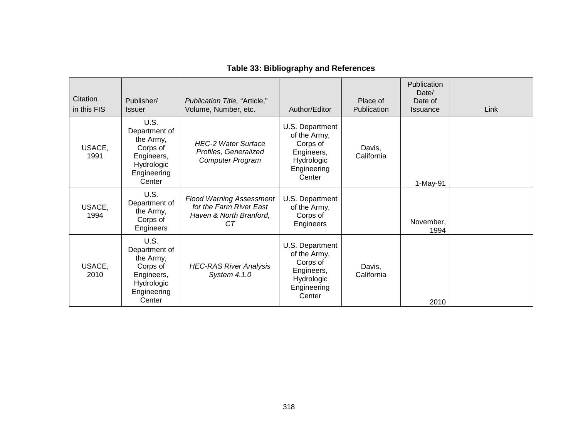| Citation<br>in this FIS | Publisher/<br><b>Issuer</b>                                                                         | Publication Title, "Article,"<br>Volume, Number, etc.                                              | Author/Editor                                                                                    | Place of<br>Publication | Publication<br>Date/<br>Date of<br><b>Issuance</b> | Link |
|-------------------------|-----------------------------------------------------------------------------------------------------|----------------------------------------------------------------------------------------------------|--------------------------------------------------------------------------------------------------|-------------------------|----------------------------------------------------|------|
| USACE,<br>1991          | U.S.<br>Department of<br>the Army,<br>Corps of<br>Engineers,<br>Hydrologic<br>Engineering<br>Center | <b>HEC-2 Water Surface</b><br>Profiles, Generalized<br><b>Computer Program</b>                     | U.S. Department<br>of the Army,<br>Corps of<br>Engineers,<br>Hydrologic<br>Engineering<br>Center | Davis,<br>California    | 1-May-91                                           |      |
| USACE,<br>1994          | U.S.<br>Department of<br>the Army,<br>Corps of<br>Engineers                                         | <b>Flood Warning Assessment</b><br>for the Farm River East<br>Haven & North Branford,<br><b>CT</b> | U.S. Department<br>of the Army,<br>Corps of<br>Engineers                                         |                         | November,<br>1994                                  |      |
| USACE,<br>2010          | U.S.<br>Department of<br>the Army,<br>Corps of<br>Engineers,<br>Hydrologic<br>Engineering<br>Center | <b>HEC-RAS River Analysis</b><br>System 4.1.0                                                      | U.S. Department<br>of the Army,<br>Corps of<br>Engineers,<br>Hydrologic<br>Engineering<br>Center | Davis,<br>California    | 2010                                               |      |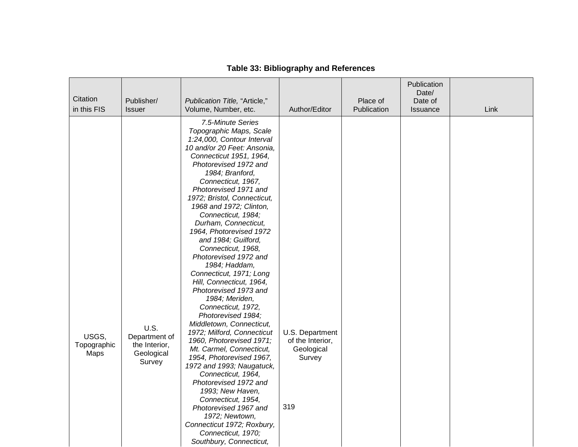| Citation<br>in this FIS      | Publisher/<br><b>Issuer</b>                                    | Publication Title, "Article,"<br>Volume, Number, etc.                                                                                                                                                                                                                                                                                                                                                                                                                                                                                                                                                                                                                                                                                                                                                                                                                                                                                                                                                 | Author/Editor                                                      | Place of<br>Publication | Publication<br>Date/<br>Date of<br>Issuance | Link |
|------------------------------|----------------------------------------------------------------|-------------------------------------------------------------------------------------------------------------------------------------------------------------------------------------------------------------------------------------------------------------------------------------------------------------------------------------------------------------------------------------------------------------------------------------------------------------------------------------------------------------------------------------------------------------------------------------------------------------------------------------------------------------------------------------------------------------------------------------------------------------------------------------------------------------------------------------------------------------------------------------------------------------------------------------------------------------------------------------------------------|--------------------------------------------------------------------|-------------------------|---------------------------------------------|------|
| USGS,<br>Topographic<br>Maps | U.S.<br>Department of<br>the Interior,<br>Geological<br>Survey | 7.5-Minute Series<br>Topographic Maps, Scale<br>1:24,000, Contour Interval<br>10 and/or 20 Feet: Ansonia,<br>Connecticut 1951, 1964,<br>Photorevised 1972 and<br>1984; Branford,<br>Connecticut, 1967,<br>Photorevised 1971 and<br>1972; Bristol, Connecticut,<br>1968 and 1972; Clinton,<br>Connecticut, 1984;<br>Durham, Connecticut,<br>1964, Photorevised 1972<br>and 1984; Guilford,<br>Connecticut, 1968,<br>Photorevised 1972 and<br>1984; Haddam,<br>Connecticut, 1971; Long<br>Hill, Connecticut, 1964,<br>Photorevised 1973 and<br>1984; Meriden,<br>Connecticut, 1972,<br>Photorevised 1984;<br>Middletown, Connecticut,<br>1972; Milford, Connecticut<br>1960, Photorevised 1971;<br>Mt. Carmel, Connecticut,<br>1954, Photorevised 1967,<br>1972 and 1993; Naugatuck,<br>Connecticut, 1964,<br>Photorevised 1972 and<br>1993; New Haven,<br>Connecticut, 1954,<br>Photorevised 1967 and<br>1972; Newtown,<br>Connecticut 1972; Roxbury,<br>Connecticut, 1970;<br>Southbury, Connecticut, | U.S. Department<br>of the Interior,<br>Geological<br>Survey<br>319 |                         |                                             |      |